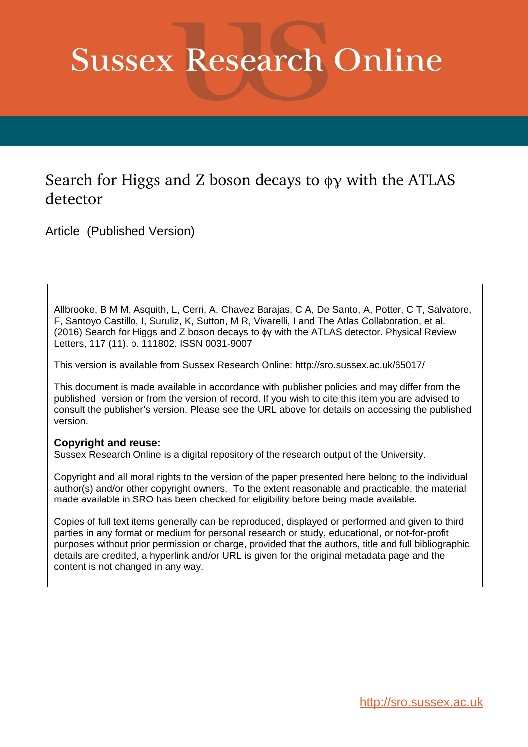# **Sussex Research Online**

# Search for Higgs and Z boson decays to  $\phi$ *y* with the ATLAS detector

Article (Published Version)

Allbrooke, B M M, Asquith, L, Cerri, A, Chavez Barajas, C A, De Santo, A, Potter, C T, Salvatore, F, Santoyo Castillo, I, Suruliz, K, Sutton, M R, Vivarelli, I and The Atlas Collaboration, et al. (2016) Search for Higgs and Z boson decays to ϕγ with the ATLAS detector. Physical Review Letters, 117 (11). p. 111802. ISSN 0031-9007

This version is available from Sussex Research Online: http://sro.sussex.ac.uk/65017/

This document is made available in accordance with publisher policies and may differ from the published version or from the version of record. If you wish to cite this item you are advised to consult the publisher's version. Please see the URL above for details on accessing the published version.

## **Copyright and reuse:**

Sussex Research Online is a digital repository of the research output of the University.

Copyright and all moral rights to the version of the paper presented here belong to the individual author(s) and/or other copyright owners. To the extent reasonable and practicable, the material made available in SRO has been checked for eligibility before being made available.

Copies of full text items generally can be reproduced, displayed or performed and given to third parties in any format or medium for personal research or study, educational, or not-for-profit purposes without prior permission or charge, provided that the authors, title and full bibliographic details are credited, a hyperlink and/or URL is given for the original metadata page and the content is not changed in any way.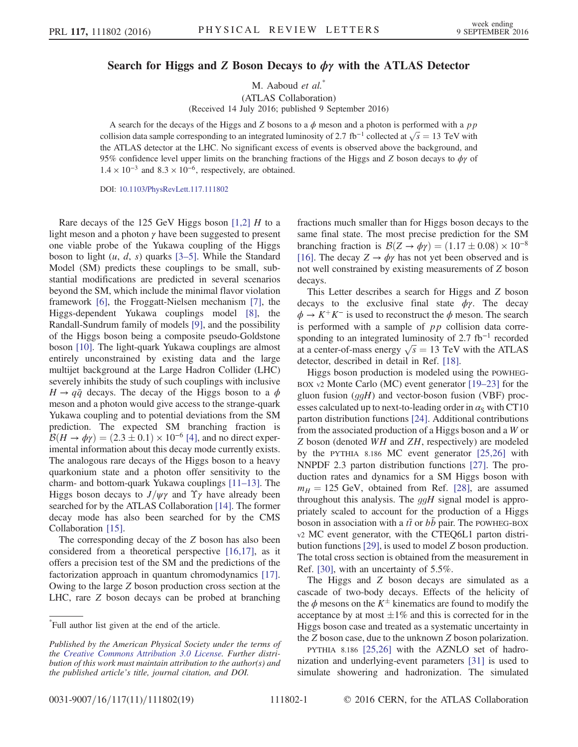### Search for Higgs and Z Boson Decays to  $\phi\gamma$  with the ATLAS Detector

M. Aaboud et al.<sup>\*</sup>

(ATLAS Collaboration)

(Received 14 July 2016; published 9 September 2016)

A search for the decays of the Higgs and Z bosons to a  $\phi$  meson and a photon is performed with a pp collision data sample corresponding to an integrated luminosity of 2.7 fb<sup>-1</sup> collected at  $\sqrt{s} = 13$  TeV with the ATLAS detector at the LHC. No significant excess of events is observed above the background, and 95% confidence level upper limits on the branching fractions of the Higgs and Z boson decays to  $\phi\gamma$  of  $1.4 \times 10^{-3}$  and  $8.3 \times 10^{-6}$ , respectively, are obtained.

DOI: [10.1103/PhysRevLett.117.111802](http://dx.doi.org/10.1103/PhysRevLett.117.111802)

Rare decays of the 125 GeV Higgs boson  $[1,2]$  H to a light meson and a photon  $\gamma$  have been suggested to present one viable probe of the Yukawa coupling of the Higgs boson to light  $(u, d, s)$  quarks [\[3](#page-4-1)–5]. While the Standard Model (SM) predicts these couplings to be small, substantial modifications are predicted in several scenarios beyond the SM, which include the minimal flavor violation framework [\[6\],](#page-4-2) the Froggatt-Nielsen mechanism [\[7\]](#page-4-3), the Higgs-dependent Yukawa couplings model [\[8\]](#page-4-4), the Randall-Sundrum family of models [\[9\],](#page-4-5) and the possibility of the Higgs boson being a composite pseudo-Goldstone boson [\[10\].](#page-4-6) The light-quark Yukawa couplings are almost entirely unconstrained by existing data and the large multijet background at the Large Hadron Collider (LHC) severely inhibits the study of such couplings with inclusive  $H \rightarrow q\bar{q}$  decays. The decay of the Higgs boson to a  $\phi$ meson and a photon would give access to the strange-quark Yukawa coupling and to potential deviations from the SM prediction. The expected SM branching fraction is  $B(H \to \phi \gamma) = (2.3 \pm 0.1) \times 10^{-6}$  [\[4\]](#page-4-7), and no direct experimental information about this decay mode currently exists. The analogous rare decays of the Higgs boson to a heavy quarkonium state and a photon offer sensitivity to the charm- and bottom-quark Yukawa couplings [\[11](#page-4-8)–13]. The Higgs boson decays to  $J/\psi\gamma$  and  $\Upsilon\gamma$  have already been searched for by the ATLAS Collaboration [\[14\]](#page-4-9). The former decay mode has also been searched for by the CMS Collaboration [\[15\]](#page-4-10).

The corresponding decay of the Z boson has also been considered from a theoretical perspective [\[16,17\]](#page-4-11), as it offers a precision test of the SM and the predictions of the factorization approach in quantum chromodynamics [\[17\]](#page-4-12). Owing to the large Z boson production cross section at the LHC, rare Z boson decays can be probed at branching fractions much smaller than for Higgs boson decays to the same final state. The most precise prediction for the SM branching fraction is  $\mathcal{B}(Z \to \phi \gamma) = (1.17 \pm 0.08) \times 10^{-8}$ [\[16\]](#page-4-11). The decay  $Z \rightarrow \phi \gamma$  has not yet been observed and is not well constrained by existing measurements of Z boson decays.

This Letter describes a search for Higgs and Z boson decays to the exclusive final state  $\phi$ γ. The decay  $\phi \to K^+K^-$  is used to reconstruct the  $\phi$  meson. The search is performed with a sample of  $pp$  collision data corresponding to an integrated luminosity of 2.7 fb<sup>-1</sup> recorded at a center-of-mass energy  $\sqrt{s} = 13$  TeV with the ATLAS detector, described in detail in Ref. [\[18\]](#page-4-13).

<span id="page-1-0"></span>Higgs boson production is modeled using the POWHEG-BOX v2 Monte Carlo (MC) event generator [\[19](#page-4-14)–23] for the gluon fusion  $(qqH)$  and vector-boson fusion (VBF) processes calculated up to next-to-leading order in  $\alpha_s$  with CT10 parton distribution functions [\[24\]](#page-4-15). Additional contributions from the associated production of a Higgs boson and a W or Z boson (denoted WH and ZH, respectively) are modeled by the PYTHIA 8.186 MC event generator [\[25,26\]](#page-4-16) with NNPDF 2.3 parton distribution functions [\[27\].](#page-4-17) The production rates and dynamics for a SM Higgs boson with  $m_H = 125$  GeV, obtained from Ref. [\[28\],](#page-4-18) are assumed throughout this analysis. The  $ggH$  signal model is appropriately scaled to account for the production of a Higgs boson in association with a  $t\bar{t}$  or  $b\bar{b}$  pair. The POWHEG-BOX v2 MC event generator, with the CTEQ6L1 parton distribution functions [\[29\]](#page-4-19), is used to model Z boson production. The total cross section is obtained from the measurement in Ref. [\[30\]](#page-4-20), with an uncertainty of 5.5%.

The Higgs and Z boson decays are simulated as a cascade of two-body decays. Effects of the helicity of the  $\phi$  mesons on the  $K^{\pm}$  kinematics are found to modify the acceptance by at most  $\pm 1\%$  and this is corrected for in the Higgs boson case and treated as a systematic uncertainty in the Z boson case, due to the unknown Z boson polarization.

PYTHIA 8.186 [\[25,26\]](#page-4-16) with the AZNLO set of hadronization and underlying-event parameters [\[31\]](#page-4-21) is used to simulate showering and hadronization. The simulated

<sup>\*</sup> Full author list given at the end of the article.

Published by the American Physical Society under the terms of the [Creative Commons Attribution 3.0 License.](http://creativecommons.org/licenses/by/3.0/) Further distribution of this work must maintain attribution to the author(s) and the published article's title, journal citation, and DOI.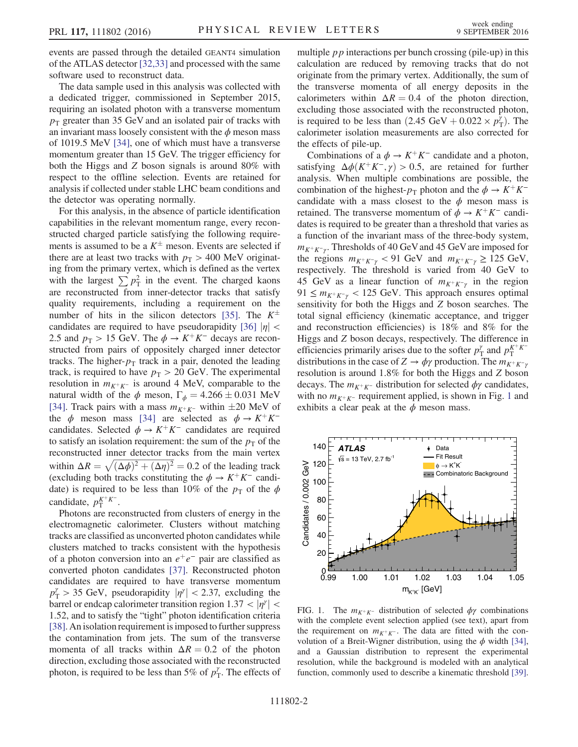events are passed through the detailed GEANT4 simulation of the ATLAS detector [\[32,33\]](#page-5-0) and processed with the same software used to reconstruct data.

The data sample used in this analysis was collected with a dedicated trigger, commissioned in September 2015, requiring an isolated photon with a transverse momentum  $p_T$  greater than 35 GeV and an isolated pair of tracks with an invariant mass loosely consistent with the  $\phi$  meson mass of 1019.5 MeV [\[34\]](#page-5-1), one of which must have a transverse momentum greater than 15 GeV. The trigger efficiency for both the Higgs and Z boson signals is around 80% with respect to the offline selection. Events are retained for analysis if collected under stable LHC beam conditions and the detector was operating normally.

For this analysis, in the absence of particle identification capabilities in the relevant momentum range, every reconstructed charged particle satisfying the following requirements is assumed to be a  $K^{\pm}$  meson. Events are selected if there are at least two tracks with  $p_T > 400$  MeV originating from the primary vertex, which is defined as the vertex with the largest  $\sum p_{\rm T}^2$  in the event. The charged kaons are reconstructed from inner-detector tracks that satisfy quality requirements, including a requirement on the number of hits in the silicon detectors [\[35\]](#page-5-2). The  $K^{\pm}$ candidates are required to have pseudorapidity [\[36\]](#page-5-3)  $|\eta|$  < 2.5 and  $p_T > 15$  GeV. The  $\phi \rightarrow K^+K^-$  decays are reconstructed from pairs of oppositely charged inner detector tracks. The higher- $p<sub>T</sub>$  track in a pair, denoted the leading track, is required to have  $p_T > 20$  GeV. The experimental resolution in  $m_{K^+K^-}$  is around 4 MeV, comparable to the natural width of the  $\phi$  meson,  $\Gamma_{\phi} = 4.266 \pm 0.031$  MeV [\[34\]](#page-5-1). Track pairs with a mass  $m_{K^+K^-}$  within  $\pm 20$  MeV of the  $\phi$  meson mass [\[34\]](#page-5-1) are selected as  $\phi \to K^+K^$ candidates. Selected  $\phi \rightarrow K^+K^-$  candidates are required to satisfy an isolation requirement: the sum of the  $p<sub>T</sub>$  of the reconstructed inner detector tracks from the main vertex within  $\Delta R = \sqrt{(\Delta \phi)^2 + (\Delta \eta)^2} = 0.2$  of the leading track (excluding both tracks constituting the  $\phi \to K^+K^-$  candidate) is required to be less than 10% of the  $p<sub>T</sub>$  of the  $\phi$ candidate,  $p_{\text{T}}^{K^+K^-}$ .

Photons are reconstructed from clusters of energy in the electromagnetic calorimeter. Clusters without matching tracks are classified as unconverted photon candidates while clusters matched to tracks consistent with the hypothesis of a photon conversion into an  $e^+e^-$  pair are classified as converted photon candidates [\[37\].](#page-5-4) Reconstructed photon candidates are required to have transverse momentum  $p_T^{\gamma} > 35$  GeV, pseudorapidity  $|\eta^{\gamma}| < 2.37$ , excluding the barrel or endcap calorimeter transition region  $1.37 < |\eta^{\gamma}| <$ 1.52, and to satisfy the "tight" photon identification criteria [\[38\]](#page-5-5). An isolation requirement is imposed to further suppress the contamination from jets. The sum of the transverse momenta of all tracks within  $\Delta R = 0.2$  of the photon direction, excluding those associated with the reconstructed photon, is required to be less than 5% of  $p_T^{\gamma}$ . The effects of <span id="page-2-0"></span>multiple  $p p$  interactions per bunch crossing (pile-up) in this calculation are reduced by removing tracks that do not originate from the primary vertex. Additionally, the sum of the transverse momenta of all energy deposits in the calorimeters within  $\Delta R = 0.4$  of the photon direction, excluding those associated with the reconstructed photon, is required to be less than  $(2.45 \text{ GeV} + 0.022 \times p_{\text{T}}^{\gamma})$ . The calorimeter isolation measurements are also corrected for the effects of pile-up.

Combinations of a  $\phi \to K^+K^-$  candidate and a photon, satisfying  $\Delta \phi (K^+ K^-,\gamma) > 0.5$ , are retained for further analysis. When multiple combinations are possible, the combination of the highest- $p_T$  photon and the  $\phi \to K^+K^$ candidate with a mass closest to the  $\phi$  meson mass is retained. The transverse momentum of  $\phi \to K^+K^-$  candidates is required to be greater than a threshold that varies as a function of the invariant mass of the three-body system,  $m_{K^+K^-\gamma}$ . Thresholds of 40 GeV and 45 GeV are imposed for the regions  $m_{K^+K^-\gamma}$  < 91 GeV and  $m_{K^+K^-\gamma} \ge 125$  GeV, respectively. The threshold is varied from 40 GeV to 45 GeV as a linear function of  $m_{K^+K^-\gamma}$  in the region  $91 \leq m_{K^+K^-\gamma} < 125$  GeV. This approach ensures optimal sensitivity for both the Higgs and Z boson searches. The total signal efficiency (kinematic acceptance, and trigger and reconstruction efficiencies) is 18% and 8% for the Higgs and Z boson decays, respectively. The difference in efficiencies primarily arises due to the softer  $p_T^{\gamma}$  and  $p_T^{K^{+}K^{-}}$ distributions in the case of  $Z \to \phi \gamma$  production. The  $m_{K^+K^-\gamma}$ resolution is around 1.8% for both the Higgs and Z boson decays. The  $m_{K^+K^-}$  distribution for selected  $\phi\gamma$  candidates, with no  $m_{K^+K^-}$  requirement applied, is shown in Fig. [1](#page-1-0) and exhibits a clear peak at the  $\phi$  meson mass.



<span id="page-2-1"></span>FIG. 1. The  $m_{K^+K^-}$  distribution of selected  $\phi\gamma$  combinations with the complete event selection applied (see text), apart from the requirement on  $m_{K^+K^-}$ . The data are fitted with the convolution of a Breit-Wigner distribution, using the  $\phi$  width [\[34\],](#page-5-1) and a Gaussian distribution to represent the experimental resolution, while the background is modeled with an analytical function, commonly used to describe a kinematic threshold [\[39\].](#page-5-6)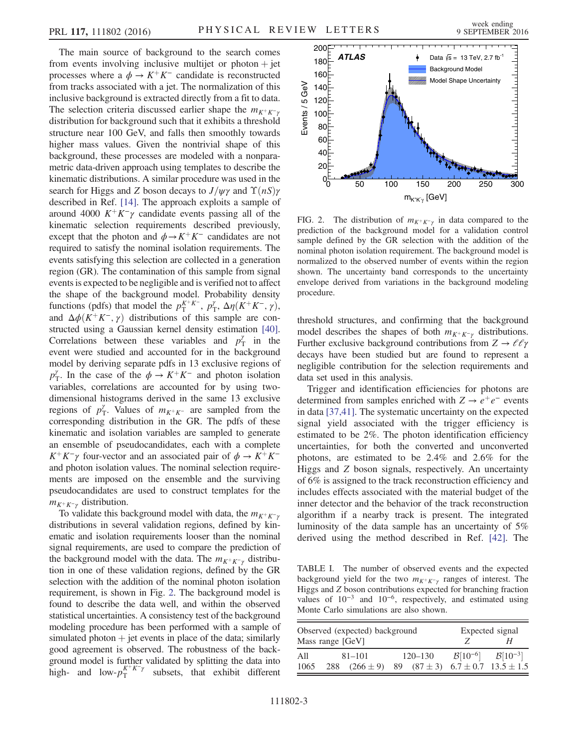<span id="page-3-0"></span>The main source of background to the search comes from events involving inclusive multijet or photon  $+$  jet processes where a  $\phi \rightarrow K^+K^-$  candidate is reconstructed from tracks associated with a jet. The normalization of this inclusive background is extracted directly from a fit to data. The selection criteria discussed earlier shape the  $m_{K^+K^-}$ distribution for background such that it exhibits a threshold structure near 100 GeV, and falls then smoothly towards higher mass values. Given the nontrivial shape of this background, these processes are modeled with a nonparametric data-driven approach using templates to describe the kinematic distributions. A similar procedure was used in the search for Higgs and Z boson decays to  $J/\psi\gamma$  and  $\Upsilon(nS)\gamma$ described in Ref. [\[14\].](#page-4-9) The approach exploits a sample of around 4000 K<sup>+</sup>K<sup>-</sup> $\gamma$  candidate events passing all of the kinematic selection requirements described previously, except that the photon and  $\phi \rightarrow K^+K^-$  candidates are not required to satisfy the nominal isolation requirements. The events satisfying this selection are collected in a generation region (GR). The contamination of this sample from signal events is expected to be negligible and is verified not to affect the shape of the background model. Probability density functions (pdfs) that model the  $p_{\rm T}^{K^+K^-}$ ,  $p_{\rm T}^{\gamma}$ ,  $\Delta \eta (K^+K^-$ ,  $\gamma)$ , and  $\Delta \phi (K^+ K^-$ ,  $\gamma$ ) distributions of this sample are constructed using a Gaussian kernel density estimation [\[40\]](#page-5-7). Correlations between these variables and  $p_T^{\gamma}$  in the event were studied and accounted for in the background model by deriving separate pdfs in 13 exclusive regions of  $p_T^{\gamma}$ . In the case of the  $\phi \to K^+K^-$  and photon isolation variables, correlations are accounted for by using twodimensional histograms derived in the same 13 exclusive regions of  $p_T^{\gamma}$ . Values of  $m_{K^+K^-}$  are sampled from the corresponding distribution in the GR. The pdfs of these kinematic and isolation variables are sampled to generate an ensemble of pseudocandidates, each with a complete  $K^+K^-\gamma$  four-vector and an associated pair of  $\phi \to K^+K^$ and photon isolation values. The nominal selection requirements are imposed on the ensemble and the surviving pseudocandidates are used to construct templates for the  $m_{K^+K^-\gamma}$  distribution.

To validate this background model with data, the  $m_{K^+K^-}$ distributions in several validation regions, defined by kinematic and isolation requirements looser than the nominal signal requirements, are used to compare the prediction of the background model with the data. The  $m_{K^+K^-}$  distribution in one of these validation regions, defined by the GR selection with the addition of the nominal photon isolation requirement, is shown in Fig. [2.](#page-2-0) The background model is found to describe the data well, and within the observed statistical uncertainties. A consistency test of the background modeling procedure has been performed with a sample of simulated photon  $+$  jet events in place of the data; similarly good agreement is observed. The robustness of the background model is further validated by splitting the data into high- and low- $p_T^{K^+K^-\gamma}$  subsets, that exhibit different

<span id="page-3-1"></span>

FIG. 2. The distribution of  $m_{K^+K^-\gamma}$  in data compared to the prediction of the background model for a validation control sample defined by the GR selection with the addition of the nominal photon isolation requirement. The background model is normalized to the observed number of events within the region shown. The uncertainty band corresponds to the uncertainty envelope derived from variations in the background modeling procedure.

threshold structures, and confirming that the background model describes the shapes of both  $m_{K^+K^- \gamma}$  distributions. Further exclusive background contributions from  $Z \to \ell \ell \gamma$ decays have been studied but are found to represent a negligible contribution for the selection requirements and data set used in this analysis.

Trigger and identification efficiencies for photons are determined from samples enriched with  $Z \rightarrow e^+e^-$  events in data [\[37,41\].](#page-5-4) The systematic uncertainty on the expected signal yield associated with the trigger efficiency is estimated to be 2%. The photon identification efficiency uncertainties, for both the converted and unconverted photons, are estimated to be 2.4% and 2.6% for the Higgs and Z boson signals, respectively. An uncertainty of 6% is assigned to the track reconstruction efficiency and includes effects associated with the material budget of the inner detector and the behavior of the track reconstruction algorithm if a nearby track is present. The integrated luminosity of the data sample has an uncertainty of 5% derived using the method described in Ref. [\[42\]](#page-5-8). The

TABLE I. The number of observed events and the expected background yield for the two  $m_{K^+K^- \gamma}$  ranges of interest. The Higgs and Z boson contributions expected for branching fraction values of  $10^{-3}$  and  $10^{-6}$ , respectively, and estimated using Monte Carlo simulations are also shown.

| Observed (expected) background<br>Mass range [GeV] |  |                                 |  |             |                        | Expected signal                                                        |
|----------------------------------------------------|--|---------------------------------|--|-------------|------------------------|------------------------------------------------------------------------|
| All<br>1065                                        |  | $81 - 101$<br>288 $(266 \pm 9)$ |  | $120 - 130$ | $\mathcal{B}[10^{-6}]$ | $\mathcal{B}[10^{-3}]$<br>89 $(87 \pm 3)$ $6.7 \pm 0.7$ $13.5 \pm 1.5$ |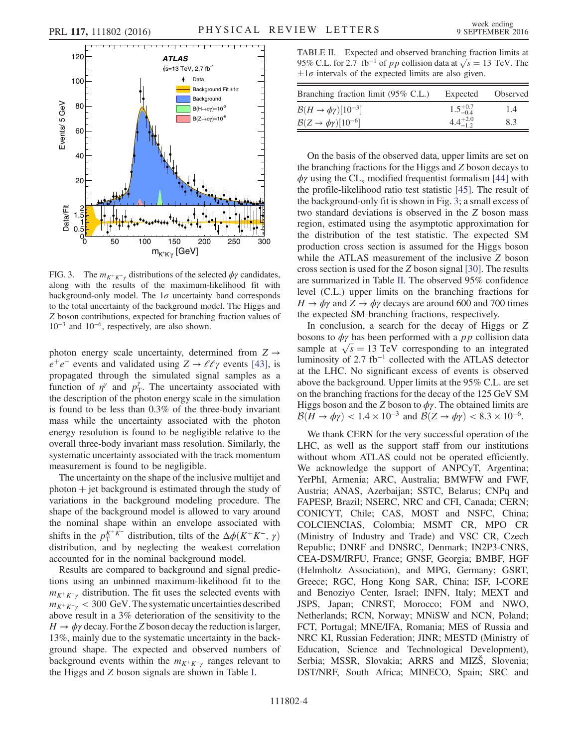

FIG. 3. The  $m_{K^+K^-\gamma}$  distributions of the selected  $\phi\gamma$  candidates, along with the results of the maximum-likelihood fit with background-only model. The  $1\sigma$  uncertainty band corresponds to the total uncertainty of the background model. The Higgs and Z boson contributions, expected for branching fraction values of 10−<sup>3</sup> and 10−<sup>6</sup> , respectively, are also shown.

<span id="page-4-0"></span>photon energy scale uncertainty, determined from  $Z \rightarrow$  $e^+e^-$  events and validated using  $Z \rightarrow \ell \ell \gamma$  events [\[43\],](#page-5-9) is propagated through the simulated signal samples as a function of  $\eta^{\gamma}$  and  $p_{\rm T}^{\gamma}$ . The uncertainty associated with the description of the photon energy scale in the simulation is found to be less than 0.3% of the three-body invariant mass while the uncertainty associated with the photon energy resolution is found to be negligible relative to the overall three-body invariant mass resolution. Similarly, the systematic uncertainty associated with the track momentum measurement is found to be negligible.

<span id="page-4-7"></span><span id="page-4-1"></span>The uncertainty on the shape of the inclusive multijet and  $photon + jet$  background is estimated through the study of variations in the background modeling procedure. The shape of the background model is allowed to vary around the nominal shape within an envelope associated with shifts in the  $p_T^{K^+K^-}$  distribution, tilts of the  $\Delta \phi (K^+K^-, \gamma)$ distribution, and by neglecting the weakest correlation accounted for in the nominal background model.

<span id="page-4-8"></span><span id="page-4-6"></span><span id="page-4-5"></span><span id="page-4-4"></span><span id="page-4-3"></span><span id="page-4-2"></span>Results are compared to background and signal predictions using an unbinned maximum-likelihood fit to the  $m_{K^+K^-\gamma}$  distribution. The fit uses the selected events with  $m_{K^+K^-\gamma}$  < 300 GeV. The systematic uncertainties described above result in a 3% deterioration of the sensitivity to the  $H \to \phi \gamma$  decay. For the Z boson decay the reduction is larger, 13%, mainly due to the systematic uncertainty in the background shape. The expected and observed numbers of background events within the  $m_{K^+K^-\gamma}$  ranges relevant to the Higgs and Z boson signals are shown in Table [I](#page-2-1).

TABLE II. Expected and observed branching fraction limits at 95% C.L. for 2.7 fb<sup>-1</sup> of pp collision data at  $\sqrt{s} = 13$  TeV. The  $\pm 1\sigma$  intervals of the expected limits are also given.

<span id="page-4-9"></span>

| Branching fraction limit (95% C.L.)       | Expected            | Observed |
|-------------------------------------------|---------------------|----------|
| $\mathcal{B}(H \to \phi \gamma)[10^{-3}]$ | $1.5^{+0.7}_{-0.4}$ | 1.4      |
| $\mathcal{B}(Z \to \phi \gamma)[10^{-6}]$ | $4.4^{+2.0}_{-1.2}$ | 8.3      |

<span id="page-4-13"></span><span id="page-4-12"></span><span id="page-4-11"></span><span id="page-4-10"></span>On the basis of the observed data, upper limits are set on the branching fractions for the Higgs and Z boson decays to  $\phi$ γ using the CL<sub>s</sub> modified frequentist formalism [\[44\]](#page-5-10) with the profile-likelihood ratio test statistic [\[45\]](#page-5-11). The result of the background-only fit is shown in Fig. [3](#page-3-0); a small excess of two standard deviations is observed in the Z boson mass region, estimated using the asymptotic approximation for the distribution of the test statistic. The expected SM production cross section is assumed for the Higgs boson while the ATLAS measurement of the inclusive Z boson cross section is used for the Z boson signal [\[30\].](#page-4-20) The results are summarized in Table [II.](#page-3-1) The observed 95% confidence level (C.L.) upper limits on the branching fractions for  $H \rightarrow \phi\gamma$  and  $Z \rightarrow \phi\gamma$  decays are around 600 and 700 times the expected SM branching fractions, respectively.

<span id="page-4-14"></span>In conclusion, a search for the decay of Higgs or Z bosons to  $\phi\gamma$  has been performed with a pp collision data sample at  $\sqrt{s} = 13$  TeV corresponding to an integrated luminosity of 2.7 fb<sup>−</sup><sup>1</sup> collected with the ATLAS detector at the LHC. No significant excess of events is observed above the background. Upper limits at the 95% C.L. are set on the branching fractions for the decay of the 125 GeV SM Higgs boson and the Z boson to  $\phi$ *γ*. The obtained limits are  $\mathcal{B}(H \to \phi \gamma) < 1.4 \times 10^{-3}$  and  $\mathcal{B}(Z \to \phi \gamma) < 8.3 \times 10^{-6}$ .

<span id="page-4-21"></span><span id="page-4-20"></span><span id="page-4-19"></span><span id="page-4-18"></span><span id="page-4-17"></span><span id="page-4-16"></span><span id="page-4-15"></span>We thank CERN for the very successful operation of the LHC, as well as the support staff from our institutions without whom ATLAS could not be operated efficiently. We acknowledge the support of ANPCyT, Argentina; YerPhI, Armenia; ARC, Australia; BMWFW and FWF, Austria; ANAS, Azerbaijan; SSTC, Belarus; CNPq and FAPESP, Brazil; NSERC, NRC and CFI, Canada; CERN; CONICYT, Chile; CAS, MOST and NSFC, China; COLCIENCIAS, Colombia; MSMT CR, MPO CR (Ministry of Industry and Trade) and VSC CR, Czech Republic; DNRF and DNSRC, Denmark; IN2P3-CNRS, CEA-DSM/IRFU, France; GNSF, Georgia; BMBF, HGF (Helmholtz Association), and MPG, Germany; GSRT, Greece; RGC, Hong Kong SAR, China; ISF, I-CORE and Benoziyo Center, Israel; INFN, Italy; MEXT and JSPS, Japan; CNRST, Morocco; FOM and NWO, Netherlands; RCN, Norway; MNiSW and NCN, Poland; FCT, Portugal; MNE/IFA, Romania; MES of Russia and NRC KI, Russian Federation; JINR; MESTD (Ministry of Education, Science and Technological Development), Serbia; MSSR, Slovakia; ARRS and MIZŠ, Slovenia; DST/NRF, South Africa; MINECO, Spain; SRC and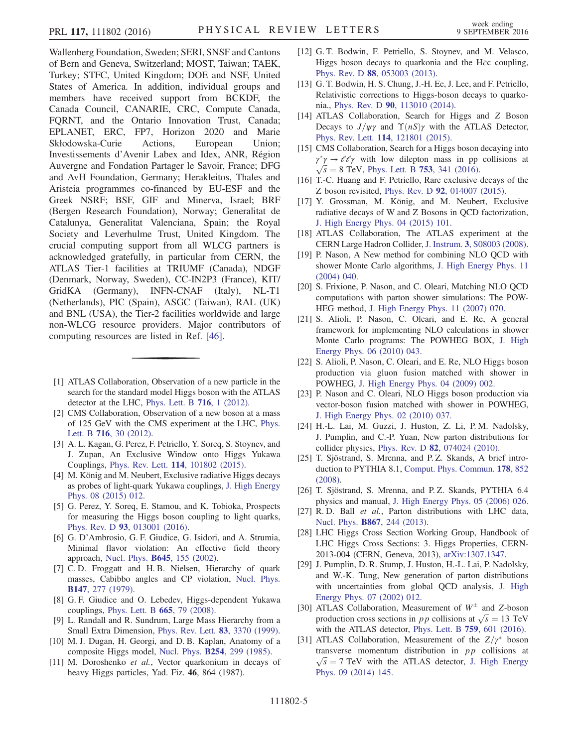<span id="page-5-4"></span><span id="page-5-3"></span><span id="page-5-2"></span><span id="page-5-1"></span><span id="page-5-0"></span>Wallenberg Foundation, Sweden; SERI, SNSF and Cantons of Bern and Geneva, Switzerland; MOST, Taiwan; TAEK, Turkey; STFC, United Kingdom; DOE and NSF, United States of America. In addition, individual groups and members have received support from BCKDF, the Canada Council, CANARIE, CRC, Compute Canada, FQRNT, and the Ontario Innovation Trust, Canada; EPLANET, ERC, FP7, Horizon 2020 and Marie Skłodowska-Curie Actions, European Union; Investissements d'Avenir Labex and Idex, ANR, Région Auvergne and Fondation Partager le Savoir, France; DFG and AvH Foundation, Germany; Herakleitos, Thales and Aristeia programmes co-financed by EU-ESF and the Greek NSRF; BSF, GIF and Minerva, Israel; BRF (Bergen Research Foundation), Norway; Generalitat de Catalunya, Generalitat Valenciana, Spain; the Royal Society and Leverhulme Trust, United Kingdom. The crucial computing support from all WLCG partners is acknowledged gratefully, in particular from CERN, the ATLAS Tier-1 facilities at TRIUMF (Canada), NDGF (Denmark, Norway, Sweden), CC-IN2P3 (France), KIT/ GridKA (Germany), INFN-CNAF (Italy), NL-T1 (Netherlands), PIC (Spain), ASGC (Taiwan), RAL (UK) and BNL (USA), the Tier-2 facilities worldwide and large non-WLCG resource providers. Major contributors of computing resources are listed in Ref. [\[46\].](#page-5-12)

- <span id="page-5-15"></span><span id="page-5-14"></span><span id="page-5-5"></span>[1] ATLAS Collaboration, Observation of a new particle in the search for the standard model Higgs boson with the ATLAS detector at the LHC, [Phys. Lett. B](http://dx.doi.org/10.1016/j.physletb.2012.08.020) 716, 1 (2012).
- [2] CMS Collaboration, Observation of a new boson at a mass of 125 GeV with the CMS experiment at the LHC, [Phys.](http://dx.doi.org/10.1016/j.physletb.2012.08.021) Lett. B 716[, 30 \(2012\)](http://dx.doi.org/10.1016/j.physletb.2012.08.021).
- [3] A. L. Kagan, G. Perez, F. Petriello, Y. Soreq, S. Stoynev, and J. Zupan, An Exclusive Window onto Higgs Yukawa Couplings, Phys. Rev. Lett. 114[, 101802 \(2015\)](http://dx.doi.org/10.1103/PhysRevLett.114.101802).
- <span id="page-5-13"></span>[4] M. König and M. Neubert, Exclusive radiative Higgs decays as probes of light-quark Yukawa couplings, [J. High Energy](http://dx.doi.org/10.1007/JHEP08(2015)012) [Phys. 08 \(2015\) 012.](http://dx.doi.org/10.1007/JHEP08(2015)012)
- [5] G. Perez, Y. Soreq, E. Stamou, and K. Tobioka, Prospects for measuring the Higgs boson coupling to light quarks, Phys. Rev. D 93[, 013001 \(2016\)](http://dx.doi.org/10.1103/PhysRevD.93.013001).
- <span id="page-5-17"></span>[6] G. D'Ambrosio, G. F. Giudice, G. Isidori, and A. Strumia, Minimal flavor violation: An effective field theory approach, Nucl. Phys. B645[, 155 \(2002\)](http://dx.doi.org/10.1016/S0550-3213(02)00836-2).
- <span id="page-5-18"></span><span id="page-5-16"></span>[7] C. D. Froggatt and H. B. Nielsen, Hierarchy of quark masses, Cabibbo angles and CP violation, [Nucl. Phys.](http://dx.doi.org/10.1016/0550-3213(79)90316-X) B147[, 277 \(1979\).](http://dx.doi.org/10.1016/0550-3213(79)90316-X)
- [8] G. F. Giudice and O. Lebedev, Higgs-dependent Yukawa couplings, [Phys. Lett. B](http://dx.doi.org/10.1016/j.physletb.2008.05.062) 665, 79 (2008).
- <span id="page-5-19"></span>[9] L. Randall and R. Sundrum, Large Mass Hierarchy from a Small Extra Dimension, [Phys. Rev. Lett.](http://dx.doi.org/10.1103/PhysRevLett.83.3370) 83, 3370 (1999).
- <span id="page-5-20"></span>[10] M. J. Dugan, H. Georgi, and D. B. Kaplan, Anatomy of a composite Higgs model, Nucl. Phys. B254[, 299 \(1985\)](http://dx.doi.org/10.1016/0550-3213(85)90221-4).
- [11] M. Doroshenko et al., Vector quarkonium in decays of heavy Higgs particles, Yad. Fiz. 46, 864 (1987).
- <span id="page-5-6"></span>[12] G. T. Bodwin, F. Petriello, S. Stoynev, and M. Velasco, Higgs boson decays to quarkonia and the Hcc coupling, Phys. Rev. D 88[, 053003 \(2013\)](http://dx.doi.org/10.1103/PhysRevD.88.053003).
- <span id="page-5-7"></span>[13] G. T. Bodwin, H. S. Chung, J.-H. Ee, J. Lee, and F. Petriello, Relativistic corrections to Higgs-boson decays to quarkonia., Phys. Rev. D 90[, 113010 \(2014\).](http://dx.doi.org/10.1103/PhysRevD.90.113010)
- <span id="page-5-8"></span>[14] ATLAS Collaboration, Search for Higgs and Z Boson Decays to  $J/\psi\gamma$  and  $\Upsilon(nS)\gamma$  with the ATLAS Detector, Phys. Rev. Lett. 114[, 121801 \(2015\).](http://dx.doi.org/10.1103/PhysRevLett.114.121801)
- <span id="page-5-9"></span>[15] CMS Collaboration, Search for a Higgs boson decaying into  $\gamma^* \gamma \to \ell \ell \gamma$  with low dilepton mass in pp collisions at  $\sqrt{s}$  = 8 TeV, [Phys. Lett. B](http://dx.doi.org/10.1016/j.physletb.2015.12.039) 753, 341 (2016).
- [16] T.-C. Huang and F. Petriello, Rare exclusive decays of the Z boson revisited, Phys. Rev. D 92[, 014007 \(2015\)](http://dx.doi.org/10.1103/PhysRevD.92.014007).
- <span id="page-5-11"></span><span id="page-5-10"></span>[17] Y. Grossman, M. König, and M. Neubert, Exclusive radiative decays of W and Z Bosons in QCD factorization, [J. High Energy Phys. 04 \(2015\) 101.](http://dx.doi.org/10.1007/JHEP04(2015)101)
- [18] ATLAS Collaboration, The ATLAS experiment at the CERN Large Hadron Collider, J. Instrum. 3[, S08003 \(2008\).](http://dx.doi.org/10.1088/1748-0221/3/08/S08003)
- <span id="page-5-12"></span>[19] P. Nason, A New method for combining NLO QCD with shower Monte Carlo algorithms, [J. High Energy Phys. 11](http://dx.doi.org/10.1088/1126-6708/2004/11/040) [\(2004\) 040.](http://dx.doi.org/10.1088/1126-6708/2004/11/040)
- [20] S. Frixione, P. Nason, and C. Oleari, Matching NLO QCD computations with parton shower simulations: The POW-HEG method, [J. High Energy Phys. 11 \(2007\) 070.](http://dx.doi.org/10.1088/1126-6708/2007/11/070)
- [21] S. Alioli, P. Nason, C. Oleari, and E. Re, A general framework for implementing NLO calculations in shower Monte Carlo programs: The POWHEG BOX, [J. High](http://dx.doi.org/10.1007/JHEP06(2010)043) [Energy Phys. 06 \(2010\) 043.](http://dx.doi.org/10.1007/JHEP06(2010)043)
- [22] S. Alioli, P. Nason, C. Oleari, and E. Re, NLO Higgs boson production via gluon fusion matched with shower in POWHEG, [J. High Energy Phys. 04 \(2009\) 002.](http://dx.doi.org/10.1088/1126-6708/2009/04/002)
- [23] P. Nason and C. Oleari, NLO Higgs boson production via vector-boson fusion matched with shower in POWHEG, [J. High Energy Phys. 02 \(2010\) 037.](http://dx.doi.org/10.1007/JHEP02(2010)037)
- [24] H.-L. Lai, M. Guzzi, J. Huston, Z. Li, P.M. Nadolsky, J. Pumplin, and C.-P. Yuan, New parton distributions for collider physics, Phys. Rev. D 82[, 074024 \(2010\)](http://dx.doi.org/10.1103/PhysRevD.82.074024).
- [25] T. Sjöstrand, S. Mrenna, and P. Z. Skands, A brief introduction to PYTHIA 8.1, [Comput. Phys. Commun.](http://dx.doi.org/10.1016/j.cpc.2008.01.036) 178, 852 [\(2008\).](http://dx.doi.org/10.1016/j.cpc.2008.01.036)
- [26] T. Sjöstrand, S. Mrenna, and P. Z. Skands, PYTHIA 6.4 physics and manual, [J. High Energy Phys. 05 \(2006\) 026.](http://dx.doi.org/10.1088/1126-6708/2006/05/026)
- [27] R. D. Ball et al., Parton distributions with LHC data, Nucl. Phys. B867[, 244 \(2013\).](http://dx.doi.org/10.1016/j.nuclphysb.2012.10.003)
- [28] LHC Higgs Cross Section Working Group, Handbook of LHC Higgs Cross Sections: 3. Higgs Properties, CERN-2013-004 (CERN, Geneva, 2013), [arXiv:1307.1347.](http://arXiv.org/abs/1307.1347)
- [29] J. Pumplin, D. R. Stump, J. Huston, H.-L. Lai, P. Nadolsky, and W.-K. Tung, New generation of parton distributions with uncertainties from global QCD analysis, [J. High](http://dx.doi.org/10.1088/1126-6708/2002/07/012) [Energy Phys. 07 \(2002\) 012.](http://dx.doi.org/10.1088/1126-6708/2002/07/012)
- [30] ATLAS Collaboration, Measurement of  $W^{\pm}$  and Z-boson production cross sections in pp collisions at  $\sqrt{s} = 13$  TeV with the ATLAS detector, [Phys. Lett. B](http://dx.doi.org/10.1016/j.physletb.2016.06.023) 759, 601 (2016).
- [31] ATLAS Collaboration, Measurement of the  $Z/\gamma^*$  boson transverse momentum distribution in  $pp$  collisions at  $\sqrt{s}$  = 7 TeV with the ATLAS detector, [J. High Energy](http://dx.doi.org/10.1007/JHEP09(2014)145) [Phys. 09 \(2014\) 145.](http://dx.doi.org/10.1007/JHEP09(2014)145)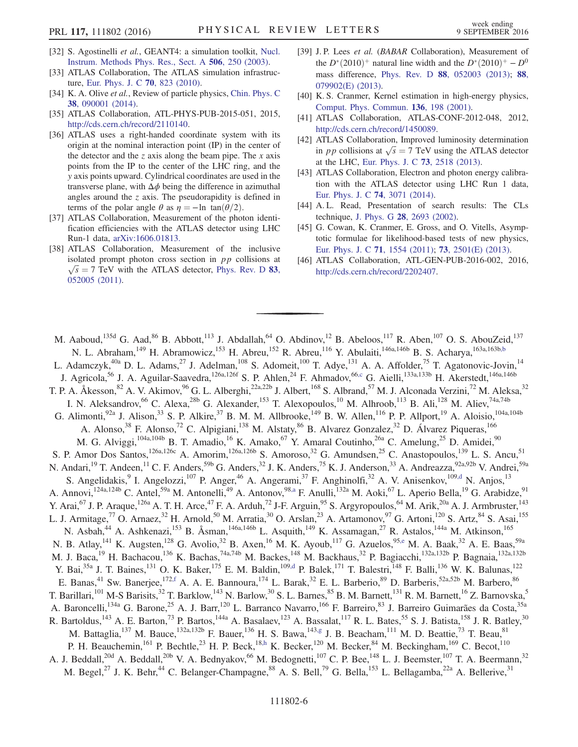- [32] S. Agostinelli et al., GEANT4: a simulation toolkit, [Nucl.](http://dx.doi.org/10.1016/S0168-9002(03)01368-8) [Instrum. Methods Phys. Res., Sect. A](http://dx.doi.org/10.1016/S0168-9002(03)01368-8) 506, 250 (2003).
- [33] ATLAS Collaboration, The ATLAS simulation infrastructure, [Eur. Phys. J. C](http://dx.doi.org/10.1140/epjc/s10052-010-1429-9) 70, 823 (2010).
- [34] K. A. Olive et al., Review of particle physics, [Chin. Phys. C](http://dx.doi.org/10.1088/1674-1137/38/9/090001) 38[, 090001 \(2014\).](http://dx.doi.org/10.1088/1674-1137/38/9/090001)
- [35] ATLAS Collaboration, ATL-PHYS-PUB-2015-051, 2015, [http://cds.cern.ch/record/2110140.](http://cds.cern.ch/record/2110140)
- [36] ATLAS uses a right-handed coordinate system with its origin at the nominal interaction point (IP) in the center of the detector and the z axis along the beam pipe. The  $x$  axis points from the IP to the center of the LHC ring, and the y axis points upward. Cylindrical coordinates are used in the transverse plane, with  $\Delta \phi$  being the difference in azimuthal angles around the  $z$  axis. The pseudorapidity is defined in terms of the polar angle  $\theta$  as  $\eta = -\ln \tan(\theta/2)$ .
- [37] ATLAS Collaboration, Measurement of the photon identification efficiencies with the ATLAS detector using LHC Run-1 data, [arXiv:1606.01813.](http://arXiv.org/abs/1606.01813)
- [38] ATLAS Collaboration, Measurement of the inclusive isolated prompt photon cross section in  $pp$  collisions at  $\sqrt{s}$  = 7 TeV with the ATLAS detector, [Phys. Rev. D](http://dx.doi.org/10.1103/PhysRevD.83.052005) 83, [052005 \(2011\).](http://dx.doi.org/10.1103/PhysRevD.83.052005)
- [39] J. P. Lees et al. (BABAR Collaboration), Measurement of the  $D^*(2010)^+$  natural line width and the  $D^*(2010)^+ - D^0$ mass difference, Phys. Rev. D 88[, 052003 \(2013\)](http://dx.doi.org/10.1103/PhysRevD.88.052003); [88](http://dx.doi.org/10.1103/PhysRevD.88.079902), [079902\(E\) \(2013\).](http://dx.doi.org/10.1103/PhysRevD.88.079902)
- [40] K. S. Cranmer, Kernel estimation in high-energy physics, [Comput. Phys. Commun.](http://dx.doi.org/10.1016/S0010-4655(00)00243-5) 136, 198 (2001).
- [41] ATLAS Collaboration, ATLAS-CONF-2012-048, 2012, [http://cds.cern.ch/record/1450089.](http://cds.cern.ch/record/1450089)
- [42] ATLAS Collaboration, Improved luminosity determination in *pp* collisions at  $\sqrt{s} = 7$  TeV using the ATLAS detector at the LHC, [Eur. Phys. J. C](http://dx.doi.org/10.1140/epjc/s10052-013-2518-3) 73, 2518 (2013).
- [43] ATLAS Collaboration, Electron and photon energy calibration with the ATLAS detector using LHC Run 1 data, [Eur. Phys. J. C](http://dx.doi.org/10.1140/epjc/s10052-014-3071-4) 74, 3071 (2014).
- [44] A. L. Read, Presentation of search results: The CLs technique, J. Phys. G 28[, 2693 \(2002\)](http://dx.doi.org/10.1088/0954-3899/28/10/313).
- [45] G. Cowan, K. Cranmer, E. Gross, and O. Vitells, Asymptotic formulae for likelihood-based tests of new physics, [Eur. Phys. J. C](http://dx.doi.org/10.1140/epjc/s10052-011-1554-0) 71, 1554 (2011); 73[, 2501\(E\) \(2013\).](http://dx.doi.org/10.1140/epjc/s10052-013-2501-z)
- [46] ATLAS Collaboration, ATL-GEN-PUB-2016-002, 2016, [http://cds.cern.ch/record/2202407.](http://cds.cern.ch/record/2202407)

<span id="page-6-4"></span><span id="page-6-3"></span><span id="page-6-2"></span><span id="page-6-1"></span><span id="page-6-0"></span>M. Aaboud,<sup>135d</sup> G. Aad,<sup>86</sup> B. Abbott,<sup>113</sup> J. Abdallah,<sup>64</sup> O. Abdinov,<sup>12</sup> B. Abeloos,<sup>117</sup> R. Aben,<sup>107</sup> O. S. AbouZeid,<sup>137</sup> N. L. Abraham,<sup>149</sup> H. Abramowicz,<sup>153</sup> H. Abreu,<sup>152</sup> R. Abreu,<sup>116</sup> Y. Abulaiti,<sup>146a,146b</sup> B. S. Acharya,<sup>163a,163[b,b](#page-17-0)</sup> L. Adamczyk,<sup>40a</sup> D. L. Adams,<sup>27</sup> J. Adelman,<sup>108</sup> S. Adomeit,<sup>100</sup> T. Adye,<sup>131</sup> A. A. Affolder,<sup>75</sup> T. Agatonovic-Jovin,<sup>14</sup> J. Agricola,<sup>56</sup> J. A. Aguilar-Saavedra,<sup>126a,126f</sup> S. P. Ahlen,<sup>24</sup> F. Ahmadov,<sup>6[6,c](#page-17-1)</sup> G. Aielli,<sup>133a,133b</sup> H. Akerstedt,<sup>146a,146b</sup> T. P. A. Åkesson,<sup>82</sup> A. V. Akimov,<sup>96</sup> G. L. Alberghi,<sup>22a,22b</sup> J. Albert,<sup>168</sup> S. Albrand,<sup>57</sup> M. J. Alconada Verzini,<sup>72</sup> M. Aleksa,<sup>32</sup> I. N. Aleksandrov, <sup>66</sup> C. Alexa, <sup>28b</sup> G. Alexander, <sup>153</sup> T. Alexopoulos, <sup>10</sup> M. Alhroob, <sup>113</sup> B. Ali, <sup>128</sup> M. Aliev, <sup>74a, 74b</sup> G. Alimonti,<sup>92a</sup> J. Alison,<sup>33</sup> S. P. Alkire,<sup>37</sup> B. M. M. Allbrooke,<sup>149</sup> B. W. Allen,<sup>116</sup> P. P. Allport,<sup>19</sup> A. Aloisio,<sup>104a,104b</sup> A. Alonso,<sup>38</sup> F. Alonso,<sup>72</sup> C. Alpigiani,<sup>138</sup> M. Alstaty,<sup>86</sup> B. Alvarez Gonzalez,<sup>32</sup> D. Álvarez Piqueras,<sup>166</sup> M. G. Alviggi,<sup>104a,104b</sup> B. T. Amadio,<sup>16</sup> K. Amako,<sup>67</sup> Y. Amaral Coutinho,<sup>26a</sup> C. Amelung,<sup>25</sup> D. Amidei,<sup>90</sup> S. P. Amor Dos Santos,<sup>126a,126c</sup> A. Amorim,<sup>126a,126b</sup> S. Amoroso,<sup>32</sup> G. Amundsen,<sup>25</sup> C. Anastopoulos,<sup>139</sup> L. S. Ancu,<sup>51</sup> N. Andari,<sup>19</sup> T. Andeen,<sup>11</sup> C. F. Anders,<sup>59b</sup> G. Anders,<sup>32</sup> J. K. Anders,<sup>75</sup> K. J. Anderson,<sup>33</sup> A. Andreazza,<sup>92a,92b</sup> V. Andrei,<sup>59a</sup> S. Angelidakis, <sup>9</sup> I. Angelozzi,<sup>107</sup> P. Anger,<sup>46</sup> A. Angerami,<sup>37</sup> F. Anghinolfi,<sup>32</sup> A. V. Anisenkov,<sup>10[9,d](#page-17-2)</sup> N. Anjos,<sup>13</sup> A. Annovi, <sup>124a,124b</sup> C. Antel,<sup>59a</sup> M. Antonelli,<sup>49</sup> A. Antonov,<sup>9[8,a](#page-17-3)</sup> F. Anulli,<sup>132a</sup> M. Aoki,<sup>67</sup> L. Aperio Bella,<sup>19</sup> G. Arabidze,<sup>91</sup> Y. Arai, <sup>67</sup> J. P. Araque, <sup>126a</sup> A. T. H. Arce, <sup>47</sup> F. A. Arduh, <sup>72</sup> J-F. Arguin, <sup>95</sup> S. Argyropoulos, <sup>64</sup> M. Arik, <sup>20a</sup> A. J. Armbruster, <sup>143</sup> L. J. Armitage,<sup>77</sup> O. Arnaez,<sup>32</sup> H. Arnold,<sup>50</sup> M. Arratia,<sup>30</sup> O. Arslan,<sup>23</sup> A. Artamonov,<sup>97</sup> G. Artoni,<sup>120</sup> S. Artz,<sup>84</sup> S. Asai,<sup>155</sup> N. Asbah,<sup>44</sup> A. Ashkenazi,<sup>153</sup> B. Åsman,<sup>146a,146b</sup> L. Asquith,<sup>149</sup> K. Assamagan,<sup>27</sup> R. Astalos,<sup>144a</sup> M. Atkinson,<sup>165</sup> N. B. Atlay,<sup>141</sup> K. Augsten,<sup>128</sup> G. Avolio,<sup>32</sup> B. Axen,<sup>16</sup> M. K. Ayoub,<sup>117</sup> G. Azuelos,<sup>95[,e](#page-17-4)</sup> M. A. Baak,<sup>32</sup> A. E. Baas,<sup>59a</sup> M. J. Baca,<sup>19</sup> H. Bachacou,<sup>136</sup> K. Bachas,<sup>74a,74b</sup> M. Backes,<sup>148</sup> M. Backhaus,<sup>32</sup> P. Bagiacchi,<sup>132a,132b</sup> P. Bagnaia,<sup>132a,132b</sup> Y. Bai,<sup>35a</sup> J. T. Baines,<sup>131</sup> O. K. Baker,<sup>175</sup> E. M. Baldin,<sup>10[9,d](#page-17-2)</sup> P. Balek,<sup>171</sup> T. Balestri,<sup>148</sup> F. Balli,<sup>136</sup> W. K. Balunas,<sup>122</sup> E. Banas,<sup>41</sup> Sw. Banerjee,<sup>17[2,f](#page-17-5)</sup> A. A. E. Bannoura,<sup>174</sup> L. Barak,<sup>32</sup> E. L. Barberio,<sup>89</sup> D. Barberis,<sup>52a,52b</sup> M. Barbero,<sup>86</sup> T. Barillari,<sup>101</sup> M-S Barisits,<sup>32</sup> T. Barklow,<sup>143</sup> N. Barlow,<sup>30</sup> S. L. Barnes,<sup>85</sup> B. M. Barnett,<sup>131</sup> R. M. Barnett,<sup>16</sup> Z. Barnovska,<sup>5</sup> A. Baroncelli,<sup>134a</sup> G. Barone,<sup>25</sup> A. J. Barr,<sup>120</sup> L. Barranco Navarro,<sup>166</sup> F. Barreiro,<sup>83</sup> J. Barreiro Guimarães da Costa,<sup>35a</sup> R. Bartoldus,<sup>143</sup> A. E. Barton,<sup>73</sup> P. Bartos,<sup>144a</sup> A. Basalaev,<sup>123</sup> A. Bassalat,<sup>117</sup> R. L. Bates,<sup>55</sup> S. J. Batista,<sup>158</sup> J. R. Batley,<sup>30</sup> M. Battaglia,<sup>137</sup> M. Bauce,<sup>132a,132b</sup> F. Bauer,<sup>136</sup> H. S. Bawa,<sup>143[,g](#page-17-6)</sup> J. B. Beacham,<sup>111</sup> M. D. Beattie,<sup>73</sup> T. Beau,<sup>81</sup> P. H. Beauchemin,<sup>161</sup> P. Bechtle,<sup>23</sup> H. P. Beck,<sup>18[,h](#page-17-7)</sup> K. Becker,<sup>120</sup> M. Becker,<sup>84</sup> M. Beckingham,<sup>169</sup> C. Becot,<sup>110</sup> A. J. Beddall,<sup>20d</sup> A. Beddall,<sup>20b</sup> V. A. Bednyakov,<sup>66</sup> M. Bedognetti,<sup>107</sup> C. P. Bee,<sup>148</sup> L. J. Beemster,<sup>107</sup> T. A. Beermann,<sup>32</sup> M. Begel,<sup>27</sup> J. K. Behr,<sup>44</sup> C. Belanger-Champagne,<sup>88</sup> A. S. Bell,<sup>79</sup> G. Bella,<sup>153</sup> L. Bellagamba,<sup>22a</sup> A. Bellerive,<sup>31</sup>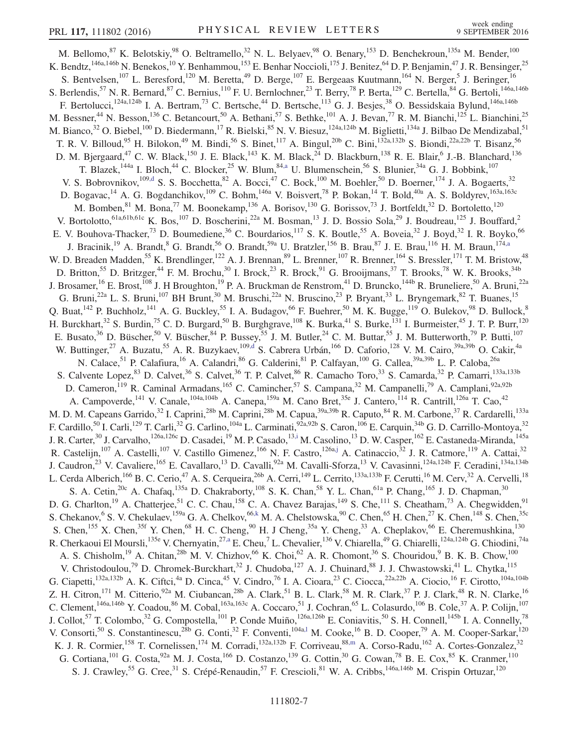<span id="page-7-2"></span><span id="page-7-1"></span><span id="page-7-0"></span>M. Bellomo,<sup>87</sup> K. Belotskiy,<sup>98</sup> O. Beltramello,<sup>32</sup> N. L. Belyaev,<sup>98</sup> O. Benary,<sup>153</sup> D. Benchekroun,<sup>135a</sup> M. Bender,<sup>100</sup> K. Bendtz,  $^{146a,146b}$  N. Benekos,  $^{10}$  Y. Benhammou,  $^{153}$  E. Benhar Noccioli,  $^{175}$  J. Benitez,  $^{64}$  D. P. Benjamin,  $^{47}$  J. R. Bensinger,  $^{25}$ S. Bentvelsen,<sup>107</sup> L. Beresford,<sup>120</sup> M. Beretta,<sup>49</sup> D. Berge,<sup>107</sup> E. Bergeaas Kuutmann,<sup>164</sup> N. Berger,<sup>5</sup> J. Beringer,<sup>16</sup> S. Berlendis,<sup>57</sup> N. R. Bernard,<sup>87</sup> C. Bernius,<sup>110</sup> F. U. Bernlochner,<sup>23</sup> T. Berry,<sup>78</sup> P. Berta,<sup>129</sup> C. Bertella,<sup>84</sup> G. Bertoli,<sup>146a,146b</sup> F. Bertolucci,<sup>124a,124b</sup> I. A. Bertram,<sup>73</sup> C. Bertsche,<sup>44</sup> D. Bertsche,<sup>113</sup> G. J. Besjes,<sup>38</sup> O. Bessidskaia Bylund,<sup>146a,146b</sup> M. Bessner,<sup>44</sup> N. Besson,<sup>136</sup> C. Betancourt,<sup>50</sup> A. Bethani,<sup>57</sup> S. Bethke,<sup>101</sup> A. J. Bevan,<sup>77</sup> R. M. Bianchi,<sup>125</sup> L. Bianchini,<sup>25</sup> M. Bianco,<sup>32</sup> O. Biebel,<sup>100</sup> D. Biedermann,<sup>17</sup> R. Bielski,<sup>85</sup> N. V. Biesuz,<sup>124a,124b</sup> M. Biglietti,<sup>134a</sup> J. Bilbao De Mendizabal,<sup>51</sup> T. R. V. Billoud, <sup>95</sup> H. Bilokon, <sup>49</sup> M. Bindi, <sup>56</sup> S. Binet, <sup>117</sup> A. Bingul, <sup>20b</sup> C. Bini, <sup>132a, 132b</sup> S. Biondi, <sup>22a, 22b</sup> T. Bisanz, <sup>56</sup> D. M. Bjergaard,<sup>47</sup> C. W. Black,<sup>150</sup> J. E. Black,<sup>143</sup> K. M. Black,<sup>24</sup> D. Blackburn,<sup>138</sup> R. E. Blair,<sup>6</sup> J.-B. Blanchard,<sup>136</sup> T. Blazek,<sup>144a</sup> I. Bloch,<sup>44</sup> C. Blocker,<sup>25</sup> W. Blum,<sup>84[,a](#page-17-3)</sup> U. Blumenschein,<sup>56</sup> S. Blunier,<sup>34a</sup> G. J. Bobbink,<sup>107</sup> V. S. Bobrovnikov,  $^{109,d}$  $^{109,d}$  $^{109,d}$  S. S. Bocchetta,  $^{82}$  A. Bocci,  $^{47}$  C. Bock,  $^{100}$  M. Boehler,  $^{50}$  D. Boerner,  $^{174}$  J. A. Bogaerts,  $^{32}$ D. Bogavac,<sup>14</sup> A. G. Bogdanchikov,<sup>109</sup> C. Bohm,<sup>146a</sup> V. Boisvert,<sup>78</sup> P. Bokan,<sup>14</sup> T. Bold,<sup>40a</sup> A. S. Boldyrev,<sup>163a,163c</sup> M. Bomben, <sup>81</sup> M. Bona, <sup>77</sup> M. Boonekamp,  $136$  A. Borisov,  $130$  G. Borissov,  $73$  J. Bortfeldt,  $32$  D. Bortoletto,  $120$ V. Bortolotto,  $61a,61b,61c$  K. Bos,  $107$  D. Boscherini,  $22a$  M. Bosman,  $13$  J. D. Bossio Sola,  $29$  J. Boudreau,  $125$  J. Bouffard,  $22a$ E. V. Bouhova-Thacker,<sup>73</sup> D. Boumediene,<sup>36</sup> C. Bourdarios,<sup>117</sup> S. K. Boutle,<sup>55</sup> A. Boveia,<sup>32</sup> J. Boyd,<sup>32</sup> I. R. Boyko,<sup>66</sup> J. Bracinik,<sup>19</sup> A. Brandt,<sup>8</sup> G. Brandt,<sup>56</sup> O. Brandt,<sup>59a</sup> U. Bratzler,<sup>156</sup> B. Brau,<sup>87</sup> J. E. Brau,<sup>116</sup> H. M. Braun,<sup>174[,a](#page-17-3)</sup> W. D. Breaden Madden,<sup>55</sup> K. Brendlinger,<sup>122</sup> A. J. Brennan,<sup>89</sup> L. Brenner,<sup>107</sup> R. Brenner,<sup>164</sup> S. Bressler,<sup>171</sup> T. M. Bristow,<sup>48</sup> D. Britton,<sup>55</sup> D. Britzger,<sup>44</sup> F. M. Brochu,<sup>30</sup> I. Brock,<sup>23</sup> R. Brock,<sup>91</sup> G. Brooijmans,<sup>37</sup> T. Brooks,<sup>78</sup> W. K. Brooks,<sup>34b</sup> J. Brosamer, <sup>16</sup> E. Brost, <sup>108</sup> J. H Broughton, <sup>19</sup> P. A. Bruckman de Renstrom, <sup>41</sup> D. Bruncko, <sup>144b</sup> R. Bruneliere, <sup>50</sup> A. Bruni, <sup>22a</sup> G. Bruni,<sup>22a</sup> L. S. Bruni,<sup>107</sup> BH Brunt,<sup>30</sup> M. Bruschi,<sup>22a</sup> N. Bruscino,<sup>23</sup> P. Bryant,<sup>33</sup> L. Bryngemark,<sup>82</sup> T. Buanes,<sup>15</sup> Q. Buat,  $^{142}$  P. Buchholz,  $^{141}$  A. G. Buckley,  $^{55}$  I. A. Budagov,  $^{66}$  F. Buehrer,  $^{50}$  M. K. Bugge,  $^{119}$  O. Bulekov,  $^{98}$  D. Bullock,  $^{8}$ H. Burckhart,<sup>32</sup> S. Burdin,<sup>75</sup> C. D. Burgard,<sup>50</sup> B. Burghgrave,<sup>108</sup> K. Burka,<sup>41</sup> S. Burke,<sup>131</sup> I. Burmeister,<sup>45</sup> J. T. P. Burr,<sup>120</sup> E. Busato,<sup>36</sup> D. Büscher,<sup>50</sup> V. Büscher,<sup>84</sup> P. Bussey,<sup>55</sup> J. M. Butler,<sup>24</sup> C. M. Buttar,<sup>55</sup> J. M. Butterworth,<sup>79</sup> P. Butti,<sup>107</sup> W. Buttinger,<sup>27</sup> A. Buzatu,<sup>55</sup> A. R. Buzykaev,<sup>10[9,d](#page-17-2)</sup> S. Cabrera Urbán,<sup>166</sup> D. Caforio,<sup>128</sup> V. M. Cairo,<sup>39a,39b</sup> O. Cakir,<sup>4a</sup> N. Calace,<sup>51</sup> P. Calafiura,<sup>16</sup> A. Calandri,<sup>86</sup> G. Calderini,<sup>81</sup> P. Calfayan,<sup>100</sup> G. Callea,<sup>39a,39b</sup> L. P. Caloba,<sup>26a</sup> S. Calvente Lopez, <sup>83</sup> D. Calvet, <sup>36</sup> S. Calvet, <sup>36</sup> T. P. Calvet, <sup>86</sup> R. Camacho Toro, <sup>33</sup> S. Camarda, <sup>32</sup> P. Camarri, <sup>133a,133b</sup> D. Cameron,<sup>119</sup> R. Caminal Armadans,<sup>165</sup> C. Camincher,<sup>57</sup> S. Campana,<sup>32</sup> M. Campanelli,<sup>79</sup> A. Camplani,<sup>92a,92b</sup> A. Campoverde,<sup>141</sup> V. Canale,<sup>104a,104b</sup> A. Canepa,<sup>159a</sup> M. Cano Bret,<sup>35e</sup> J. Cantero,<sup>114</sup> R. Cantrill,<sup>126a</sup> T. Cao,<sup>42</sup> M. D. M. Capeans Garrido,<sup>32</sup> I. Caprini,<sup>28b</sup> M. Caprini,<sup>28b</sup> M. Capua,<sup>39a,39b</sup> R. Caputo,<sup>84</sup> R. M. Carbone,<sup>37</sup> R. Cardarelli,<sup>133a</sup> F. Cardillo,<sup>50</sup> I. Carli,<sup>129</sup> T. Carli,<sup>32</sup> G. Carlino,<sup>104a</sup> L. Carminati,<sup>92a,92b</sup> S. Caron,<sup>106</sup> E. Carquin,<sup>34b</sup> G. D. Carrillo-Montoya,<sup>32</sup> J. R. Carter,<sup>30</sup> J. Carvalho,<sup>126a,126c</sup> D. Casadei,<sup>19</sup> M. P. Casado,<sup>1[3,i](#page-17-8)</sup> M. Casolino,<sup>13</sup> D. W. Casper,<sup>162</sup> E. Castaneda-Miranda,<sup>145a</sup> R. Castelijn,<sup>107</sup> A. Castelli,<sup>107</sup> V. Castillo Gimenez,<sup>166</sup> N. F. Castro,<sup>126a[,j](#page-17-9)</sup> A. Catinaccio,<sup>32</sup> J. R. Catmore,<sup>119</sup> A. Cattai,<sup>32</sup> J. Caudron,<sup>23</sup> V. Cavaliere,<sup>165</sup> E. Cavallaro,<sup>13</sup> D. Cavalli,<sup>92a</sup> M. Cavalli-Sforza,<sup>13</sup> V. Cavasinni,<sup>124a,124b</sup> F. Ceradini,<sup>134a,134b</sup> L. Cerda Alberich,<sup>166</sup> B. C. Cerio,<sup>47</sup> A. S. Cerqueira,<sup>26b</sup> A. Cerri,<sup>149</sup> L. Cerrito,<sup>133a,133b</sup> F. Cerutti,<sup>16</sup> M. Cerv,<sup>32</sup> A. Cervelli,<sup>18</sup> S. A. Cetin,<sup>20c</sup> A. Chafaq,<sup>135a</sup> D. Chakraborty,<sup>108</sup> S. K. Chan,<sup>58</sup> Y. L. Chan,<sup>61a</sup> P. Chang,<sup>165</sup> J. D. Chapman,<sup>30</sup> D. G. Charlton,<sup>19</sup> A. Chatterjee,<sup>51</sup> C. C. Chau,<sup>158</sup> C. A. Chavez Barajas,<sup>149</sup> S. Che,<sup>111</sup> S. Cheatham,<sup>73</sup> A. Chegwidden,<sup>91</sup> S. Chekanov, <sup>6</sup> S. V. Chekulaev, <sup>159a</sup> G. A. Chelkov, <sup>66[,k](#page-17-10)</sup> M. A. Chelstowska,  $90$  C. Chen, <sup>65</sup> H. Chen,  $27$  K. Chen,  $148$  S. Chen,  $35c$ S. Chen,<sup>155</sup> X. Chen,<sup>35f</sup> Y. Chen,<sup>68</sup> H. C. Cheng,<sup>90</sup> H. J Cheng,<sup>35a</sup> Y. Cheng,<sup>33</sup> A. Cheplakov,<sup>66</sup> E. Cheremushkina,<sup>130</sup> R. Cherkaoui El Moursli,<sup>135e</sup> V. Chernyatin,<sup>2[7,a](#page-17-3)</sup> E. Cheu,<sup>7</sup> L. Chevalier,<sup>136</sup> V. Chiarella,<sup>49</sup> G. Chiarelli,<sup>124a,124b</sup> G. Chiodini,<sup>74a</sup> A. S. Chisholm,<sup>19</sup> A. Chitan,<sup>28b</sup> M. V. Chizhov,<sup>66</sup> K. Choi,<sup>62</sup> A. R. Chomont,<sup>36</sup> S. Chouridou,<sup>9</sup> B. K. B. Chow,<sup>100</sup> V. Christodoulou,<sup>79</sup> D. Chromek-Burckhart,<sup>32</sup> J. Chudoba,<sup>127</sup> A. J. Chuinard,<sup>88</sup> J. J. Chwastowski,<sup>41</sup> L. Chytka,<sup>115</sup> G. Ciapetti,<sup>132a,132b</sup> A. K. Ciftci,<sup>4a</sup> D. Cinca,<sup>45</sup> V. Cindro,<sup>76</sup> I. A. Cioara,<sup>23</sup> C. Ciocca,<sup>22a,22b</sup> A. Ciocio,<sup>16</sup> F. Cirotto,<sup>104a,104b</sup> Z. H. Citron,<sup>171</sup> M. Citterio,<sup>92a</sup> M. Ciubancan,<sup>28b</sup> A. Clark,<sup>51</sup> B. L. Clark,<sup>58</sup> M. R. Clark,<sup>37</sup> P. J. Clark,<sup>48</sup> R. N. Clarke,<sup>16</sup> C. Clement,  $^{146a,146b}$  Y. Coadou,  $^{86}$  M. Cobal,  $^{163a,163c}$  A. Coccaro,  $^{51}$  J. Cochran,  $^{65}$  L. Colasurdo,  $^{106}$  B. Cole,  $^{37}$  A. P. Colijn,  $^{107}$ J. Collot,<sup>57</sup> T. Colombo,<sup>32</sup> G. Compostella,<sup>101</sup> P. Conde Muiño,<sup>126a,126b</sup> E. Coniavitis,<sup>50</sup> S. H. Connell,<sup>145b</sup> I. A. Connelly,<sup>78</sup> V. Consorti,<sup>50</sup> S. Constantinescu,<sup>28b</sup> G. Conti,<sup>32</sup> F. Conventi,<sup>104[a,l](#page-17-11)</sup> M. Cooke,<sup>16</sup> B. D. Cooper,<sup>79</sup> A. M. Cooper-Sarkar,<sup>120</sup> K. J. R. Cormier,<sup>158</sup> T. Cornelissen,<sup>174</sup> M. Corradi,<sup>132a,132b</sup> F. Corriveau,<sup>8[8,m](#page-17-12)</sup> A. Corso-Radu,<sup>162</sup> A. Cortes-Gonzalez,<sup>32</sup> G. Cortiana,  $^{101}$  G. Costa,  $^{92a}$  M. J. Costa,  $^{166}$  D. Costanzo,  $^{139}$  G. Cottin,  $^{30}$  G. Cowan,  $^{78}$  B. E. Cox,  $^{85}$  K. Cranmer,  $^{110}$ S. J. Crawley,<sup>55</sup> G. Cree,<sup>31</sup> S. Crépé-Renaudin,<sup>57</sup> F. Crescioli,<sup>81</sup> W. A. Cribbs,<sup>146a,146b</sup> M. Crispin Ortuzar,<sup>120</sup>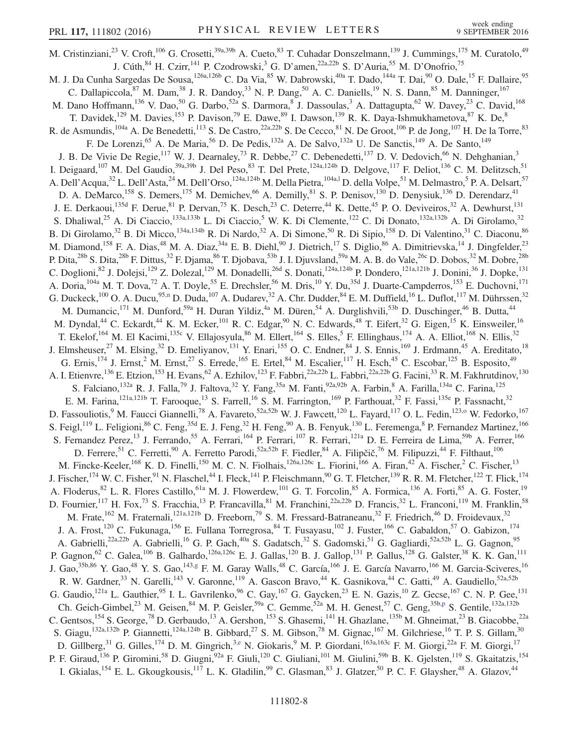<span id="page-8-8"></span><span id="page-8-7"></span><span id="page-8-6"></span><span id="page-8-5"></span><span id="page-8-4"></span><span id="page-8-3"></span><span id="page-8-2"></span><span id="page-8-1"></span><span id="page-8-0"></span>M. Cristinziani,<sup>23</sup> V. Croft,<sup>106</sup> G. Crosetti,<sup>39a,39b</sup> A. Cueto,<sup>83</sup> T. Cuhadar Donszelmann,<sup>139</sup> J. Cummings,<sup>175</sup> M. Curatolo,<sup>49</sup> J. Cúth,  $84$  H. Czirr,  $141$  P. Czodrowski,  $3$  G. D'amen,  $22a,22b$  S. D'Auria,  $55$  M. D'Onofrio,  $75$ M. J. Da Cunha Sargedas De Sousa,<sup>126a,126b</sup> C. Da Via,<sup>85</sup> W. Dabrowski,<sup>40a</sup> T. Dado,<sup>144a</sup> T. Dai,<sup>90</sup> O. Dale,<sup>15</sup> F. Dallaire,<sup>95</sup> C. Dallapiccola,  $87$  M. Dam,  $38$  J. R. Dandoy,  $33$  N. P. Dang,  $50$  A. C. Daniells,  $19$  N. S. Dann,  $85$  M. Danninger,  $167$ M. Dano Hoffmann,<sup>136</sup> V. Dao,<sup>50</sup> G. Darbo,<sup>52a</sup> S. Darmora,<sup>8</sup> J. Dassoulas,<sup>3</sup> A. Dattagupta,<sup>62</sup> W. Davey,<sup>23</sup> C. David,<sup>168</sup> T. Davidek,<sup>129</sup> M. Davies,<sup>153</sup> P. Davison,<sup>79</sup> E. Dawe,<sup>89</sup> I. Dawson,<sup>139</sup> R. K. Daya-Ishmukhametova,<sup>87</sup> K. De,<sup>8</sup> R. de Asmundis,  $^{104a}$  A. De Benedetti,  $^{113}$  S. De Castro,  $^{22a,22b}$  S. De Cecco,  $^{81}$  N. De Groot,  $^{106}$  P. de Jong,  $^{107}$  H. De la Torre,  $^{83}$ F. De Lorenzi,<sup>65</sup> A. De Maria,<sup>56</sup> D. De Pedis,<sup>132a</sup> A. De Salvo,<sup>132a</sup> U. De Sanctis,<sup>149</sup> A. De Santo,<sup>149</sup> J. B. De Vivie De Regie,<sup>117</sup> W. J. Dearnaley,<sup>73</sup> R. Debbe,<sup>27</sup> C. Debenedetti,<sup>137</sup> D. V. Dedovich,<sup>66</sup> N. Dehghanian,<sup>3</sup> I. Deigaard,<sup>107</sup> M. Del Gaudio,<sup>39a,39b</sup> J. Del Peso,<sup>83</sup> T. Del Prete,<sup>124a,124b</sup> D. Delgove,<sup>117</sup> F. Deliot,<sup>136</sup> C. M. Delitzsch,<sup>51</sup> A. Dell'Acqua,<sup>32</sup> L. Dell'Asta,<sup>24</sup> M. Dell'Orso,<sup>124a,124b</sup> M. Della Pietra,<sup>104a[,l](#page-17-11)</sup> D. della Volpe,<sup>51</sup> M. Delmastro,<sup>5</sup> P. A. Delsart,<sup>57</sup> D. A. DeMarco,<sup>158</sup> S. Demers,<sup>175</sup> M. Demichev,<sup>66</sup> A. Demilly,<sup>81</sup> S. P. Denisov,<sup>130</sup> D. Denysiuk,<sup>136</sup> D. Derendarz,<sup>41</sup> J. E. Derkaoui,<sup>135d</sup> F. Derue, <sup>81</sup> P. Dervan, <sup>75</sup> K. Desch, <sup>23</sup> C. Deterre, <sup>44</sup> K. Dette, <sup>45</sup> P. O. Deviveiros, <sup>32</sup> A. Dewhurst, <sup>131</sup> S. Dhaliwal,<sup>25</sup> A. Di Ciaccio,<sup>133a,133b</sup> L. Di Ciaccio,<sup>5</sup> W. K. Di Clemente,<sup>122</sup> C. Di Donato,<sup>132a,132b</sup> A. Di Girolamo,<sup>32</sup> B. Di Girolamo,<sup>32</sup> B. Di Micco,<sup>134a,134b</sup> R. Di Nardo,<sup>32</sup> A. Di Simone,<sup>50</sup> R. Di Sipio,<sup>158</sup> D. Di Valentino,<sup>31</sup> C. Diaconu,<sup>86</sup> M. Diamond, <sup>158</sup> F. A. Dias, <sup>48</sup> M. A. Diaz, <sup>34a</sup> E. B. Diehl, <sup>90</sup> J. Dietrich, <sup>17</sup> S. Diglio, <sup>86</sup> A. Dimitrievska, <sup>14</sup> J. Dingfelder, <sup>23</sup> P. Dita,<sup>28b</sup> S. Dita,<sup>28b</sup> F. Dittus,<sup>32</sup> F. Djama,<sup>86</sup> T. Djobava,<sup>53b</sup> J. I. Djuvsland,<sup>59a</sup> M. A. B. do Vale,<sup>26c</sup> D. Dobos,<sup>32</sup> M. Dobre,<sup>28b</sup> C. Doglioni,<sup>82</sup> J. Dolejsi,<sup>129</sup> Z. Dolezal,<sup>129</sup> M. Donadelli,<sup>26d</sup> S. Donati,<sup>124a,124b</sup> P. Dondero,<sup>121a,121b</sup> J. Donini,<sup>36</sup> J. Dopke,<sup>131</sup> A. Doria,  $^{104a}$  M. T. Dova,  $^{72}$  A. T. Doyle,  $^{55}$  E. Drechsler,  $^{56}$  M. Dris,  $^{10}$  Y. Du,  $^{35d}$  J. Duarte-Campderros,  $^{153}$  E. Duchovni,  $^{171}$ G. Duckeck,<sup>100</sup> O. A. Ducu,<sup>9[5,n](#page-17-13)</sup> D. Duda,<sup>107</sup> A. Dudarev,<sup>32</sup> A. Chr. Dudder,<sup>84</sup> E. M. Duffield,<sup>16</sup> L. Duflot,<sup>117</sup> M. Dührssen,<sup>32</sup> M. Dumancic,<sup>171</sup> M. Dunford,<sup>59a</sup> H. Duran Yildiz,<sup>4a</sup> M. Düren,<sup>54</sup> A. Durglishvili,<sup>53b</sup> D. Duschinger,<sup>46</sup> B. Dutta,<sup>44</sup> M. Dyndal,<sup>44</sup> C. Eckardt,<sup>44</sup> K. M. Ecker,<sup>101</sup> R. C. Edgar,<sup>90</sup> N. C. Edwards,<sup>48</sup> T. Eifert,<sup>32</sup> G. Eigen,<sup>15</sup> K. Einsweiler,<sup>16</sup> T. Ekelof,<sup>164</sup> M. El Kacimi,<sup>135c</sup> V. Ellajosyula,<sup>86</sup> M. Ellert,<sup>164</sup> S. Elles,<sup>5</sup> F. Ellinghaus,<sup>174</sup> A. A. Elliot,<sup>168</sup> N. Ellis,<sup>32</sup> J. Elmsheuser,<sup>27</sup> M. Elsing,<sup>32</sup> D. Emeliyanov,<sup>131</sup> Y. Enari,<sup>155</sup> O. C. Endner,<sup>84</sup> J. S. Ennis,<sup>169</sup> J. Erdmann,<sup>45</sup> A. Ereditato,<sup>18</sup> G. Ernis,<sup>174</sup> J. Ernst,<sup>2</sup> M. Ernst,<sup>27</sup> S. Errede,<sup>165</sup> E. Ertel,<sup>84</sup> M. Escalier,<sup>117</sup> H. Esch,<sup>45</sup> C. Escobar,<sup>125</sup> B. Esposito,<sup>49</sup> A. I. Etienvre,<sup>136</sup> E. Etzion,<sup>153</sup> H. Evans,<sup>62</sup> A. Ezhilov,<sup>123</sup> F. Fabbri,<sup>22a,22b</sup> L. Fabbri,<sup>22a,22b</sup> G. Facini,<sup>33</sup> R. M. Fakhrutdinov,<sup>130</sup> S. Falciano,<sup>132a</sup> R. J. Falla,<sup>79</sup> J. Faltova,<sup>32</sup> Y. Fang,<sup>35a</sup> M. Fanti,<sup>92a,92b</sup> A. Farbin,<sup>8</sup> A. Farilla,<sup>134a</sup> C. Farina,<sup>125</sup> E. M. Farina,<sup>121a,121b</sup> T. Farooque,<sup>13</sup> S. Farrell,<sup>16</sup> S. M. Farrington,<sup>169</sup> P. Farthouat,<sup>32</sup> F. Fassi,<sup>135e</sup> P. Fassnacht,<sup>32</sup> D. Fassouliotis,<sup>9</sup> M. Faucci Giannelli,<sup>78</sup> A. Favareto,<sup>52a,52b</sup> W. J. Fawcett,<sup>120</sup> L. Fayard,<sup>117</sup> O. L. Fedin,<sup>12[3,o](#page-17-14)</sup> W. Fedorko,<sup>167</sup> S. Feigl,<sup>119</sup> L. Feligioni,<sup>86</sup> C. Feng,<sup>35d</sup> E. J. Feng,<sup>32</sup> H. Feng,<sup>90</sup> A. B. Fenyuk,<sup>130</sup> L. Feremenga,<sup>8</sup> P. Fernandez Martinez,<sup>166</sup> S. Fernandez Perez,<sup>13</sup> J. Ferrando,<sup>55</sup> A. Ferrari,<sup>164</sup> P. Ferrari,<sup>107</sup> R. Ferrari,<sup>121a</sup> D. E. Ferreira de Lima,<sup>59b</sup> A. Ferrer,<sup>166</sup> D. Ferrere,<sup>51</sup> C. Ferretti,<sup>90</sup> A. Ferretto Parodi,<sup>52a,52b</sup> F. Fiedler,<sup>84</sup> A. Filipčič,<sup>76</sup> M. Filipuzzi,<sup>44</sup> F. Filthaut,<sup>106</sup> M. Fincke-Keeler,<sup>168</sup> K. D. Finelli,<sup>150</sup> M. C. N. Fiolhais,<sup>126a,126c</sup> L. Fiorini,<sup>166</sup> A. Firan,<sup>42</sup> A. Fischer,<sup>2</sup> C. Fischer,<sup>13</sup> J. Fischer,<sup>174</sup> W. C. Fisher,<sup>91</sup> N. Flaschel,<sup>44</sup> I. Fleck,<sup>141</sup> P. Fleischmann,<sup>90</sup> G. T. Fletcher,<sup>139</sup> R. R. M. Fletcher,<sup>122</sup> T. Flick,<sup>174</sup> A. Floderus,<sup>82</sup> L. R. Flores Castillo,<sup>61a</sup> M. J. Flowerdew,<sup>101</sup> G. T. Forcolin,<sup>85</sup> A. Formica,<sup>136</sup> A. Forti,<sup>85</sup> A. G. Foster,<sup>19</sup> D. Fournier, <sup>117</sup> H. Fox, <sup>73</sup> S. Fracchia, <sup>13</sup> P. Francavilla, <sup>81</sup> M. Franchini, <sup>22a, 22b</sup> D. Francis, <sup>32</sup> L. Franconi, <sup>119</sup> M. Franklin, <sup>58</sup> M. Frate,<sup>162</sup> M. Fraternali,<sup>121a,121b</sup> D. Freeborn,<sup>79</sup> S. M. Fressard-Batraneanu,<sup>32</sup> F. Friedrich,<sup>46</sup> D. Froidevaux,<sup>32</sup> J. A. Frost,<sup>120</sup> C. Fukunaga,<sup>156</sup> E. Fullana Torregrosa,<sup>84</sup> T. Fusayasu,<sup>102</sup> J. Fuster,<sup>166</sup> C. Gabaldon,<sup>57</sup> O. Gabizon,<sup>174</sup> A. Gabrielli,<sup>22a,22b</sup> A. Gabrielli,<sup>16</sup> G. P. Gach,<sup>40a</sup> S. Gadatsch,<sup>32</sup> S. Gadomski,<sup>51</sup> G. Gagliardi,<sup>52a,52b</sup> L. G. Gagnon,<sup>95</sup> P. Gagnon,  $^{62}$  C. Galea,  $^{106}$  B. Galhardo,  $^{126a,126c}$  E. J. Gallas,  $^{120}$  B. J. Gallop,  $^{131}$  P. Gallus,  $^{128}$  G. Galster,  $^{38}$  K. K. Gan,  $^{111}$ J. Gao,<sup>35b,86</sup> Y. Gao,<sup>48</sup> Y. S. Gao,<sup>143[,g](#page-17-6)</sup> F. M. Garay Walls,<sup>48</sup> C. García,<sup>166</sup> J. E. García Navarro,<sup>166</sup> M. Garcia-Sciveres,<sup>16</sup> R. W. Gardner,<sup>33</sup> N. Garelli,<sup>143</sup> V. Garonne,<sup>119</sup> A. Gascon Bravo,<sup>44</sup> K. Gasnikova,<sup>44</sup> C. Gatti,<sup>49</sup> A. Gaudiello,<sup>52a,52b</sup> G. Gaudio,  $^{121a}$  L. Gauthier,  $^{95}$  I. L. Gavrilenko,  $^{96}$  C. Gay,  $^{167}$  G. Gaycken,  $^{23}$  E. N. Gazis,  $^{10}$  Z. Gecse,  $^{167}$  C. N. P. Gee,  $^{131}$ Ch. Geich-Gimbel,<sup>23</sup> M. Geisen,<sup>84</sup> M. P. Geisler,<sup>59a</sup> C. Gemme,<sup>52a</sup> M. H. Genest,<sup>57</sup> C. Geng,<sup>35b[,p](#page-17-15)</sup> S. Gentile,<sup>132a,132b</sup> C. Gentsos, <sup>154</sup> S. George, <sup>78</sup> D. Gerbaudo, <sup>13</sup> A. Gershon, <sup>153</sup> S. Ghasemi, <sup>141</sup> H. Ghazlane, <sup>135b</sup> M. Ghneimat, <sup>23</sup> B. Giacobbe, <sup>22a</sup> S. Giagu,<sup>132a,132b</sup> P. Giannetti,<sup>124a,124b</sup> B. Gibbard,<sup>27</sup> S. M. Gibson,<sup>78</sup> M. Gignac,<sup>167</sup> M. Gilchriese,<sup>16</sup> T. P. S. Gillam,<sup>30</sup> D. Gillberg,<sup>31</sup> G. Gilles,<sup>174</sup> D. M. Gingrich,<sup>[3,e](#page-17-4)</sup> N. Giokaris,<sup>9</sup> M. P. Giordani,<sup>163a,163c</sup> F. M. Giorgi,<sup>22a</sup> F. M. Giorgi,<sup>17</sup> P. F. Giraud,<sup>136</sup> P. Giromini,<sup>58</sup> D. Giugni,<sup>92a</sup> F. Giuli,<sup>120</sup> C. Giuliani,<sup>101</sup> M. Giulini,<sup>59b</sup> B. K. Gjelsten,<sup>119</sup> S. Gkaitatzis,<sup>154</sup> I. Gkialas,<sup>154</sup> E. L. Gkougkousis,<sup>117</sup> L. K. Gladilin,<sup>99</sup> C. Glasman,<sup>83</sup> J. Glatzer,<sup>50</sup> P. C. F. Glaysher,<sup>48</sup> A. Glazov,<sup>44</sup>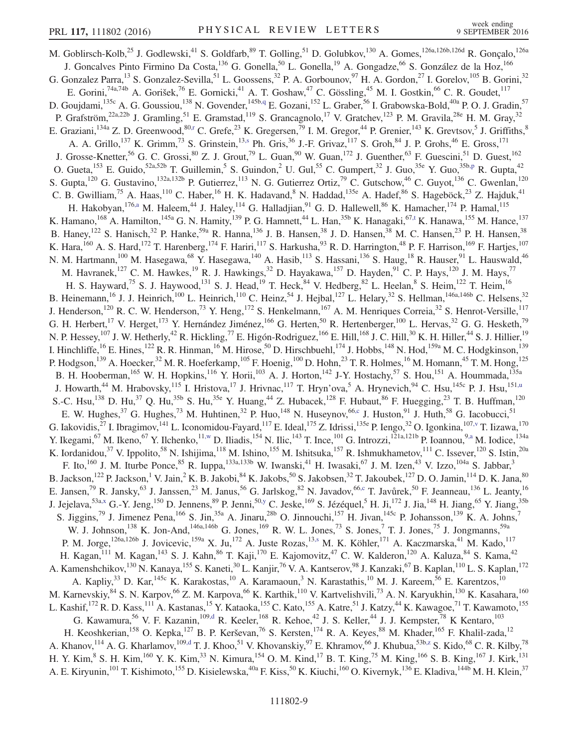<span id="page-9-3"></span><span id="page-9-2"></span><span id="page-9-1"></span><span id="page-9-0"></span>M. Goblirsch-Kolb,<sup>25</sup> J. Godlewski,<sup>41</sup> S. Goldfarb,<sup>89</sup> T. Golling,<sup>51</sup> D. Golubkov,<sup>130</sup> A. Gomes,<sup>126a,126b,126d</sup> R. Gonçalo,<sup>126a</sup> J. Goncalves Pinto Firmino Da Costa, <sup>136</sup> G. Gonella, <sup>50</sup> L. Gonella, <sup>19</sup> A. Gongadze, <sup>66</sup> S. González de la Hoz, <sup>166</sup> G. Gonzalez Parra,<sup>13</sup> S. Gonzalez-Sevilla,<sup>51</sup> L. Goossens,<sup>32</sup> P. A. Gorbounov,<sup>97</sup> H. A. Gordon,<sup>27</sup> I. Gorelov,<sup>105</sup> B. Gorini,<sup>32</sup> E. Gorini,  $^{74a,74b}$  A. Gorišek,  $^{76}$  E. Gornicki,  $^{41}$  A. T. Goshaw,  $^{47}$  C. Gössling,  $^{45}$  M. I. Gostkin,  $^{66}$  C. R. Goudet,  $^{117}$ D. Goujdami, <sup>135c</sup> A. G. Goussiou, <sup>138</sup> N. Govender, <sup>145[b,q](#page-17-16)</sup> E. Gozani, <sup>152</sup> L. Graber, <sup>56</sup> I. Grabowska-Bold, <sup>40a</sup> P. O. J. Gradin, <sup>57</sup> P. Grafström,<sup>22a,22b</sup> J. Gramling,<sup>51</sup> E. Gramstad,<sup>119</sup> S. Grancagnolo,<sup>17</sup> V. Gratchev,<sup>123</sup> P. M. Gravila,<sup>28e</sup> H. M. Gray,<sup>32</sup> E. Graziani,  $^{134a}$  Z. D. Greenwood,  $^{80,r}$  $^{80,r}$  $^{80,r}$  C. Grefe,  $^{23}$  K. Gregersen,  $^{79}$  I. M. Gregor,  $^{44}$  P. Grenier,  $^{143}$  K. Grevtsov,  $^{5}$  J. Griffiths,  $^{8}$ A. A. Grillo,<sup>137</sup> K. Grimm,<sup>73</sup> S. Grinstein,<sup>1[3,s](#page-17-18)</sup> Ph. Gris,<sup>36</sup> J.-F. Grivaz,<sup>117</sup> S. Groh,<sup>84</sup> J. P. Grohs,<sup>46</sup> E. Gross,<sup>171</sup> J. Grosse-Knetter,<sup>56</sup> G. C. Grossi,<sup>80</sup> Z. J. Grout,<sup>79</sup> L. Guan,<sup>90</sup> W. Guan,<sup>172</sup> J. Guenther,<sup>63</sup> F. Guescini,<sup>51</sup> D. Guest,<sup>162</sup> O. Gueta, <sup>153</sup> E. Guido, <sup>52a, 52b</sup> T. Guillemin, <sup>5</sup> S. Guindon, <sup>2</sup> U. Gul, <sup>55</sup> C. Gumpert, <sup>32</sup> J. Guo, <sup>35e</sup> Y. Guo, <sup>35b, p</sup> R. Gupta, <sup>42</sup> S. Gupta,<sup>120</sup> G. Gustavino,<sup>132a,132b</sup> P. Gutierrez,<sup>113</sup> N. G. Gutierrez Ortiz,<sup>79</sup> C. Gutschow,<sup>46</sup> C. Guyot,<sup>136</sup> C. Gwenlan,<sup>120</sup> C. B. Gwilliam,<sup>75</sup> A. Haas,<sup>110</sup> C. Haber,<sup>16</sup> H. K. Hadavand,<sup>8</sup> N. Haddad,<sup>135e</sup> A. Hadef,<sup>86</sup> S. Hageböck,<sup>23</sup> Z. Hajduk,<sup>41</sup> H. Hakobyan, 17[6,a](#page-17-3) M. Haleem, <sup>44</sup> J. Haley, <sup>114</sup> G. Halladjian, <sup>91</sup> G. D. Hallewell, <sup>86</sup> K. Hamacher, 174 P. Hamal, 115 K. Hamano,<sup>168</sup> A. Hamilton,<sup>145a</sup> G. N. Hamity,<sup>139</sup> P. G. Hamnett,<sup>44</sup> L. Han,<sup>35b</sup> K. Hanagaki,<sup>67[,t](#page-17-19)</sup> K. Hanawa,<sup>155</sup> M. Hance,<sup>137</sup> B. Haney,<sup>122</sup> S. Hanisch,<sup>32</sup> P. Hanke,<sup>59a</sup> R. Hanna,<sup>136</sup> J. B. Hansen,<sup>38</sup> J. D. Hansen,<sup>38</sup> M. C. Hansen,<sup>23</sup> P. H. Hansen,<sup>38</sup> K. Hara,  $^{160}$  A. S. Hard,  $^{172}$  T. Harenberg,  $^{174}$  F. Hariri,  $^{117}$  S. Harkusha,  $^{93}$  R. D. Harrington,  $^{48}$  P. F. Harrison,  $^{169}$  F. Hartjes,  $^{107}$ N. M. Hartmann,<sup>100</sup> M. Hasegawa,<sup>68</sup> Y. Hasegawa,<sup>140</sup> A. Hasib,<sup>113</sup> S. Hassani,<sup>136</sup> S. Haug,<sup>18</sup> R. Hauser,<sup>91</sup> L. Hauswald,<sup>46</sup> M. Havranek,<sup>127</sup> C. M. Hawkes,<sup>19</sup> R. J. Hawkings,<sup>32</sup> D. Hayakawa,<sup>157</sup> D. Hayden,<sup>91</sup> C. P. Hays,<sup>120</sup> J. M. Hays,<sup>77</sup> H. S. Hayward,<sup>75</sup> S. J. Haywood,<sup>131</sup> S. J. Head,<sup>19</sup> T. Heck,<sup>84</sup> V. Hedberg,<sup>82</sup> L. Heelan,<sup>8</sup> S. Heim,<sup>122</sup> T. Heim,<sup>16</sup> B. Heinemann,<sup>16</sup> J. J. Heinrich,<sup>100</sup> L. Heinrich,<sup>110</sup> C. Heinz,<sup>54</sup> J. Hejbal,<sup>127</sup> L. Helary,<sup>32</sup> S. Hellman,<sup>146a,146b</sup> C. Helsens,<sup>32</sup> J. Henderson,<sup>120</sup> R. C. W. Henderson,<sup>73</sup> Y. Heng,<sup>172</sup> S. Henkelmann,<sup>167</sup> A. M. Henriques Correia,<sup>32</sup> S. Henrot-Versille,<sup>117</sup> G. H. Herbert,<sup>17</sup> V. Herget,<sup>173</sup> Y. Hernández Jiménez,<sup>166</sup> G. Herten,<sup>50</sup> R. Hertenberger,<sup>100</sup> L. Hervas,<sup>32</sup> G. G. Hesketh,<sup>79</sup> N. P. Hessey,<sup>107</sup> J. W. Hetherly,<sup>42</sup> R. Hickling,<sup>77</sup> E. Higón-Rodriguez,<sup>166</sup> E. Hill,<sup>168</sup> J. C. Hill,<sup>30</sup> K. H. Hiller,<sup>44</sup> S. J. Hillier,<sup>19</sup> I. Hinchliffe,<sup>16</sup> E. Hines,<sup>122</sup> R. R. Hinman,<sup>16</sup> M. Hirose,<sup>50</sup> D. Hirschbuehl,<sup>174</sup> J. Hobbs,<sup>148</sup> N. Hod,<sup>159a</sup> M. C. Hodgkinson,<sup>139</sup> P. Hodgson,<sup>139</sup> A. Hoecker,<sup>32</sup> M. R. Hoeferkamp,<sup>105</sup> F. Hoenig,<sup>100</sup> D. Hohn,<sup>23</sup> T. R. Holmes,<sup>16</sup> M. Homann,<sup>45</sup> T. M. Hong,<sup>125</sup> B. H. Hooberman, <sup>165</sup> W. H. Hopkins, <sup>116</sup> Y. Horii, <sup>103</sup> A. J. Horton, <sup>142</sup> J-Y. Hostachy, <sup>57</sup> S. Hou, <sup>151</sup> A. Hoummada, <sup>135a</sup> J. Howarth,<sup>44</sup> M. Hrabovsky,<sup>115</sup> I. Hristova,<sup>17</sup> J. Hrivnac,<sup>117</sup> T. Hryn'ova,<sup>5</sup> A. Hrynevich,<sup>94</sup> C. Hsu,<sup>145c</sup> P. J. Hsu,<sup>15[1,u](#page-17-20)</sup> S.-C. Hsu,<sup>138</sup> D. Hu,<sup>37</sup> Q. Hu,<sup>35b</sup> S. Hu,<sup>35e</sup> Y. Huang,<sup>44</sup> Z. Hubacek,<sup>128</sup> F. Hubaut,<sup>86</sup> F. Huegging,<sup>23</sup> T. B. Huffman,<sup>120</sup> E. W. Hughes,  $37$  G. Hughes,  $73$  M. Huhtinen,  $32$  P. Huo,  $148$  N. Huseynov,  $66$ , J. Huston,  $91$  J. Huth,  $58$  G. Iacobucci,  $51$ G. Iakovidis,<sup>27</sup> I. Ibragimov,<sup>141</sup> L. Iconomidou-Fayard,<sup>117</sup> E. Ideal,<sup>175</sup> Z. Idrissi,<sup>135e</sup> P. Iengo,<sup>32</sup> O. Igonkina,<sup>10[7,v](#page-17-21)</sup> T. Iizawa,<sup>170</sup> Y. Ikegami, <sup>67</sup> M. Ikeno, <sup>67</sup> Y. Ilchenko, <sup>11[,w](#page-17-22)</sup> D. Iliadis, <sup>154</sup> N. Ilic, <sup>143</sup> T. Ince, <sup>101</sup> G. Introzzi, <sup>121a, 121b</sup> P. Ioannou, <sup>[9,a](#page-17-3)</sup> M. Iodice, <sup>134a</sup> K. Iordanidou,<sup>37</sup> V. Ippolito,<sup>58</sup> N. Ishijima,<sup>118</sup> M. Ishino,<sup>155</sup> M. Ishitsuka,<sup>157</sup> R. Ishmukhametov,<sup>111</sup> C. Issever,<sup>120</sup> S. Istin,<sup>20a</sup> F. Ito,<sup>160</sup> J. M. Iturbe Ponce,<sup>85</sup> R. Iuppa,<sup>133a,133b</sup> W. Iwanski,<sup>41</sup> H. Iwasaki,<sup>67</sup> J. M. Izen,<sup>43</sup> V. Izzo,<sup>104a</sup> S. Jabbar,<sup>3</sup> B. Jackson,<sup>122</sup> P. Jackson,<sup>1</sup> V. Jain,<sup>2</sup> K. B. Jakobi,<sup>84</sup> K. Jakobs,<sup>50</sup> S. Jakobsen,<sup>32</sup> T. Jakoubek,<sup>127</sup> D. O. Jamin,<sup>114</sup> D. K. Jana,<sup>80</sup> E. Jansen,<sup>79</sup> R. Jansky,<sup>63</sup> J. Janssen,<sup>23</sup> M. Janus,<sup>56</sup> G. Jarlskog,<sup>82</sup> N. Javadov,<sup>66[,c](#page-17-1)</sup> T. Javůrek,<sup>50</sup> F. Jeanneau,<sup>136</sup> L. Jeanty,<sup>16</sup> J. Jejelava,<sup>53[a,x](#page-17-23)</sup> G.-Y. Jeng,<sup>150</sup> D. Jennens,<sup>89</sup> P. Jenni,<sup>50[,y](#page-17-24)</sup> C. Jeske,<sup>169</sup> S. Jézéquel,<sup>5</sup> H. Ji,<sup>172</sup> J. Jia,<sup>148</sup> H. Jiang,<sup>65</sup> Y. Jiang,<sup>35b</sup> S. Jiggins,<sup>79</sup> J. Jimenez Pena,<sup>166</sup> S. Jin,<sup>35a</sup> A. Jinaru,<sup>28b</sup> O. Jinnouchi,<sup>157</sup> H. Jivan,<sup>145c</sup> P. Johansson,<sup>139</sup> K. A. Johns,<sup>7</sup> W. J. Johnson,<sup>138</sup> K. Jon-And,<sup>146a,146b</sup> G. Jones,<sup>169</sup> R. W. L. Jones,<sup>73</sup> S. Jones,<sup>7</sup> T. J. Jones,<sup>75</sup> J. Jongmanns,<sup>59a</sup> P. M. Jorge,<sup>126a,126b</sup> J. Jovicevic,<sup>159a</sup> X. Ju,<sup>172</sup> A. Juste Rozas,<sup>1[3,s](#page-17-18)</sup> M. K. Köhler,<sup>171</sup> A. Kaczmarska,<sup>41</sup> M. Kado,<sup>117</sup> H. Kagan,<sup>111</sup> M. Kagan,<sup>143</sup> S. J. Kahn,<sup>86</sup> T. Kaji,<sup>170</sup> E. Kajomovitz,<sup>47</sup> C. W. Kalderon,<sup>120</sup> A. Kaluza,<sup>84</sup> S. Kama,<sup>42</sup> A. Kamenshchikov, <sup>130</sup> N. Kanaya, <sup>155</sup> S. Kaneti, <sup>30</sup> L. Kanjir, <sup>76</sup> V. A. Kantserov, <sup>98</sup> J. Kanzaki, <sup>67</sup> B. Kaplan, <sup>110</sup> L. S. Kaplan, <sup>172</sup> A. Kapliy,<sup>33</sup> D. Kar,<sup>145c</sup> K. Karakostas,<sup>10</sup> A. Karamaoun,<sup>3</sup> N. Karastathis,<sup>10</sup> M. J. Kareem,<sup>56</sup> E. Karentzos,<sup>10</sup> M. Karnevskiy,<sup>84</sup> S. N. Karpov,<sup>66</sup> Z. M. Karpova,<sup>66</sup> K. Karthik,<sup>110</sup> V. Kartvelishvili,<sup>73</sup> A. N. Karyukhin,<sup>130</sup> K. Kasahara,<sup>160</sup> K. Kasahara,160 L. Kashif, <sup>172</sup> R. D. Kass, <sup>111</sup> A. Kastanas, <sup>15</sup> Y. Kataoka, <sup>155</sup> C. Kato, <sup>155</sup> A. Katre, <sup>51</sup> J. Katzy, <sup>44</sup> K. Kawagoe, <sup>71</sup> T. Kawamoto, <sup>155</sup> G. Kawamura,<sup>56</sup> V. F. Kazanin,<sup>10[9,d](#page-17-2)</sup> R. Keeler,<sup>168</sup> R. Kehoe,<sup>42</sup> J. S. Keller,<sup>44</sup> J. J. Kempster,<sup>78</sup> K Kentaro,<sup>103</sup> H. Keoshkerian, <sup>158</sup> O. Kepka, <sup>127</sup> B. P. Kerševan, <sup>76</sup> S. Kersten, <sup>174</sup> R. A. Keyes, <sup>88</sup> M. Khader, <sup>165</sup> F. Khalil-zada, <sup>12</sup> A. Khanov, <sup>114</sup> A. G. Kharlamov, <sup>10[9,d](#page-17-2)</sup> T. J. Khoo, <sup>51</sup> V. Khovanskiy, <sup>97</sup> E. Khramov, <sup>66</sup> J. Khubua, <sup>53b[,z](#page-17-25)</sup> S. Kido, <sup>68</sup> C. R. Kilby, <sup>78</sup> H. Y. Kim,<sup>8</sup> S. H. Kim,<sup>160</sup> Y. K. Kim,<sup>33</sup> N. Kimura,<sup>154</sup> O. M. Kind,<sup>17</sup> B. T. King,<sup>75</sup> M. King,<sup>166</sup> S. B. King,<sup>167</sup> J. Kirk,<sup>131</sup> A. E. Kiryunin,<sup>101</sup> T. Kishimoto,<sup>155</sup> D. Kisielewska,<sup>40a</sup> F. Kiss,<sup>50</sup> K. Kiuchi,<sup>160</sup> O. Kivernyk,<sup>136</sup> E. Kladiva,<sup>144b</sup> M. H. Klein,<sup>37</sup>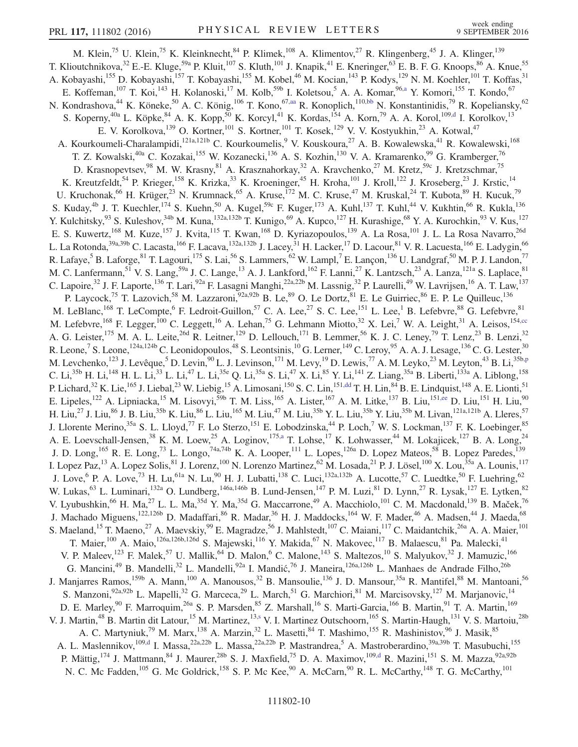<span id="page-10-3"></span><span id="page-10-2"></span><span id="page-10-1"></span><span id="page-10-0"></span>M. Klein,<sup>75</sup> U. Klein,<sup>75</sup> K. Kleinknecht,<sup>84</sup> P. Klimek,<sup>108</sup> A. Klimentov,<sup>27</sup> R. Klingenberg,<sup>45</sup> J. A. Klinger,<sup>139</sup> T. Klioutchnikova,<sup>32</sup> E.-E. Kluge,<sup>59a</sup> P. Kluit,<sup>107</sup> S. Kluth,<sup>101</sup> J. Knapik,<sup>41</sup> E. Kneringer,<sup>63</sup> E. B. F. G. Knoops,<sup>86</sup> A. Knue,<sup>55</sup> A. Kobayashi,<sup>155</sup> D. Kobayashi,<sup>157</sup> T. Kobayashi,<sup>155</sup> M. Kobel,<sup>46</sup> M. Kocian,<sup>143</sup> P. Kodys,<sup>129</sup> N. M. Koehler,<sup>101</sup> T. Koffas,<sup>31</sup> E. Koffeman,<sup>107</sup> T. Koi,<sup>143</sup> H. Kolanoski,<sup>17</sup> M. Kolb,<sup>59b</sup> I. Koletsou,<sup>5</sup> A. A. Komar,<sup>9[6,a](#page-17-3)</sup> Y. Komori,<sup>155</sup> T. Kondo,<sup>67</sup> N. Kondrashova,<sup>44</sup> K. Köneke,<sup>50</sup> A. C. König,<sup>106</sup> T. Kono,<sup>67[,aa](#page-17-26)</sup> R. Konoplich,<sup>110[,bb](#page-17-27)</sup> N. Konstantinidis,<sup>79</sup> R. Kopeliansky,<sup>62</sup> S. Koperny,<sup>40a</sup> L. Köpke,<sup>84</sup> A. K. Kopp,<sup>50</sup> K. Korcyl,<sup>41</sup> K. Kordas,<sup>154</sup> A. Korn,<sup>79</sup> A. A. Korol,<sup>109[,d](#page-17-2)</sup> I. Korolkov,<sup>13</sup> E. V. Korolkova,  $^{139}$  O. Kortner,  $^{101}$  S. Kortner,  $^{101}$  T. Kosek,  $^{129}$  V. V. Kostyukhin,  $^{23}$  A. Kotwal,  $^{47}$ A. Kourkoumeli-Charalampidi,<sup>121a,121b</sup> C. Kourkoumelis, <sup>9</sup> V. Kouskoura, <sup>27</sup> A. B. Kowalewska, <sup>41</sup> R. Kowalewski, <sup>168</sup> T. Z. Kowalski,<sup>40a</sup> C. Kozakai,<sup>155</sup> W. Kozanecki,<sup>136</sup> A. S. Kozhin,<sup>130</sup> V. A. Kramarenko,<sup>99</sup> G. Kramberger,<sup>76</sup> D. Krasnopevtsev, <sup>98</sup> M. W. Krasny, <sup>81</sup> A. Krasznahorkay, <sup>32</sup> A. Kravchenko, <sup>27</sup> M. Kretz, <sup>59c</sup> J. Kretzschmar, <sup>75</sup> K. Kreutzfeldt,<sup>54</sup> P. Krieger,<sup>158</sup> K. Krizka,<sup>33</sup> K. Kroeninger,<sup>45</sup> H. Kroha,<sup>101</sup> J. Kroll,<sup>122</sup> J. Kroseberg,<sup>23</sup> J. Krstic,<sup>14</sup> U. Kruchonak, <sup>66</sup> H. Krüger, <sup>23</sup> N. Krumnack, <sup>65</sup> A. Kruse, <sup>172</sup> M. C. Kruse, <sup>47</sup> M. Kruskal, <sup>24</sup> T. Kubota, <sup>89</sup> H. Kucuk, <sup>79</sup> S. Kuday,<sup>4b</sup> J. T. Kuechler,<sup>174</sup> S. Kuehn,<sup>50</sup> A. Kugel,<sup>59c</sup> F. Kuger,<sup>173</sup> A. Kuhl,<sup>137</sup> T. Kuhl,<sup>44</sup> V. Kukhtin,<sup>66</sup> R. Kukla,<sup>136</sup> Y. Kulchitsky,  $93$  S. Kuleshov,  $34$ b M. Kuna,  $132a,132b$  T. Kunigo,  $69$  A. Kupco,  $127$  H. Kurashige,  $68$  Y. A. Kurochkin,  $93$  V. Kus,  $127$ E. S. Kuwertz,<sup>168</sup> M. Kuze,<sup>157</sup> J. Kvita,<sup>115</sup> T. Kwan,<sup>168</sup> D. Kyriazopoulos,<sup>139</sup> A. La Rosa,<sup>101</sup> J. L. La Rosa Navarro,<sup>26d</sup> L. La Rotonda,<sup>39a,39b</sup> C. Lacasta,<sup>166</sup> F. Lacava,<sup>132a,132b</sup> J. Lacey,<sup>31</sup> H. Lacker,<sup>17</sup> D. Lacour,<sup>81</sup> V. R. Lacuesta,<sup>166</sup> E. Ladygin,<sup>66</sup> R. Lafaye,<sup>5</sup> B. Laforge,<sup>81</sup> T. Lagouri,<sup>175</sup> S. Lai,<sup>56</sup> S. Lammers,<sup>62</sup> W. Lampl,<sup>7</sup> E. Lançon,<sup>136</sup> U. Landgraf,<sup>50</sup> M. P. J. Landon,<sup>77</sup> M. C. Lanfermann,<sup>51</sup> V. S. Lang,<sup>59a</sup> J. C. Lange,<sup>13</sup> A. J. Lankford,<sup>162</sup> F. Lanni,<sup>27</sup> K. Lantzsch,<sup>23</sup> A. Lanza,<sup>121a</sup> S. Laplace,<sup>81</sup> C. Lapoire,<sup>32</sup> J. F. Laporte,<sup>136</sup> T. Lari,<sup>92a</sup> F. Lasagni Manghi,<sup>22a,22b</sup> M. Lassnig,<sup>32</sup> P. Laurelli,<sup>49</sup> W. Lavrijsen,<sup>16</sup> A. T. Law,<sup>137</sup> P. Laycock,<sup>75</sup> T. Lazovich,<sup>58</sup> M. Lazzaroni,<sup>92a,92b</sup> B. Le,<sup>89</sup> O. Le Dortz,<sup>81</sup> E. Le Guirriec,<sup>86</sup> E. P. Le Quilleuc,<sup>136</sup> M. LeBlanc,<sup>168</sup> T. LeCompte,<sup>6</sup> F. Ledroit-Guillon,<sup>57</sup> C. A. Lee,<sup>27</sup> S. C. Lee,<sup>151</sup> L. Lee,<sup>1</sup> B. Lefebvre,<sup>88</sup> G. Lefebvre,<sup>81</sup> M. Lefebvre,<sup>168</sup> F. Legger,<sup>100</sup> C. Leggett,<sup>16</sup> A. Lehan,<sup>75</sup> G. Lehmann Miotto,<sup>32</sup> X. Lei,<sup>7</sup> W. A. Leight,<sup>31</sup> A. Leisos,<sup>154[,cc](#page-17-28)</sup> A. G. Leister, <sup>175</sup> M. A. L. Leite, <sup>26d</sup> R. Leitner, <sup>129</sup> D. Lellouch, <sup>171</sup> B. Lemmer, <sup>56</sup> K. J. C. Leney, <sup>79</sup> T. Lenz, <sup>23</sup> B. Lenzi, <sup>32</sup> R. Leone,<sup>7</sup> S. Leone,<sup>124a,124b</sup> C. Leonidopoulos,<sup>48</sup> S. Leontsinis,<sup>10</sup> G. Lerner,<sup>149</sup> C. Leroy,<sup>95</sup> A. A. J. Lesage,<sup>136</sup> C. G. Lester,<sup>30</sup> M. Levchenko, <sup>123</sup> J. Levêque, <sup>5</sup> D. Levin, <sup>90</sup> L. J. Levinson, <sup>171</sup> M. Levy, <sup>19</sup> D. Lewis, <sup>77</sup> A. M. Leyko, <sup>23</sup> M. Leyton, <sup>43</sup> B. Li, <sup>35b[,p](#page-17-15)</sup> C. Li,<sup>35b</sup> H. Li,<sup>148</sup> H. L. Li,<sup>33</sup> L. Li,<sup>47</sup> L. Li,<sup>35e</sup> Q. Li,<sup>35a</sup> S. Li,<sup>47</sup> X. Li,<sup>85</sup> Y. Li,<sup>141</sup> Z. Liang,<sup>35a</sup> B. Liberti,<sup>133a</sup> A. Liblong,<sup>158</sup> P. Lichard,<sup>32</sup> K. Lie,<sup>165</sup> J. Liebal,<sup>23</sup> W. Liebig,<sup>15</sup> A. Limosani,<sup>150</sup> S. C. Lin,<sup>151[,dd](#page-17-29)</sup> T. H. Lin,<sup>84</sup> B. E. Lindquist,<sup>148</sup> A. E. Lionti,<sup>51</sup> E. Lipeles,<sup>122</sup> A. Lipniacka,<sup>15</sup> M. Lisovyi,<sup>59b</sup> T. M. Liss,<sup>165</sup> A. Lister,<sup>167</sup> A. M. Litke,<sup>137</sup> B. Liu,<sup>151</sup>,ee D. Liu,<sup>151</sup> H. Liu,<sup>90</sup> H. Liu,<sup>27</sup> J. Liu,<sup>86</sup> J. B. Liu,<sup>35b</sup> K. Liu,<sup>86</sup> L. Liu,<sup>165</sup> M. Liu,<sup>47</sup> M. Liu,<sup>35b</sup> Y. L. Liu,<sup>35b</sup> Y. Liu,<sup>35b</sup> M. Livan,<sup>121a,121b</sup> A. Lleres,<sup>57</sup> J. Llorente Merino,<sup>35a</sup> S. L. Lloyd,<sup>77</sup> F. Lo Sterzo,<sup>151</sup> E. Lobodzinska,<sup>44</sup> P. Loch,<sup>7</sup> W. S. Lockman,<sup>137</sup> F. K. Loebinger,<sup>85</sup> A. E. Loevschall-Jensen,<sup>38</sup> K. M. Loew,<sup>25</sup> A. Loginov,<sup>175[,a](#page-17-3)</sup> T. Lohse,<sup>17</sup> K. Lohwasser,<sup>44</sup> M. Lokajicek,<sup>127</sup> B. A. Long,<sup>24</sup> J. D. Long,<sup>165</sup> R. E. Long,<sup>73</sup> L. Longo,<sup>74a,74b</sup> K. A. Looper,<sup>111</sup> L. Lopes,<sup>126a</sup> D. Lopez Mateos,<sup>58</sup> B. Lopez Paredes,<sup>139</sup> I. Lopez Paz,<sup>13</sup> A. Lopez Solis,<sup>81</sup> J. Lorenz,<sup>100</sup> N. Lorenzo Martinez,<sup>62</sup> M. Losada,<sup>21</sup> P. J. Lösel,<sup>100</sup> X. Lou,<sup>35a</sup> A. Lounis,<sup>117</sup> J. Love, <sup>6</sup> P. A. Love,<sup>73</sup> H. Lu,<sup>61a</sup> N. Lu,<sup>90</sup> H. J. Lubatti,<sup>138</sup> C. Luci,<sup>132a,132b</sup> A. Lucotte,<sup>57</sup> C. Luedtke,<sup>50</sup> F. Luehring,<sup>62</sup> W. Lukas,  $^{63}$  L. Luminari,  $^{132a}$  O. Lundberg,  $^{146a,146b}$  B. Lund-Jensen,  $^{147}$  P. M. Luzi,  $^{81}$  D. Lynn,  $^{27}$  R. Lysak,  $^{127}$  E. Lytken,  $^{82}$ V. Lyubushkin,<sup>66</sup> H. Ma,<sup>27</sup> L. L. Ma,<sup>35d</sup> Y. Ma,<sup>35d</sup> G. Maccarrone,<sup>49</sup> A. Macchiolo,<sup>101</sup> C. M. Macdonald,<sup>139</sup> B. Maček,<sup>76</sup> J. Machado Miguens,<sup>122,126b</sup> D. Madaffari,<sup>86</sup> R. Madar,<sup>36</sup> H. J. Maddocks,<sup>164</sup> W. F. Mader,<sup>46</sup> A. Madsen,<sup>44</sup> J. Maeda,<sup>68</sup> S. Maeland,<sup>15</sup> T. Maeno,<sup>27</sup> A. Maevskiy,<sup>99</sup> E. Magradze,<sup>56</sup> J. Mahlstedt,<sup>107</sup> C. Maiani,<sup>117</sup> C. Maidantchik,<sup>26a</sup> A. A. Maier,<sup>101</sup> T. Maier, 100 A. Maio, 126a,126b,126d S. Majewski, <sup>116</sup> Y. Makida, <sup>67</sup> N. Makovec, <sup>117</sup> B. Malaescu, <sup>81</sup> Pa. Malecki, <sup>41</sup> V. P. Maleev,<sup>123</sup> F. Malek,<sup>57</sup> U. Mallik,<sup>64</sup> D. Malon,<sup>6</sup> C. Malone,<sup>143</sup> S. Maltezos,<sup>10</sup> S. Malyukov,<sup>32</sup> J. Mamuzic,<sup>166</sup> G. Mancini,<sup>49</sup> B. Mandelli,<sup>32</sup> L. Mandelli,<sup>92a</sup> I. Mandić,<sup>76</sup> J. Maneira,<sup>126a,126b</sup> L. Manhaes de Andrade Filho,<sup>26b</sup> J. Manjarres Ramos,<sup>159b</sup> A. Mann,<sup>100</sup> A. Manousos,<sup>32</sup> B. Mansoulie,<sup>136</sup> J. D. Mansour,<sup>35a</sup> R. Mantifel,<sup>88</sup> M. Mantoani,<sup>56</sup> S. Manzoni,<sup>92a,92b</sup> L. Mapelli,<sup>32</sup> G. Marceca,<sup>29</sup> L. March,<sup>51</sup> G. Marchiori,<sup>81</sup> M. Marcisovsky,<sup>127</sup> M. Marjanovic,<sup>14</sup> D. E. Marley, <sup>90</sup> F. Marroquim, <sup>26a</sup> S. P. Marsden, <sup>85</sup> Z. Marshall, <sup>16</sup> S. Marti-Garcia, <sup>166</sup> B. Martin, <sup>91</sup> T. A. Martin, <sup>169</sup> V. J. Martin,<sup>48</sup> B. Martin dit Latour,<sup>15</sup> M. Martinez,<sup>13[,s](#page-17-18)</sup> V. I. Martinez Outschoorn,<sup>165</sup> S. Martin-Haugh,<sup>131</sup> V. S. Martoiu,<sup>28b</sup> A. C. Martyniuk,<sup>79</sup> M. Marx,<sup>138</sup> A. Marzin,<sup>32</sup> L. Masetti,<sup>84</sup> T. Mashimo,<sup>155</sup> R. Mashinistov,<sup>96</sup> J. Masik,<sup>85</sup> A. L. Maslennikov,<sup>109[,d](#page-17-2)</sup> I. Massa,<sup>22a,22b</sup> L. Massa,<sup>22a,22b</sup> P. Mastrandrea,<sup>5</sup> A. Mastroberardino,<sup>39a,39b</sup> T. Masubuchi,<sup>155</sup> P. Mättig, <sup>174</sup> J. Mattmann, <sup>84</sup> J. Maurer, <sup>28b</sup> S. J. Maxfield, <sup>75</sup> D. A. Maximov, <sup>10[9,d](#page-17-2)</sup> R. Mazini, <sup>151</sup> S. M. Mazza, <sup>92a, 92b</sup> N. C. Mc Fadden,  $^{105}$  G. Mc Goldrick,  $^{158}$  S. P. Mc Kee,  $^{90}$  A. McCarn,  $^{90}$  R. L. McCarthy,  $^{148}$  T. G. McCarthy,  $^{101}$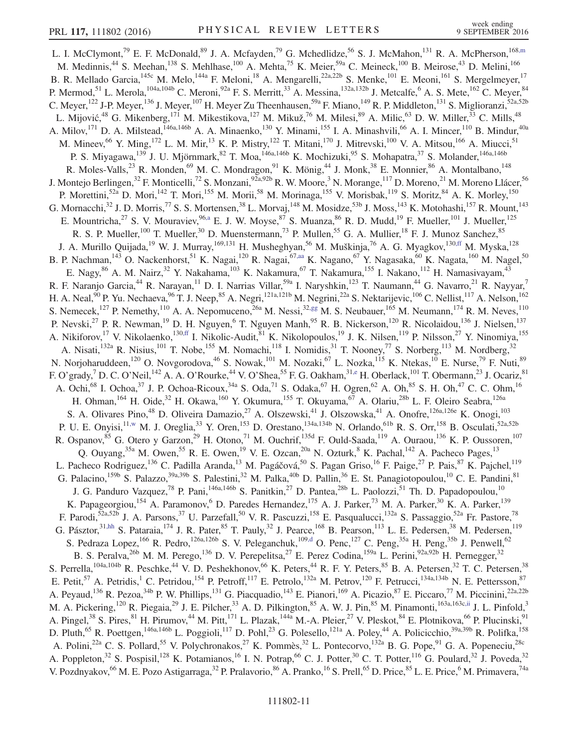<span id="page-11-4"></span><span id="page-11-3"></span><span id="page-11-2"></span><span id="page-11-1"></span><span id="page-11-0"></span>L. I. McClymont,<sup>79</sup> E. F. McDonald,<sup>89</sup> J. A. Mcfayden,<sup>79</sup> G. Mchedlidze,<sup>56</sup> S. J. McMahon,<sup>131</sup> R. A. McPherson,<sup>168[,m](#page-17-12)</sup> M. Medinnis,<sup>44</sup> S. Meehan,<sup>138</sup> S. Mehlhase,<sup>100</sup> A. Mehta,<sup>75</sup> K. Meier,<sup>59a</sup> C. Meineck,<sup>100</sup> B. Meirose,<sup>43</sup> D. Melini,<sup>166</sup> B. R. Mellado Garcia,<sup>145c</sup> M. Melo,<sup>144a</sup> F. Meloni,<sup>18</sup> A. Mengarelli,<sup>22a,22b</sup> S. Menke,<sup>101</sup> E. Meoni,<sup>161</sup> S. Mergelmeyer,<sup>17</sup> P. Mermod, <sup>51</sup> L. Merola, <sup>104a,104b</sup> C. Meroni, <sup>92a</sup> F. S. Merritt, <sup>33</sup> A. Messina, <sup>132a,132b</sup> J. Metcalfe, <sup>6</sup> A. S. Mete, <sup>162</sup> C. Meyer, <sup>84</sup> C. Meyer,<sup>122</sup> J-P. Meyer,<sup>136</sup> J. Meyer,<sup>107</sup> H. Meyer Zu Theenhausen,<sup>59a</sup> F. Miano,<sup>149</sup> R. P. Middleton,<sup>131</sup> S. Miglioranzi,<sup>52a,52b</sup> L. Mijović,<sup>48</sup> G. Mikenberg, <sup>171</sup> M. Mikestikova, <sup>127</sup> M. Mikuž, <sup>76</sup> M. Milesi, <sup>89</sup> A. Milic, <sup>63</sup> D. W. Miller, <sup>33</sup> C. Mills, <sup>48</sup> A. Milov,<sup>171</sup> D. A. Milstead,<sup>146a,146b</sup> A. A. Minaenko,<sup>130</sup> Y. Minami,<sup>155</sup> I. A. Minashvili,<sup>66</sup> A. I. Mincer,<sup>110</sup> B. Mindur,<sup>40a</sup> M. Mineev, <sup>66</sup> Y. Ming, <sup>172</sup> L. M. Mir, <sup>13</sup> K. P. Mistry, <sup>122</sup> T. Mitani, <sup>170</sup> J. Mitrevski, <sup>100</sup> V. A. Mitsou, <sup>166</sup> A. Miucci, <sup>51</sup> P. S. Miyagawa,<sup>139</sup> J. U. Mjörnmark,<sup>82</sup> T. Moa,<sup>146a,146b</sup> K. Mochizuki,<sup>95</sup> S. Mohapatra,<sup>37</sup> S. Molander,<sup>146a,146b</sup> R. Moles-Valls,<sup>23</sup> R. Monden,<sup>69</sup> M. C. Mondragon,<sup>91</sup> K. Mönig,<sup>44</sup> J. Monk,<sup>38</sup> E. Monnier,<sup>86</sup> A. Montalbano,<sup>148</sup> J. Montejo Berlingen,<sup>32</sup> F. Monticelli,<sup>72</sup> S. Monzani,<sup>92a,92b</sup> R. W. Moore,<sup>3</sup> N. Morange,<sup>117</sup> D. Moreno,<sup>21</sup> M. Moreno Llácer,<sup>56</sup> P. Morettini,<sup>52a</sup> D. Mori,<sup>142</sup> T. Mori,<sup>155</sup> M. Morii,<sup>58</sup> M. Morinaga,<sup>155</sup> V. Morisbak,<sup>119</sup> S. Moritz,<sup>84</sup> A. K. Morley,<sup>150</sup> G. Mornacchi,  $32$  J. D. Morris,  $77$  S. S. Mortensen,  $38$  L. Morvaj,  $148$  M. Mosidze,  $53b$  J. Moss,  $143$  K. Motohashi,  $157$  R. Mount,  $143$ E. Mountricha,  $^{27}$  S. V. Mouraviev,  $^{96, a}$  E. J. W. Moyse,  $^{87}$  S. Muanza,  $^{86}$  R. D. Mudd,  $^{19}$  F. Mueller,  $^{101}$  J. Mueller,  $^{125}$ R. S. P. Mueller,<sup>100</sup> T. Mueller,<sup>30</sup> D. Muenstermann,<sup>73</sup> P. Mullen,<sup>55</sup> G. A. Mullier,<sup>18</sup> F. J. Munoz Sanchez,<sup>85</sup> J. A. Murillo Quijada,<sup>19</sup> W. J. Murray,<sup>169,131</sup> H. Musheghyan,<sup>56</sup> M. Muškinja,<sup>76</sup> A. G. Myagkov,<sup>130[,ff](#page-17-31)</sup> M. Myska,<sup>128</sup> B. P. Nachman,<sup>143</sup> O. Nackenhorst,<sup>51</sup> K. Nagai,<sup>120</sup> R. Nagai,<sup>6[7,aa](#page-17-26)</sup> K. Nagano,<sup>67</sup> Y. Nagasaka,<sup>60</sup> K. Nagata,<sup>160</sup> M. Nagel,<sup>50</sup> E. Nagy,<sup>86</sup> A. M. Nairz,<sup>32</sup> Y. Nakahama,<sup>103</sup> K. Nakamura,<sup>67</sup> T. Nakamura,<sup>155</sup> I. Nakano,<sup>112</sup> H. Namasivayam,<sup>43</sup> R. F. Naranjo Garcia,<sup>44</sup> R. Narayan,<sup>11</sup> D. I. Narrias Villar,<sup>59a</sup> I. Naryshkin,<sup>123</sup> T. Naumann,<sup>44</sup> G. Navarro,<sup>21</sup> R. Nayyar,<sup>7</sup> H. A. Neal,<sup>90</sup> P. Yu. Nechaeva,<sup>96</sup> T. J. Neep,<sup>85</sup> A. Negri,<sup>121a,121b</sup> M. Negrini,<sup>22a</sup> S. Nektarijevic,<sup>106</sup> C. Nellist,<sup>117</sup> A. Nelson,<sup>162</sup> S. Nemecek,<sup>127</sup> P. Nemethy,<sup>110</sup> A. A. Nepomuceno,<sup>26a</sup> M. Nessi,<sup>32[,gg](#page-17-32)</sup> M. S. Neubauer,<sup>165</sup> M. Neumann,<sup>174</sup> R. M. Neves,<sup>110</sup> P. Nevski,<sup>27</sup> P. R. Newman,<sup>19</sup> D. H. Nguyen,<sup>6</sup> T. Nguyen Manh,<sup>95</sup> R. B. Nickerson,<sup>120</sup> R. Nicolaidou,<sup>136</sup> J. Nielsen,<sup>137</sup> A. Nikiforov,<sup>17</sup> V. Nikolaenko,<sup>130[,ff](#page-17-31)</sup> I. Nikolic-Audit,<sup>81</sup> K. Nikolopoulos,<sup>19</sup> J. K. Nilsen,<sup>119</sup> P. Nilsson,<sup>27</sup> Y. Ninomiya,<sup>155</sup> A. Nisati,<sup>132a</sup> R. Nisius,<sup>101</sup> T. Nobe,<sup>155</sup> M. Nomachi,<sup>118</sup> I. Nomidis,<sup>31</sup> T. Nooney,<sup>77</sup> S. Norberg,<sup>113</sup> M. Nordberg,<sup>32</sup> N. Norjoharuddeen,<sup>120</sup> O. Novgorodova,<sup>46</sup> S. Nowak,<sup>101</sup> M. Nozaki,<sup>67</sup> L. Nozka,<sup>115</sup> K. Ntekas,<sup>10</sup> E. Nurse,<sup>79</sup> F. Nuti,<sup>89</sup> F. O'grady,<sup>7</sup> D. C. O'Neil,<sup>142</sup> A. A. O'Rourke,<sup>44</sup> V. O'Shea,<sup>55</sup> F. G. Oakham,<sup>31[,e](#page-17-4)</sup> H. Oberlack,<sup>101</sup> T. Obermann,<sup>23</sup> J. Ocariz,<sup>81</sup> A. Ochi,<sup>68</sup> I. Ochoa,<sup>37</sup> J. P. Ochoa-Ricoux,<sup>34a</sup> S. Oda,<sup>71</sup> S. Odaka,<sup>67</sup> H. Ogren,<sup>62</sup> A. Oh,<sup>85</sup> S. H. Oh,<sup>47</sup> C. C. Ohm,<sup>16</sup> H. Ohman, <sup>164</sup> H. Oide, <sup>32</sup> H. Okawa, <sup>160</sup> Y. Okumura, <sup>155</sup> T. Okuyama, <sup>67</sup> A. Olariu, <sup>28b</sup> L. F. Oleiro Seabra, <sup>126a</sup> S. A. Olivares Pino,<sup>48</sup> D. Oliveira Damazio,<sup>27</sup> A. Olszewski,<sup>41</sup> J. Olszowska,<sup>41</sup> A. Onofre,<sup>126a,126e</sup> K. Onogi,<sup>103</sup> P. U. E. Onyisi,  $^{11,w}$  $^{11,w}$  $^{11,w}$  M. J. Oreglia,  $^{33}$  Y. Oren,  $^{153}$  D. Orestano,  $^{134a,134b}$  N. Orlando,  $^{61b}$  R. S. Orr,  $^{158}$  B. Osculati,  $^{52a,52b}$ R. Ospanov,  $85$  G. Otero y Garzon,  $29$  H. Otono,  $71$  M. Ouchrif,  $135d$  F. Ould-Saada,  $119$  A. Ouraou,  $136$  K. P. Oussoren,  $107$ Q. Ouyang,<sup>35a</sup> M. Owen,<sup>55</sup> R. E. Owen,<sup>19</sup> V. E. Ozcan,<sup>20a</sup> N. Ozturk,<sup>8</sup> K. Pachal,<sup>142</sup> A. Pacheco Pages,<sup>13</sup> L. Pacheco Rodriguez,<sup>136</sup> C. Padilla Aranda,<sup>13</sup> M. Pagáčová,<sup>50</sup> S. Pagan Griso,<sup>16</sup> F. Paige,<sup>27</sup> P. Pais,<sup>87</sup> K. Pajchel,<sup>119</sup> G. Palacino,<sup>159b</sup> S. Palazzo,<sup>39a,39b</sup> S. Palestini,<sup>32</sup> M. Palka,<sup>40b</sup> D. Pallin,<sup>36</sup> E. St. Panagiotopoulou,<sup>10</sup> C. E. Pandini,<sup>81</sup> J. G. Panduro Vazquez,<sup>78</sup> P. Pani,<sup>146a,146b</sup> S. Panitkin,<sup>27</sup> D. Pantea,<sup>28b</sup> L. Paolozzi,<sup>51</sup> Th. D. Papadopoulou,<sup>10</sup> K. Papageorgiou,<sup>154</sup> A. Paramonov,<sup>6</sup> D. Paredes Hernandez,<sup>175</sup> A. J. Parker,<sup>73</sup> M. A. Parker,<sup>30</sup> K. A. Parker,<sup>139</sup> F. Parodi,<sup>52a,52b</sup> J. A. Parsons,<sup>37</sup> U. Parzefall,<sup>50</sup> V. R. Pascuzzi,<sup>158</sup> E. Pasqualucci,<sup>132a</sup> S. Passaggio,<sup>52a</sup> Fr. Pastore,<sup>78</sup> G. Pásztor,  $31, hh$  S. Pataraia,  $174$  J. R. Pater,  $85$  T. Pauly,  $32$  J. Pearce,  $168$  B. Pearson,  $113$  L. E. Pedersen,  $38$  M. Pedersen,  $119$ S. Pedraza Lopez,<sup>166</sup> R. Pedro,<sup>126a,126b</sup> S. V. Peleganchuk,<sup>10[9,d](#page-17-2)</sup> O. Penc,<sup>127</sup> C. Peng,<sup>35a</sup> H. Peng,<sup>35b</sup> J. Penwell,<sup>62</sup> B. S. Peralva,  $^{26b}$  M. M. Perego,  $^{136}$  D. V. Perepelitsa,  $^{27}$  E. Perez Codina,  $^{159a}$  L. Perini,  $^{92a,92b}$  H. Pernegger,  $^{32}$ S. Perrella, <sup>104a, 104b</sup> R. Peschke, <sup>44</sup> V. D. Peshekhonov, <sup>66</sup> K. Peters, <sup>44</sup> R. F. Y. Peters, <sup>85</sup> B. A. Petersen, <sup>32</sup> T. C. Petersen, <sup>38</sup> E. Petit,<sup>57</sup> A. Petridis,<sup>1</sup> C. Petridou,<sup>154</sup> P. Petroff,<sup>117</sup> E. Petrolo,<sup>132a</sup> M. Petrov,<sup>120</sup> F. Petrucci,<sup>134a,134b</sup> N. E. Pettersson,<sup>87</sup> A. Peyaud,<sup>136</sup> R. Pezoa,<sup>34b</sup> P. W. Phillips,<sup>131</sup> G. Piacquadio,<sup>143</sup> E. Pianori,<sup>169</sup> A. Picazio,<sup>87</sup> E. Piccaro,<sup>77</sup> M. Piccinini,<sup>22a,22b</sup> M. A. Pickering, <sup>120</sup> R. Piegaia,<sup>29</sup> J. E. Pilcher,<sup>33</sup> A. D. Pilkington,<sup>85</sup> A. W. J. Pin,<sup>85</sup> M. Pinamonti, <sup>163a,163c[,ii](#page-17-34)</sup> J. L. Pinfold,<sup>3</sup> A. Pingel,<sup>38</sup> S. Pires,<sup>81</sup> H. Pirumov,<sup>44</sup> M. Pitt,<sup>171</sup> L. Plazak,<sup>144a</sup> M.-A. Pleier,<sup>27</sup> V. Pleskot,<sup>84</sup> E. Plotnikova,<sup>66</sup> P. Plucinski,<sup>91</sup> D. Pluth,<sup>65</sup> R. Poettgen,<sup>146a,146b</sup> L. Poggioli,<sup>117</sup> D. Pohl,<sup>23</sup> G. Polesello,<sup>121a</sup> A. Poley,<sup>44</sup> A. Policicchio,<sup>39a,39b</sup> R. Polifka,<sup>158</sup> A. Polini,<sup>22a</sup> C. S. Pollard,<sup>55</sup> V. Polychronakos,<sup>27</sup> K. Pommès,<sup>32</sup> L. Pontecorvo,<sup>132a</sup> B. G. Pope,<sup>91</sup> G. A. Popeneciu,<sup>28c</sup> A. Poppleton,<sup>32</sup> S. Pospisil,<sup>128</sup> K. Potamianos,<sup>16</sup> I. N. Potrap,<sup>66</sup> C. J. Potter,<sup>30</sup> C. T. Potter,<sup>116</sup> G. Poulard,<sup>32</sup> J. Poveda,<sup>32</sup> V. Pozdnyakov,<sup>66</sup> M. E. Pozo Astigarraga,<sup>32</sup> P. Pralavorio,<sup>86</sup> A. Pranko,<sup>16</sup> S. Prell,<sup>65</sup> D. Price,<sup>85</sup> L. E. Price,<sup>6</sup> M. Primavera,<sup>74a</sup>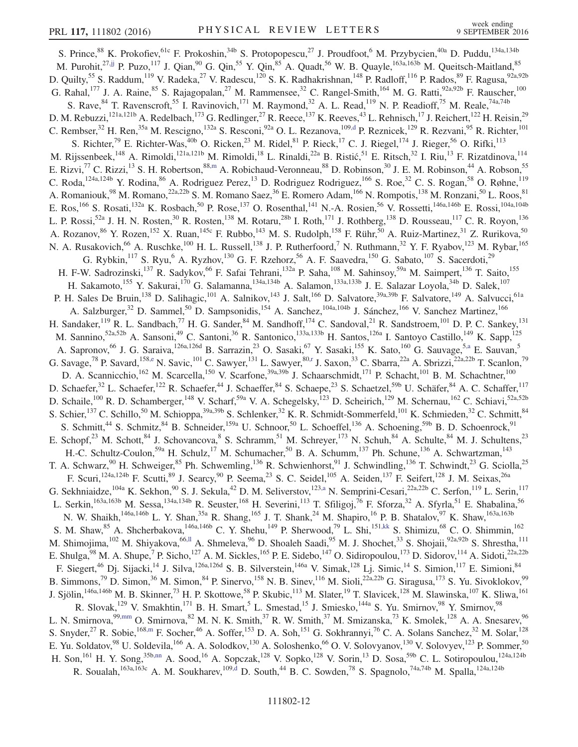<span id="page-12-2"></span><span id="page-12-1"></span><span id="page-12-0"></span>S. Prince, <sup>88</sup> K. Prokofiev, <sup>61c</sup> F. Prokoshin, <sup>34b</sup> S. Protopopescu, <sup>27</sup> J. Proudfoot, <sup>6</sup> M. Przybycien, <sup>40a</sup> D. Puddu, <sup>134a, 134b</sup> M. Purohit,<sup>27[,jj](#page-17-35)</sup> P. Puzo,<sup>117</sup> J. Qian,<sup>90</sup> G. Qin,<sup>55</sup> Y. Qin,<sup>85</sup> A. Quadt,<sup>56</sup> W. B. Quayle,<sup>163a,163b</sup> M. Queitsch-Maitland,<sup>85</sup> D. Quilty,<sup>55</sup> S. Raddum, <sup>119</sup> V. Radeka,<sup>27</sup> V. Radescu, <sup>120</sup> S. K. Radhakrishnan, <sup>148</sup> P. Radloff, <sup>116</sup> P. Rados, <sup>89</sup> F. Ragusa, <sup>92a, 92b</sup> G. Rahal,<sup>177</sup> J. A. Raine,<sup>85</sup> S. Rajagopalan,<sup>27</sup> M. Rammensee,<sup>32</sup> C. Rangel-Smith,<sup>164</sup> M. G. Ratti,<sup>92a,92b</sup> F. Rauscher,<sup>100</sup> S. Rave,  $84$  T. Ravenscroft,  $55$  I. Ravinovich,  $^{171}$  M. Raymond,  $32$  A. L. Read,  $^{119}$  N. P. Readioff,  $75$  M. Reale,  $^{74a,74b}$ D. M. Rebuzzi,<sup>121a,121b</sup> A. Redelbach,<sup>173</sup> G. Redlinger,<sup>27</sup> R. Reece,<sup>137</sup> K. Reeves,<sup>43</sup> L. Rehnisch,<sup>17</sup> J. Reichert,<sup>122</sup> H. Reisin,<sup>29</sup> C. Rembser,<sup>32</sup> H. Ren,<sup>35a</sup> M. Rescigno,<sup>132a</sup> S. Resconi,<sup>92a</sup> O. L. Rezanova,<sup>109[,d](#page-17-2)</sup> P. Reznicek,<sup>129</sup> R. Rezvani,<sup>95</sup> R. Richter,<sup>101</sup> S. Richter,<sup>79</sup> E. Richter-Was,<sup>40b</sup> O. Ricken,<sup>23</sup> M. Ridel,<sup>81</sup> P. Rieck,<sup>17</sup> C. J. Riegel,<sup>174</sup> J. Rieger,<sup>56</sup> O. Rifki,<sup>113</sup> M. Rijssenbeek,<sup>148</sup> A. Rimoldi,<sup>121a,121b</sup> M. Rimoldi,<sup>18</sup> L. Rinaldi,<sup>22a</sup> B. Ristić,<sup>51</sup> E. Ritsch,<sup>32</sup> I. Riu,<sup>13</sup> F. Rizatdinova,<sup>114</sup> E. Rizvi,<sup>77</sup> C. Rizzi,<sup>13</sup> S. H. Robertson,  $88,m$  $88,m$  A. Robichaud-Veronneau,  $88$  D. Robinson,  $30$  J. E. M. Robinson,  $44$  A. Robson,  $55$ C. Roda,  $^{124a,124b}$  Y. Rodina,  $^{86}$  A. Rodriguez Perez,  $^{13}$  D. Rodriguez Rodriguez,  $^{166}$  S. Roe,  $^{32}$  C. S. Rogan,  $^{58}$  O. Røhne,  $^{119}$ A. Romaniouk,<sup>98</sup> M. Romano,<sup>22a,22b</sup> S. M. Romano Saez,<sup>36</sup> E. Romero Adam,<sup>166</sup> N. Rompotis,<sup>138</sup> M. Ronzani,<sup>50</sup> L. Roos,<sup>81</sup> E. Ros,<sup>166</sup> S. Rosati,<sup>132a</sup> K. Rosbach,<sup>50</sup> P. Rose,<sup>137</sup> O. Rosenthal,<sup>141</sup> N.-A. Rosien,<sup>56</sup> V. Rossetti,<sup>146a,146b</sup> E. Rossi,<sup>104a,104b</sup> L. P. Rossi,<sup>52a</sup> J. H. N. Rosten,<sup>30</sup> R. Rosten,<sup>138</sup> M. Rotaru,<sup>28b</sup> I. Roth,<sup>171</sup> J. Rothberg,<sup>138</sup> D. Rousseau,<sup>117</sup> C. R. Royon,<sup>136</sup> A. Rozanov,<sup>86</sup> Y. Rozen,<sup>152</sup> X. Ruan,<sup>145c</sup> F. Rubbo,<sup>143</sup> M. S. Rudolph,<sup>158</sup> F. Rühr,<sup>50</sup> A. Ruiz-Martinez,<sup>31</sup> Z. Rurikova,<sup>50</sup> N. A. Rusakovich, <sup>66</sup> A. Ruschke, <sup>100</sup> H. L. Russell, <sup>138</sup> J. P. Rutherfoord, <sup>7</sup> N. Ruthmann, <sup>32</sup> Y. F. Ryabov, <sup>123</sup> M. Rybar, <sup>165</sup> G. Rybkin,  $^{117}$  S. Ryu,  $^{6}$  A. Ryzhov,  $^{130}$  G. F. Rzehorz,  $^{56}$  A. F. Saavedra,  $^{150}$  G. Sabato,  $^{107}$  S. Sacerdoti,  $^{29}$ H. F-W. Sadrozinski,<sup>137</sup> R. Sadykov,<sup>66</sup> F. Safai Tehrani,<sup>132a</sup> P. Saha,<sup>108</sup> M. Sahinsoy,<sup>59a</sup> M. Saimpert,<sup>136</sup> T. Saito,<sup>155</sup> H. Sakamoto,<sup>155</sup> Y. Sakurai,<sup>170</sup> G. Salamanna,<sup>134a,134b</sup> A. Salamon,<sup>133a,133b</sup> J. E. Salazar Loyola,<sup>34b</sup> D. Salek,<sup>107</sup> P. H. Sales De Bruin,<sup>138</sup> D. Salihagic,<sup>101</sup> A. Salnikov,<sup>143</sup> J. Salt,<sup>166</sup> D. Salvatore,<sup>39a,39b</sup> F. Salvatore,<sup>149</sup> A. Salvucci,<sup>61a</sup> A. Salzburger,<sup>32</sup> D. Sammel,<sup>50</sup> D. Sampsonidis,<sup>154</sup> A. Sanchez,<sup>104a,104b</sup> J. Sánchez,<sup>166</sup> V. Sanchez Martinez,<sup>166</sup> H. Sandaker,<sup>119</sup> R. L. Sandbach,<sup>77</sup> H. G. Sander,<sup>84</sup> M. Sandhoff,<sup>174</sup> C. Sandoval,<sup>21</sup> R. Sandstroem,<sup>101</sup> D. P. C. Sankey,<sup>131</sup> M. Sannino, <sup>52a,52b</sup> A. Sansoni,<sup>49</sup> C. Santoni,<sup>36</sup> R. Santonico, <sup>133a,133b</sup> H. Santos, <sup>126a</sup> I. Santoyo Castillo, <sup>149</sup> K. Sapp, <sup>125</sup> A. Sapronov,<sup>66</sup> J. G. Saraiva, <sup>126a,126d</sup> B. Sarrazin,<sup>23</sup> O. Sasaki,<sup>67</sup> Y. Sasaki,<sup>155</sup> K. Sato,<sup>160</sup> G. Sauvage,<sup>5[,a](#page-17-3)</sup> E. Sauvan,<sup>5</sup> G. Savage,<sup>78</sup> P. Savard,<sup>15[8,e](#page-17-4)</sup> N. Savic,<sup>101</sup> C. Sawyer,<sup>131</sup> L. Sawyer,<sup>80[,r](#page-17-17)</sup> J. Saxon,<sup>33</sup> C. Sbarra,<sup>22a</sup> A. Sbrizzi,<sup>22a,22b</sup> T. Scanlon,<sup>79</sup> D. A. Scannicchio,<sup>162</sup> M. Scarcella,<sup>150</sup> V. Scarfone,<sup>39a,39b</sup> J. Schaarschmidt,<sup>171</sup> P. Schacht,<sup>101</sup> B. M. Schachtner,<sup>100</sup> D. Schaefer,<sup>32</sup> L. Schaefer,<sup>122</sup> R. Schaefer,<sup>44</sup> J. Schaeffer,<sup>84</sup> S. Schaepe,<sup>23</sup> S. Schaetzel,<sup>59b</sup> U. Schäfer,<sup>84</sup> A. C. Schaffer,<sup>117</sup> D. Schaile,<sup>100</sup> R. D. Schamberger,<sup>148</sup> V. Scharf,<sup>59a</sup> V. A. Schegelsky,<sup>123</sup> D. Scheirich,<sup>129</sup> M. Schernau,<sup>162</sup> C. Schiavi,<sup>52a,52b</sup> S. Schier,  $^{137}$  C. Schillo,  $^{50}$  M. Schioppa,  $^{39a,39b}$  S. Schlenker,  $^{32}$  K. R. Schmidt-Sommerfeld,  $^{101}$  K. Schmieden,  $^{32}$  C. Schmitt,  $^{84}$ S. Schmitt,<sup>44</sup> S. Schmitz,<sup>84</sup> B. Schneider,<sup>159a</sup> U. Schnoor,<sup>50</sup> L. Schoeffel,<sup>136</sup> A. Schoening,<sup>59b</sup> B. D. Schoenrock,<sup>91</sup> E. Schopf,<sup>23</sup> M. Schott,<sup>84</sup> J. Schovancova,<sup>8</sup> S. Schramm,<sup>51</sup> M. Schreyer,<sup>173</sup> N. Schuh,<sup>84</sup> A. Schulte,<sup>84</sup> M. J. Schultens,<sup>23</sup> H.-C. Schultz-Coulon,<sup>59a</sup> H. Schulz,<sup>17</sup> M. Schumacher,<sup>50</sup> B. A. Schumm,<sup>137</sup> Ph. Schune,<sup>136</sup> A. Schwartzman,<sup>143</sup> T. A. Schwarz,<sup>90</sup> H. Schweiger,<sup>85</sup> Ph. Schwemling,<sup>136</sup> R. Schwienhorst,<sup>91</sup> J. Schwindling,<sup>136</sup> T. Schwindt,<sup>23</sup> G. Sciolla,<sup>25</sup> F. Scuri,<sup>124a,124b</sup> F. Scutti,<sup>89</sup> J. Searcy,<sup>90</sup> P. Seema,<sup>23</sup> S. C. Seidel,<sup>105</sup> A. Seiden,<sup>137</sup> F. Seifert,<sup>128</sup> J. M. Seixas,<sup>26a</sup> G. Sekhniaidze,  $^{104a}$  K. Sekhon,  $^{90}$  S. J. Sekula,  $^{42}$  D. M. Seliverstov,  $^{123,a}$  $^{123,a}$  $^{123,a}$  N. Semprini-Cesari,  $^{22a,22b}$  C. Serfon,  $^{119}$  L. Serin,  $^{117}$ L. Serkin,<sup>163a,163b</sup> M. Sessa,<sup>134a,134b</sup> R. Seuster,<sup>168</sup> H. Severini,<sup>113</sup> T. Sfiligoj,<sup>76</sup> F. Sforza,<sup>32</sup> A. Sfyrla,<sup>51</sup> E. Shabalina,<sup>56</sup> N. W. Shaikh,<sup>146a,146b</sup> L. Y. Shan,<sup>35a</sup> R. Shang,<sup>165</sup> J. T. Shank,<sup>24</sup> M. Shapiro,<sup>16</sup> P. B. Shatalov,<sup>97</sup> K. Shaw,<sup>163a,163b</sup> S. M. Shaw,  $85$  A. Shcherbakova,  $146a,146b$  C. Y. Shehu,  $149$  P. Sherwood,  $79$  L. Shi,  $151,kk$  $151,kk$  S. Shimizu,  $68$  C. O. Shimmin,  $162$ M. Shimojima, <sup>102</sup> M. Shiyakova, <sup>66,11</sup> A. Shmeleva, <sup>96</sup> D. Shoaleh Saadi, <sup>95</sup> M. J. Shochet, <sup>33</sup> S. Shojaii, <sup>92a, 92b</sup> S. Shrestha, <sup>111</sup> E. Shulga,  $98$  M. A. Shupe,<sup>7</sup> P. Sicho,  $127$  A. M. Sickles,  $165$  P. E. Sidebo,  $147$  O. Sidiropoulou,  $173$  D. Sidorov,  $114$  A. Sidoti,  $22a,22b$ F. Siegert,<sup>46</sup> Dj. Sijacki,<sup>14</sup> J. Silva,<sup>126a,126d</sup> S. B. Silverstein,<sup>146a</sup> V. Simak,<sup>128</sup> Lj. Simic,<sup>14</sup> S. Simion,<sup>117</sup> E. Simioni,<sup>84</sup> B. Simmons,<sup>79</sup> D. Simon,<sup>36</sup> M. Simon,<sup>84</sup> P. Sinervo,<sup>158</sup> N. B. Sinev,<sup>116</sup> M. Sioli,<sup>22a,22b</sup> G. Siragusa,<sup>173</sup> S. Yu. Sivoklokov,<sup>99</sup> J. Sjölin,<sup>146a,146b</sup> M. B. Skinner,<sup>73</sup> H. P. Skottowe,<sup>58</sup> P. Skubic,<sup>113</sup> M. Slater,<sup>19</sup> T. Slavicek,<sup>128</sup> M. Slawinska,<sup>107</sup> K. Sliwa,<sup>161</sup> R. Slovak,<sup>129</sup> V. Smakhtin,<sup>171</sup> B. H. Smart,<sup>5</sup> L. Smestad,<sup>15</sup> J. Smiesko,<sup>144a</sup> S. Yu. Smirnov,<sup>98</sup> Y. Smirnov,<sup>98</sup> L. N. Smirnova,<sup>9[9,mm](#page-17-38)</sup> O. Smirnova,<sup>82</sup> M. N. K. Smith,<sup>37</sup> R. W. Smith,<sup>37</sup> M. Smizanska,<sup>73</sup> K. Smolek,<sup>128</sup> A. A. Snesarev,<sup>96</sup> S. Snyder,<sup>27</sup> R. Sobie,<sup>16[8,m](#page-17-12)</sup> F. Socher,<sup>46</sup> A. Soffer,<sup>153</sup> D. A. Soh,<sup>151</sup> G. Sokhrannyi,<sup>76</sup> C. A. Solans Sanchez,<sup>32</sup> M. Solar,<sup>128</sup> E. Yu. Soldatov,<sup>98</sup> U. Soldevila, <sup>166</sup> A. A. Solodkov, <sup>130</sup> A. Soloshenko, <sup>66</sup> O. V. Solovyanov, <sup>130</sup> V. Solovyev, <sup>123</sup> P. Sommer, <sup>50</sup> H. Son,<sup>161</sup> H. Y. Song,<sup>35b[,nn](#page-18-0)</sup> A. Sood,<sup>16</sup> A. Sopczak,<sup>128</sup> V. Sopko,<sup>128</sup> V. Sorin,<sup>13</sup> D. Sosa,<sup>59b</sup> C. L. Sotiropoulou,<sup>124a,124b</sup> R. Soualah,  $^{163a,163c}$  A. M. Soukharev,  $^{109,d}$  $^{109,d}$  $^{109,d}$  D. South,  $^{44}$  B. C. Sowden,  $^{78}$  S. Spagnolo,  $^{74a,74b}$  M. Spalla,  $^{124a,124b}$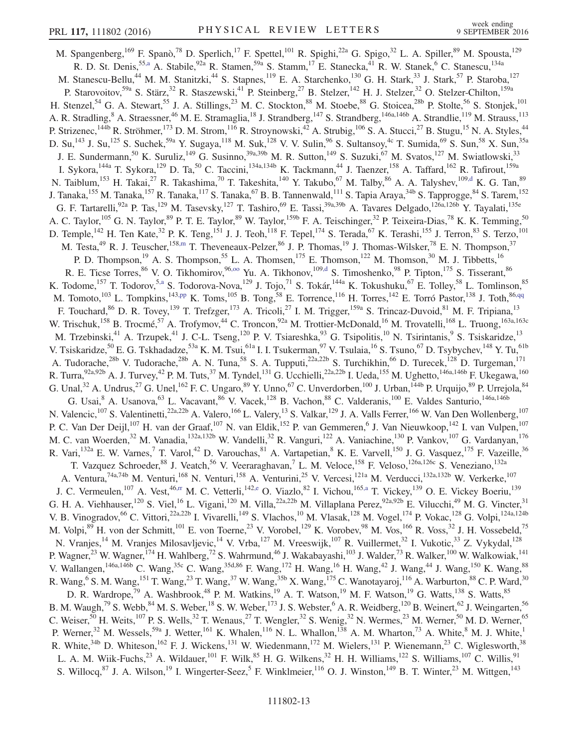<span id="page-13-1"></span><span id="page-13-0"></span>M. Spangenberg, <sup>169</sup> F. Spanò, <sup>78</sup> D. Sperlich, <sup>17</sup> F. Spettel, <sup>101</sup> R. Spighi, <sup>22a</sup> G. Spigo, <sup>32</sup> L. A. Spiller, <sup>89</sup> M. Spousta, <sup>129</sup> R. D. St. Denis,<sup>5[5,a](#page-17-3)</sup> A. Stabile,<sup>92a</sup> R. Stamen,<sup>59a</sup> S. Stamm,<sup>17</sup> E. Stanecka,<sup>41</sup> R. W. Stanek,<sup>6</sup> C. Stanescu,<sup>134a</sup> M. Stanescu-Bellu,<sup>44</sup> M. M. Stanitzki,<sup>44</sup> S. Stapnes,<sup>119</sup> E. A. Starchenko,<sup>130</sup> G. H. Stark,<sup>33</sup> J. Stark,<sup>57</sup> P. Staroba,<sup>127</sup> P. Starovoitov,<sup>59a</sup> S. Stärz,<sup>32</sup> R. Staszewski,<sup>41</sup> P. Steinberg,<sup>27</sup> B. Stelzer,<sup>142</sup> H. J. Stelzer,<sup>32</sup> O. Stelzer-Chilton,<sup>159a</sup> H. Stenzel,<sup>54</sup> G. A. Stewart,<sup>55</sup> J. A. Stillings,<sup>23</sup> M. C. Stockton,<sup>88</sup> M. Stoebe,<sup>88</sup> G. Stoicea,<sup>28b</sup> P. Stolte,<sup>56</sup> S. Stonjek,<sup>101</sup> A. R. Stradling,<sup>8</sup> A. Straessner,<sup>46</sup> M. E. Stramaglia,<sup>18</sup> J. Strandberg,<sup>147</sup> S. Strandberg,<sup>146a,146b</sup> A. Strandlie,<sup>119</sup> M. Strauss,<sup>113</sup> P. Strizenec,  $^{144b}$  R. Ströhmer,  $^{173}$  D. M. Strom,  $^{116}$  R. Stroynowski,  $^{42}$  A. Strubig,  $^{106}$  S. A. Stucci,  $^{27}$  B. Stugu,  $^{15}$  N. A. Styles,  $^{44}$ D. Su,<sup>143</sup> J. Su,<sup>125</sup> S. Suchek,<sup>59a</sup> Y. Sugaya,<sup>118</sup> M. Suk,<sup>128</sup> V. V. Sulin,<sup>96</sup> S. Sultansoy,<sup>4c</sup> T. Sumida,<sup>69</sup> S. Sun,<sup>58</sup> X. Sun,<sup>35a</sup> J. E. Sundermann,<sup>50</sup> K. Suruliz,<sup>149</sup> G. Susinno,<sup>39a,39b</sup> M. R. Sutton,<sup>149</sup> S. Suzuki,<sup>67</sup> M. Svatos,<sup>127</sup> M. Swiatlowski,<sup>33</sup> I. Sykora,<sup>144a</sup> T. Sykora,<sup>129</sup> D. Ta,<sup>50</sup> C. Taccini,<sup>134a,134b</sup> K. Tackmann,<sup>44</sup> J. Taenzer,<sup>158</sup> A. Taffard,<sup>162</sup> R. Tafirout,<sup>159a</sup> N. Taiblum, <sup>153</sup> H. Takai, <sup>27</sup> R. Takashima, <sup>70</sup> T. Takeshita, <sup>140</sup> Y. Takubo, <sup>67</sup> M. Talby, <sup>86</sup> A. A. Talyshev,  $^{109,d}$  $^{109,d}$  $^{109,d}$  K. G. Tan,  $^{89}$ J. Tanaka,<sup>155</sup> M. Tanaka,<sup>157</sup> R. Tanaka,<sup>117</sup> S. Tanaka,<sup>67</sup> B. B. Tannenwald,<sup>111</sup> S. Tapia Araya,<sup>34b</sup> S. Tapprogge,<sup>84</sup> S. Tarem,<sup>152</sup> G. F. Tartarelli,<sup>92a</sup> P. Tas,<sup>129</sup> M. Tasevsky,<sup>127</sup> T. Tashiro,<sup>69</sup> E. Tassi,<sup>39a,39b</sup> A. Tavares Delgado,<sup>126a,126b</sup> Y. Tayalati,<sup>135e</sup> A. C. Taylor,<sup>105</sup> G. N. Taylor,<sup>89</sup> P. T. E. Taylor,<sup>89</sup> W. Taylor,<sup>159b</sup> F. A. Teischinger,<sup>32</sup> P. Teixeira-Dias,<sup>78</sup> K. K. Temming,<sup>50</sup> D. Temple,  $^{142}$  H. Ten Kate,  $^{32}$  P. K. Teng,  $^{151}$  J. J. Teoh,  $^{118}$  F. Tepel,  $^{174}$  S. Terada,  $^{67}$  K. Terashi,  $^{155}$  J. Terron,  $^{83}$  S. Terzo,  $^{101}$ M. Testa,<sup>49</sup> R. J. Teuscher,<sup>158[,m](#page-17-12)</sup> T. Theveneaux-Pelzer,<sup>86</sup> J. P. Thomas,<sup>19</sup> J. Thomas-Wilsker,<sup>78</sup> E. N. Thompson,<sup>37</sup> P. D. Thompson,<sup>19</sup> A. S. Thompson,<sup>55</sup> L. A. Thomsen,<sup>175</sup> E. Thomson,<sup>122</sup> M. Thomson,<sup>30</sup> M. J. Tibbetts,<sup>16</sup> R. E. Ticse Torres, <sup>86</sup> V. O. Tikhomirov, <sup>96,00</sup> Yu. A. Tikhonov, <sup>10[9,d](#page-17-2)</sup> S. Timoshenko, <sup>98</sup> P. Tipton, <sup>175</sup> S. Tisserant, <sup>86</sup> K. Todome, <sup>157</sup> T. Todorov, <sup>5[,a](#page-17-3)</sup> S. Todorova-Nova, <sup>129</sup> J. Tojo, <sup>71</sup> S. Tokár, <sup>144a</sup> K. Tokushuku, <sup>67</sup> E. Tolley, <sup>58</sup> L. Tomlinson, <sup>85</sup> M. Tomoto,  $^{103}$  L. Tompkins,  $^{143,pp}$  $^{143,pp}$  $^{143,pp}$  K. Toms,  $^{105}$  B. Tong,  $^{58}$  E. Torrence,  $^{116}$  H. Torres,  $^{142}$  E. Torró Pastor,  $^{138}$  J. Toth,  $^{86,qq}$  $^{86,qq}$  $^{86,qq}$ F. Touchard, <sup>86</sup> D. R. Tovey, <sup>139</sup> T. Trefzger, <sup>173</sup> A. Tricoli, <sup>27</sup> I. M. Trigger, <sup>159a</sup> S. Trincaz-Duvoid, <sup>81</sup> M. F. Tripiana, <sup>13</sup> W. Trischuk,<sup>158</sup> B. Trocmé,<sup>57</sup> A. Trofymov,<sup>44</sup> C. Troncon,<sup>92a</sup> M. Trottier-McDonald,<sup>16</sup> M. Trovatelli,<sup>168</sup> L. Truong,<sup>163a,163c</sup> M. Trzebinski,<sup>41</sup> A. Trzupek,<sup>41</sup> J. C-L. Tseng,<sup>120</sup> P. V. Tsiareshka,<sup>93</sup> G. Tsipolitis,<sup>10</sup> N. Tsirintanis,<sup>9</sup> S. Tsiskaridze,<sup>13</sup> V. Tsiskaridze,<sup>50</sup> E. G. Tskhadadze,<sup>53a</sup> K. M. Tsui,<sup>61a</sup> I. I. Tsukerman,<sup>97</sup> V. Tsulaia,<sup>16</sup> S. Tsuno,<sup>67</sup> D. Tsybychev,<sup>148</sup> Y. Tu,<sup>61b</sup> A. Tudorache,<sup>28b</sup> V. Tudorache,<sup>28b</sup> A. N. Tuna,<sup>58</sup> S. A. Tupputi,<sup>22a,22b</sup> S. Turchikhin,<sup>66</sup> D. Turecek,<sup>128</sup> D. Turgeman,<sup>171</sup> R. Turra,  $^{92a,92b}$  A. J. Turvey,  $^{42}$  P. M. Tuts,  $^{37}$  M. Tyndel,  $^{131}$  G. Ucchielli,  $^{22a,22b}$  I. Ueda,  $^{155}$  M. Ughetto,  $^{146a,146b}$  F. Ukegawa,  $^{160}$ G. Unal,<sup>32</sup> A. Undrus,<sup>27</sup> G. Unel,<sup>162</sup> F. C. Ungaro,<sup>89</sup> Y. Unno,<sup>67</sup> C. Unverdorben,<sup>100</sup> J. Urban,<sup>144b</sup> P. Urquijo,<sup>89</sup> P. Urrejola,<sup>84</sup> G. Usai,<sup>8</sup> A. Usanova,<sup>63</sup> L. Vacavant,<sup>86</sup> V. Vacek,<sup>128</sup> B. Vachon,<sup>88</sup> C. Valderanis,<sup>100</sup> E. Valdes Santurio,<sup>146a,146b</sup> N. Valencic,<sup>107</sup> S. Valentinetti,<sup>22a,22b</sup> A. Valero,<sup>166</sup> L. Valery,<sup>13</sup> S. Valkar,<sup>129</sup> J. A. Valls Ferrer,<sup>166</sup> W. Van Den Wollenberg,<sup>107</sup> P. C. Van Der Deijl,<sup>107</sup> H. van der Graaf,<sup>107</sup> N. van Eldik,<sup>152</sup> P. van Gemmeren, <sup>6</sup> J. Van Nieuwkoop, <sup>142</sup> I. van Vulpen, <sup>107</sup> M. C. van Woerden,<sup>32</sup> M. Vanadia,<sup>132a,132b</sup> W. Vandelli,<sup>32</sup> R. Vanguri,<sup>122</sup> A. Vaniachine,<sup>130</sup> P. Vankov,<sup>107</sup> G. Vardanyan,<sup>176</sup> R. Vari,<sup>132a</sup> E. W. Varnes,<sup>7</sup> T. Varol,<sup>42</sup> D. Varouchas,<sup>81</sup> A. Vartapetian,<sup>8</sup> K. E. Varvell,<sup>150</sup> J. G. Vasquez,<sup>175</sup> F. Vazeille,<sup>36</sup> T. Vazquez Schroeder,<sup>88</sup> J. Veatch,<sup>56</sup> V. Veeraraghavan,<sup>7</sup> L. M. Veloce,<sup>158</sup> F. Veloso,<sup>126a,126c</sup> S. Veneziano,<sup>132a</sup> A. Ventura,  $7^{4a,74b}$  M. Venturi,  $168$  N. Venturi,  $158$  A. Venturini,  $25$  V. Vercesi,  $121a$  M. Verducci,  $132a,132b$  W. Verkerke,  $107$ J. C. Vermeulen,<sup>107</sup> A. Vest,<sup>46[,rr](#page-18-4)</sup> M. C. Vetterli,<sup>14[2,e](#page-17-4)</sup> O. Viazlo,<sup>82</sup> I. Vichou,<sup>16[5,a](#page-17-3)</sup> T. Vickey,<sup>139</sup> O. E. Vickey Boeriu,<sup>139</sup> G. H. A. Viehhauser,<sup>120</sup> S. Viel,<sup>16</sup> L. Vigani,<sup>120</sup> M. Villa,<sup>22a,22b</sup> M. Villaplana Perez,<sup>92a,92b</sup> E. Vilucchi,<sup>49</sup> M. G. Vincter,<sup>31</sup> V. B. Vinogradov,<sup>66</sup> C. Vittori,<sup>22a,22b</sup> I. Vivarelli,<sup>149</sup> S. Vlachos,<sup>10</sup> M. Vlasak,<sup>128</sup> M. Vogel,<sup>174</sup> P. Vokac,<sup>128</sup> G. Volpi,<sup>124a,124b</sup> M. Volpi, <sup>89</sup> H. von der Schmitt,<sup>101</sup> E. von Toerne,<sup>23</sup> V. Vorobel,<sup>129</sup> K. Vorobev, <sup>98</sup> M. Vos, <sup>166</sup> R. Voss, <sup>32</sup> J. H. Vossebeld, <sup>75</sup> N. Vranjes,<sup>14</sup> M. Vranjes Milosavljevic,<sup>14</sup> V. Vrba,<sup>127</sup> M. Vreeswijk,<sup>107</sup> R. Vuillermet,<sup>32</sup> I. Vukotic,<sup>33</sup> Z. Vykydal,<sup>128</sup> P. Wagner,<sup>23</sup> W. Wagner,<sup>174</sup> H. Wahlberg,<sup>72</sup> S. Wahrmund,<sup>46</sup> J. Wakabayashi,<sup>103</sup> J. Walder,<sup>73</sup> R. Walker,<sup>100</sup> W. Walkowiak,<sup>141</sup> V. Wallangen,<sup>146a,146b</sup> C. Wang,<sup>35c</sup> C. Wang,<sup>35d,86</sup> F. Wang,<sup>172</sup> H. Wang,<sup>16</sup> H. Wang,<sup>42</sup> J. Wang,<sup>44</sup> J. Wang,<sup>150</sup> K. Wang,<sup>88</sup> R. Wang,  $^6$  S. M. Wang,  $^{151}$  T. Wang,  $^{23}$  T. Wang,  $^{37}$  W. Wang,  $^{35b}$  X. Wang,  $^{175}$  C. Wanotayaroj,  $^{116}$  A. Warburton,  $^{88}$  C. P. Ward,  $^{30}$ D. R. Wardrope,<sup>79</sup> A. Washbrook,<sup>48</sup> P. M. Watkins,<sup>19</sup> A. T. Watson,<sup>19</sup> M. F. Watson,<sup>19</sup> G. Watts,<sup>138</sup> S. Watts,<sup>85</sup> B. M. Waugh,  $^{79}$  S. Webb,  $^{84}$  M. S. Weber,  $^{18}$  S. W. Weber,  $^{173}$  J. S. Webster,  $^6$  A. R. Weidberg,  $^{120}$  B. Weinert,  $^{62}$  J. Weingarten,  $^{56}$ C. Weiser,<sup>50</sup> H. Weits,<sup>107</sup> P. S. Wells,<sup>32</sup> T. Wenaus,<sup>27</sup> T. Wengler,<sup>32</sup> S. Wenig,<sup>32</sup> N. Wermes,<sup>23</sup> M. Werner,<sup>50</sup> M. D. Werner,<sup>65</sup> P. Werner,<sup>32</sup> M. Wessels,<sup>59a</sup> J. Wetter,<sup>161</sup> K. Whalen,<sup>116</sup> N. L. Whallon,<sup>138</sup> A. M. Wharton,<sup>73</sup> A. White,<sup>8</sup> M. J. White,<sup>1</sup> R. White,  $34b$  D. Whiteson,  $162$  F. J. Wickens,  $131$  W. Wiedenmann,  $172$  M. Wielers,  $131$  P. Wienemann,  $23$  C. Wiglesworth,  $38$ L. A. M. Wiik-Fuchs,<sup>23</sup> A. Wildauer,<sup>101</sup> F. Wilk,<sup>85</sup> H. G. Wilkens,<sup>32</sup> H. H. Williams,<sup>122</sup> S. Williams,<sup>107</sup> C. Willis,<sup>91</sup> S. Willocq,  $87$  J. A. Wilson,  $19$  I. Wingerter-Seez,  $5$  F. Winklmeier,  $116$  O. J. Winston,  $149$  B. T. Winter,  $23$  M. Wittgen,  $143$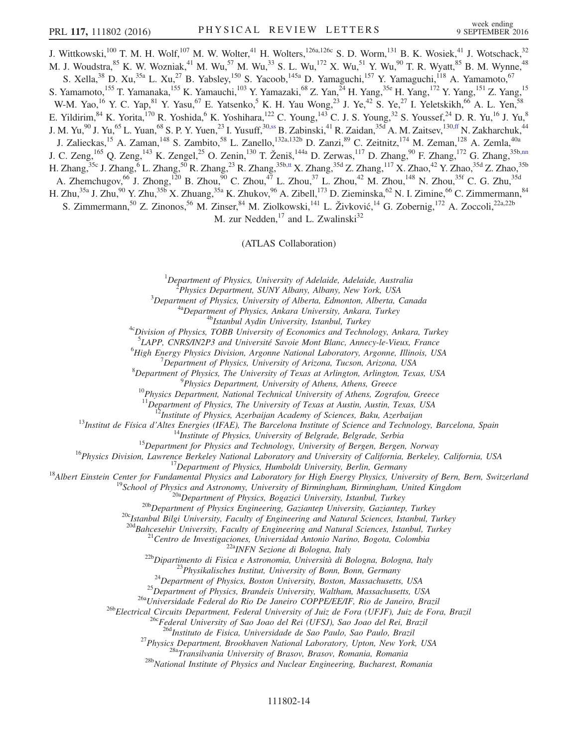J. Wittkowski,<sup>100</sup> T. M. H. Wolf,<sup>107</sup> M. W. Wolter,<sup>41</sup> H. Wolters,<sup>126a,126c</sup> S. D. Worm,<sup>131</sup> B. K. Wosiek,<sup>41</sup> J. Wotschack,<sup>32</sup> M. J. Woudstra,<sup>85</sup> K. W. Wozniak,<sup>41</sup> M. Wu,<sup>57</sup> M. Wu,<sup>33</sup> S. L. Wu,<sup>172</sup> X. Wu,<sup>51</sup> Y. Wu,<sup>90</sup> T. R. Wyatt,<sup>85</sup> B. M. Wynne,<sup>48</sup> S. Xella,<sup>38</sup> D. Xu,<sup>35a</sup> L. Xu,<sup>27</sup> B. Yabsley,<sup>150</sup> S. Yacoob,<sup>145a</sup> D. Yamaguchi,<sup>157</sup> Y. Yamaguchi,<sup>118</sup> A. Yamamoto,<sup>67</sup> S. Yamamoto,<sup>155</sup> T. Yamanaka,<sup>155</sup> K. Yamauchi,<sup>103</sup> Y. Yamazaki,<sup>68</sup> Z. Yan,<sup>24</sup> H. Yang,<sup>35e</sup> H. Yang,<sup>172</sup> Y. Yang,<sup>151</sup> Z. Yang,<sup>15</sup> W-M. Yao,<sup>16</sup> Y. C. Yap,<sup>81</sup> Y. Yasu,<sup>67</sup> E. Yatsenko,<sup>5</sup> K. H. Yau Wong,<sup>23</sup> J. Ye,<sup>42</sup> S. Ye,<sup>27</sup> I. Yeletskikh,<sup>66</sup> A. L. Yen,<sup>58</sup> E. Yildirim,  $84$  K. Yorita,  $170$  R. Yoshida,  $6$  K. Yoshihara,  $122$  C. Young,  $143$  C. J. S. Young,  $32$  S. Youssef,  $24$  D. R. Yu,  $16$  J. Yu,  $8$ J. M. Yu,<sup>90</sup> J. Yu,<sup>65</sup> L. Yuan,<sup>68</sup> S. P. Y. Yuen,<sup>23</sup> I. Yusuff,<sup>3[0,ss](#page-18-5)</sup> B. Zabinski,<sup>41</sup> R. Zaidan,<sup>35d</sup> A. M. Zaitsev,<sup>130[,ff](#page-17-31)</sup> N. Zakharchuk,<sup>44</sup> J. Zalieckas,<sup>15</sup> A. Zaman,<sup>148</sup> S. Zambito,<sup>58</sup> L. Zanello,<sup>132a,132b</sup> D. Zanzi,<sup>89</sup> C. Zeitnitz,<sup>174</sup> M. Zeman,<sup>128</sup> A. Zemla,<sup>40a</sup> J. C. Zeng,<sup>165</sup> Q. Zeng,<sup>143</sup> K. Zengel,<sup>25</sup> O. Zenin,<sup>130</sup> T. Ženiš,<sup>144a</sup> D. Zerwas,<sup>117</sup> D. Zhang,<sup>90</sup> F. Zhang,<sup>172</sup> G. Zhang,<sup>35[b,nn](#page-18-0)</sup> H. Zhang,<sup>35c</sup> J. Zhang,<sup>6</sup> L. Zhang,<sup>50</sup> R. Zhang,<sup>23</sup> R. Zhang,<sup>35[b,tt](#page-18-6)</sup> X. Zhang,<sup>35d</sup> Z. Zhang,<sup>117</sup> X. Zhao,<sup>42</sup> Y. Zhao,<sup>35d</sup> Z. Zhao,<sup>35b</sup> A. Zhemchugov,<sup>66</sup> J. Zhong,<sup>120</sup> B. Zhou,<sup>90</sup> C. Zhou,<sup>47</sup> L. Zhou,<sup>37</sup> L. Zhou,<sup>42</sup> M. Zhou,<sup>148</sup> N. Zhou,<sup>35f</sup> C. G. Zhu,<sup>35d</sup> H. Zhu,<sup>35a</sup> J. Zhu,<sup>90</sup> Y. Zhu,<sup>35b</sup> X. Zhuang,<sup>35a</sup> K. Zhukov,<sup>96</sup> A. Zibell,<sup>173</sup> D. Zieminska,<sup>62</sup> N. I. Zimine,<sup>66</sup> C. Zimmermann,<sup>84</sup> S. Zimmermann,<sup>50</sup> Z. Zinonos,<sup>56</sup> M. Zinser,<sup>84</sup> M. Ziolkowski,<sup>141</sup> L. Živković,<sup>14</sup> G. Zobernig,<sup>172</sup> A. Zoccoli,<sup>22a,22b</sup>

M. zur Nedden, $^{17}$  and L. Zwalinski $^{32}$ 

(ATLAS Collaboration)

 ${}^{1}$ Department of Physics, University of Adelaide, Adelaide, Australia

<sup>2</sup>Physics Department, SUNY Albany, Albany, New York, USA

 $3$ Department of Physics, University of Alberta, Edmonton, Alberta, Canada

<sup>4a</sup>Department of Physics, Ankara University, Ankara, Turkey

<sup>4b</sup>Istanbul Aydin University, Istanbul, Turkey

 $4c$ Division of Physics, TOBB University of Economics and Technology, Ankara, Turkey

<sup>5</sup>LAPP, CNRS/IN2P3 and Université Savoie Mont Blanc, Annecy-le-Vieux, France

 $^{6}$ High Energy Physics Division, Argonne National Laboratory, Argonne, Illinois, USA

 $^7$ Department of Physics, University of Arizona, Tucson, Arizona, USA

 ${}^{8}$ Department of Physics, The University of Texas at Arlington, Arlington, Texas, USA

<sup>9</sup>Physics Department, University of Athens, Athens, Greece

 $10P$ hysics Department, National Technical University of Athens, Zografou, Greece

 $11$ Department of Physics, The University of Texas at Austin, Austin, Texas, USA

 $2$ Institute of Physics, Azerbaijan Academy of Sciences, Baku, Azerbaijan

 $13$ Institut de Física d'Altes Energies (IFAE), The Barcelona Institute of Science and Technology, Barcelona, Spain

<sup>14</sup>Institute of Physics, University of Belgrade, Belgrade, Serbia

<sup>15</sup>Department for Physics and Technology, University of Bergen, Bergen, Norway

<sup>16</sup>Physics Division, Lawrence Berkeley National Laboratory and University of California, Berkeley, California, USA

 $17$ Department of Physics, Humboldt University, Berlin, Germany

 $^{18}$ Albert Einstein Center for Fundamental Physics and Laboratory for High Energy Physics, University of Bern, Bern, Switzerland

<sup>19</sup>School of Physics and Astronomy, University of Birmingham, Birmingham, United Kingdom

 $^{20a}$ Department of Physics, Bogazici University, Istanbul, Turkey

<sup>20b</sup>Department of Physics Engineering, Gaziantep University, Gaziantep, Turkey

 $20c$ Istanbul Bilgi University, Faculty of Engineering and Natural Sciences, Istanbul, Turkey

 $^{20d}$ Bahcesehir University, Faculty of Engineering and Natural Sciences, Istanbul, Turkey

<sup>21</sup>Centro de Investigaciones, Universidad Antonio Narino, Bogota, Colombia

<sup>22a</sup>INFN Sezione di Bologna, Italy

 $2^{2b}$ Dipartimento di Fisica e Astronomia, Università di Bologna, Bologna, Italy

 $^{23}$ Physikalisches Institut, University of Bonn, Bonn, Germany

<sup>24</sup>Department of Physics, Boston University, Boston, Massachusetts, USA

 $^{25}$ Department of Physics, Brandeis University, Waltham, Massachusetts, USA

<sup>26a</sup>Universidade Federal do Rio De Janeiro COPPE/EE/IF, Rio de Janeiro, Brazil

<sup>26b</sup>Electrical Circuits Department, Federal University of Juiz de Fora (UFJF), Juiz de Fora, Brazil

<sup>26c</sup>Federal University of Sao Joao del Rei (UFSJ), Sao Joao del Rei, Brazil

<sup>26d</sup>Instituto de Fisica, Universidade de Sao Paulo, Sao Paulo, Brazil

<sup>27</sup>Physics Department, Brookhaven National Laboratory, Upton, New York, USA

<sup>28a</sup>Transilvania University of Brasov, Brasov, Romania, Romania

 $^{28b}$ National Institute of Physics and Nuclear Engineering, Bucharest, Romania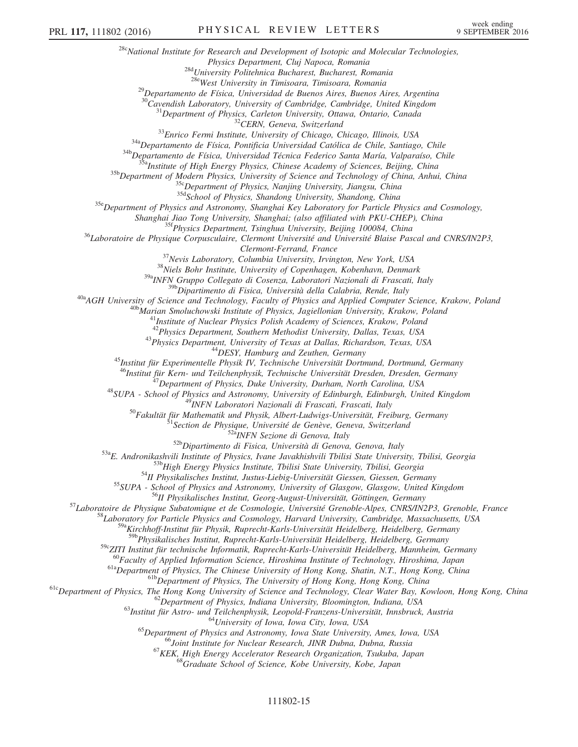$28c$ National Institute for Research and Development of Isotopic and Molecular Technologies, Physics Department, Cluj Napoca, Romania <sup>28d</sup>University Politehnica Bucharest, Bucharest, Romania <sup>28e</sup>West University in Timisoara, Timisoara, Romania  $^{29}$ Departamento de Física, Universidad de Buenos Aires, Buenos Aires, Argentina  $30C$ avendish Laboratory, University of Cambridge, Cambridge, United Kingdom  $31$ Department of Physics, Carleton University, Ottawa, Ontario, Canada <sup>32</sup>CERN, Geneva, Switzerland  $33$ Enrico Fermi Institute, University of Chicago, Chicago, Illinois, USA  $34a$ Departamento de Física, Pontificia Universidad Católica de Chile, Santiago, Chile <sup>34b</sup>Departamento de Física, Universidad Técnica Federico Santa María, Valparaíso, Chile <sup>35a</sup>Institute of High Energy Physics, Chinese Academy of Sciences, Beijing, China 35b Department of Modern Physics, University of Science and Technology of China, Anhui, China  $35c$ Department of Physics, Nanjing University, Jiangsu, China 35dSchool of Physics, Shandong University, Shandong, China <sup>35e</sup>Department of Physics and Astronomy, Shanghai Key Laboratory for Particle Physics and Cosmology, Shanghai Jiao Tong University, Shanghai; (also affiliated with PKU-CHEP), China <sup>35f</sup>Physics Department, Tsinghua University, Beijing 100084, China <sup>36</sup>Laboratoire de Physique Corpusculaire, Clermont Université and Université Blaise Pascal and CNRS/IN2P3, Clermont-Ferrand, France  $37$ Nevis Laboratory, Columbia University, Irvington, New York, USA <sup>38</sup>Niels Bohr Institute, University of Copenhagen, Kobenhavn, Denmark 39aINFN Gruppo Collegato di Cosenza, Laboratori Nazionali di Frascati, Italy <sup>39b</sup>Dipartimento di Fisica, Università della Calabria, Rende, Italy <sup>40a</sup>AGH University of Science and Technology, Faculty of Physics and Applied Computer Science, Krakow, Poland <sup>40b</sup>Marian Smoluchowski Institute of Physics, Jagiellonian University, Krakow, Poland <sup>41</sup>Institute of Nuclear Physics Polish Academy of Sciences, Krakow, Poland <sup>42</sup>Physics Department, Southern Methodist University, Dallas, Texas, USA <sup>43</sup>Physics Department, University of Texas at Dallas, Richardson, Texas, USA  $^{44}$ DESY, Hamburg and Zeuthen, Germany <sup>45</sup>Institut für Experimentelle Physik IV, Technische Universität Dortmund, Dortmund, Germany <sup>46</sup>Institut für Kern- und Teilchenphysik, Technische Universität Dresden, Dresden, Germany  $^{47}$ Department of Physics, Duke University, Durham, North Carolina, USA <sup>48</sup>SUPA - School of Physics and Astronomy, University of Edinburgh, Edinburgh, United Kingdom <sup>49</sup>INFN Laboratori Nazionali di Frascati, Frascati, Italy <sup>50</sup>Fakultät für Mathematik und Physik, Albert-Ludwigs-Universität, Freiburg, Germany Section de Physique, Université de Genève, Geneva, Switzerland 52<sup>a</sup>INFN Sezione di Genova, Italy 52b Dipartimento di Fisica, Università di Genova, Genova, Italy 53aE. Andronikashvili Institute of Physics, Ivane Javakhishvili Tbilisi State University, Tbilisi, Georgia <sup>53b</sup>High Energy Physics Institute, Tbilisi State University, Tbilisi, Georgia <sup>54</sup>II Physikalisches Institut, Justus-Liebig-Universität Giessen, Giessen, Germany <sup>55</sup>SUPA - School of Physics and Astronomy, University of Glasgow, Glasgow, United Kingdom <sup>56</sup>II Physikalisches Institut, Georg-August-Universität, Göttingen, Germany <sup>57</sup>Laboratoire de Physique Subatomique et de Cosmologie, Université Grenoble-Alpes, CNRS/IN2P3, Grenoble, France  $8$ Laboratory for Particle Physics and Cosmology, Harvard University, Cambridge, Massachusetts, USA <sup>59a</sup>Kirchhoff-Institut für Physik, Ruprecht-Karls-Universität Heidelberg, Heidelberg, Germany <sup>59b</sup>Physikalisches Institut, Ruprecht-Karls-Universität Heidelberg, Heidelberg, Germany 59cZITI Institut für technische Informatik, Ruprecht-Karls-Universität Heidelberg, Mannheim, Germany  $^{60}$ Faculty of Applied Information Science, Hiroshima Institute of Technology, Hiroshima, Japan <sup>61a</sup>Department of Physics, The Chinese University of Hong Kong, Shatin, N.T., Hong Kong, China <sup>61b</sup>Department of Physics, The University of Hong Kong, Hong Kong, China <sup>61c</sup>Department of Physics, The Hong Kong University of Science and Technology, Clear Water Bay, Kowloon, Hong Kong, China  $^{62}$ Department of Physics, Indiana University, Bloomington, Indiana, USA <sup>63</sup>Institut für Astro- und Teilchenphysik, Leopold-Franzens-Universität, Innsbruck, Austria <sup>64</sup>University of Iowa, Iowa City, Iowa, USA <sup>65</sup>Department of Physics and Astronomy, Iowa State University, Ames, Iowa, USA <sup>66</sup>Joint Institute for Nuclear Research, JINR Dubna, Dubna, Russia  $^{67}$ KEK, High Energy Accelerator Research Organization, Tsukuba, Japan <sup>68</sup>Graduate School of Science, Kobe University, Kobe, Japan

#### 111802-15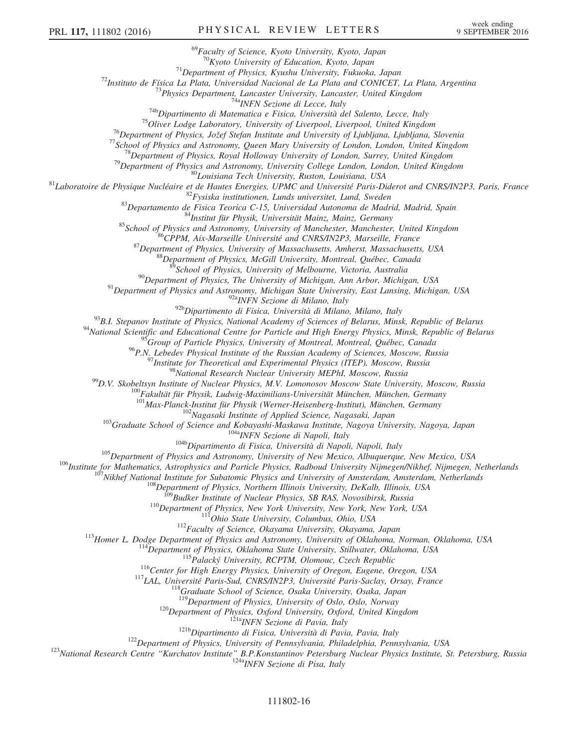<sup>69</sup>Faculty of Science, Kyoto University, Kyoto, Japan

 $70K$ yoto University of Education, Kyoto, Japan

 $17$ Department of Physics, Kyushu University, Fukuoka, Japan

 $^{72}$ Instituto de Física La Plata, Universidad Nacional de La Plata and CONICET, La Plata, Argentina

 $^{73}$ Physics Department, Lancaster University, Lancaster, United Kingdom

<sup>74a</sup>INFN Sezione di Lecce, Italy

 $74b$ Dipartimento di Matematica e Fisica, Università del Salento, Lecce, Italy

 $75$ Oliver Lodge Laboratory, University of Liverpool, Liverpool, United Kingdom

 $^{76}$ Department of Physics, Jožef Stefan Institute and University of Ljubljana, Ljubljana, Slovenia

 $^{77}$ School of Physics and Astronomy, Queen Mary University of London, London, United Kingdom

 $^{78}$ Department of Physics, Royal Holloway University of London, Surrey, United Kingdom

 $79$ Department of Physics and Astronomy, University College London, London, United Kingdom

<sup>80</sup>Louisiana Tech University, Ruston, Louisiana, USA

<sup>81</sup>Laboratoire de Physique Nucléaire et de Hautes Energies, UPMC and Université Paris-Diderot and CNRS/IN2P3, Paris, France

 $82$ Fysiska institutionen, Lunds universitet, Lund, Sweden

83Departamento de Fisica Teorica C-15, Universidad Autonoma de Madrid, Madrid, Spain

84 Institut für Physik, Universität Mainz, Mainz, Germany

<sup>85</sup>School of Physics and Astronomy, University of Manchester, Manchester, United Kingdom

 $^{86}$ CPPM, Aix-Marseille Université and CNRS/IN2P3, Marseille, France

 $87$ Department of Physics, University of Massachusetts, Amherst, Massachusetts, USA

 $88$ Department of Physics, McGill University, Montreal, Québec, Canada

School of Physics, University of Melbourne, Victoria, Australia

 $90$ Department of Physics, The University of Michigan, Ann Arbor, Michigan, USA

 $91$ Department of Physics and Astronomy, Michigan State University, East Lansing, Michigan, USA

92a<sub>INFN</sub> Sezione di Milano, Italy

92bDipartimento di Fisica, Università di Milano, Milano, Italy

 $93B.$ I. Stepanov Institute of Physics, National Academy of Sciences of Belarus, Minsk, Republic of Belarus

94 National Scientific and Educational Centre for Particle and High Energy Physics, Minsk, Republic of Belarus

<sup>95</sup>Group of Particle Physics, University of Montreal, Montreal, Québec, Canada

<sup>96</sup>P.N. Lebedev Physical Institute of the Russian Academy of Sciences, Moscow, Russia

<sup>97</sup>Institute for Theoretical and Experimental Physics (ITEP), Moscow, Russia

<sup>98</sup>National Research Nuclear University MEPhI, Moscow, Russia

<sup>99</sup>D.V. Skobeltsyn Institute of Nuclear Physics, M.V. Lomonosov Moscow State University, Moscow, Russia

<sup>100</sup>Fakultät für Physik, Ludwig-Maximilians-Universität München, München, Germany

<sup>101</sup>Max-Planck-Institut für Physik (Werner-Heisenberg-Institut), München, Germany

<sup>102</sup>Nagasaki Institute of Applied Science, Nagasaki, Japan

<sup>103</sup>Graduate School of Science and Kobayashi-Maskawa Institute, Nagoya University, Nagoya, Japan

104a<sub>INFN</sub> Sezione di Napoli, Italy

104b Dipartimento di Fisica, Università di Napoli, Napoli, Italy

<sup>105</sup>Department of Physics and Astronomy, University of New Mexico, Albuquerque, New Mexico, USA

<sup>106</sup>Institute for Mathematics, Astrophysics and Particle Physics, Radboud University Nijmegen/Nikhef, Nijmegen, Netherlands

<sup>107</sup>Nikhef National Institute for Subatomic Physics and University of Amsterdam, Amsterdam, Netherlands

<sup>108</sup>Department of Physics, Northern Illinois University, DeKalb, Illinois, USA

<sup>109</sup>Budker Institute of Nuclear Physics, SB RAS, Novosibirsk, Russia

<sup>110</sup>Department of Physics, New York University, New York, New York, USA<br><sup>111</sup>OL: State University, Calumbus, Objec USA

<sup>1</sup>Ohio State University, Columbus, Ohio, USA

<sup>112</sup>Faculty of Science, Okayama University, Okayama, Japan

<sup>113</sup>Homer L. Dodge Department of Physics and Astronomy, University of Oklahoma, Norman, Oklahoma, USA

 $14$ Department of Physics, Oklahoma State University, Stillwater, Oklahoma, USA

<sup>115</sup>Palacký University, RCPTM, Olomouc, Czech Republic

<sup>116</sup>Center for High Energy Physics, University of Oregon, Eugene, Oregon, USA

<sup>117</sup>LAL, Université Paris-Sud, CNRS/IN2P3, Université Paris-Saclay, Orsay, France

 $118$ Graduate School of Science, Osaka University, Osaka, Japan

 $119$ Department of Physics, University of Oslo, Oslo, Norway

<sup>120</sup>Department of Physics, Oxford University, Oxford, United Kingdom

<sup>121a</sup>INFN Sezione di Pavia, Italy

<sup>121b</sup>Dipartimento di Fisica, Università di Pavia, Pavia, Italy

<sup>122</sup>Department of Physics, University of Pennsylvania, Philadelphia, Pennsylvania, USA

<sup>123</sup>National Research Centre "Kurchatov Institute" B.P.Konstantinov Petersburg Nuclear Physics Institute, St. Petersburg, Russia

<sup>124a</sup>INFN Sezione di Pisa, Italy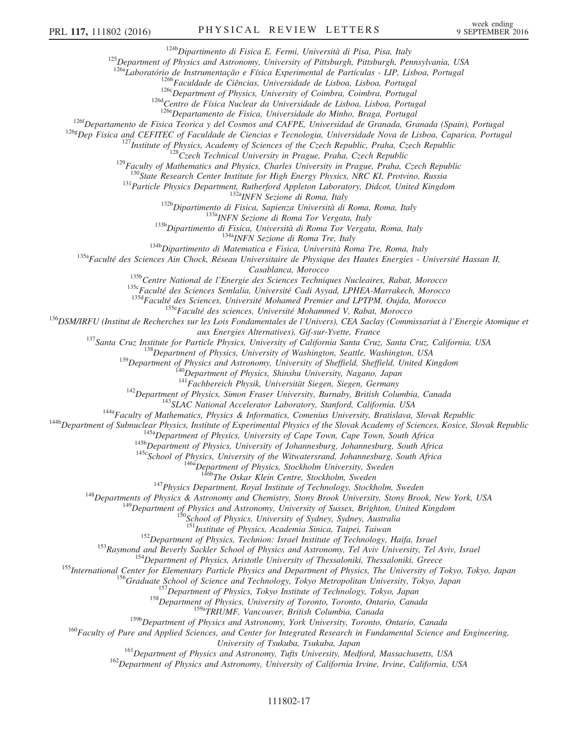<sup>124b</sup>Dipartimento di Fisica E. Fermi, Università di Pisa, Pisa, Italy

<sup>125</sup>Department of Physics and Astronomy, University of Pittsburgh, Pittsburgh, Pennsylvania, USA

<sup>126a</sup>Laboratório de Instrumentação e Física Experimental de Partículas - LIP, Lisboa, Portugal

<sup>126b</sup>Faculdade de Ciências, Universidade de Lisboa, Lisboa, Portugal

<sup>126c</sup>Department of Physics, University of Coimbra, Coimbra, Portugal

<sup>126d</sup>Centro de Física Nuclear da Universidade de Lisboa, Lisboa, Portugal

126eDepartamento de Fisica, Universidade do Minho, Braga, Portugal

<sup>126f</sup>Departamento de Fisica Teorica y del Cosmos and CAFPE, Universidad de Granada, Granada (Spain), Portugal

<sup>126g</sup>Dep Fisica and CEFITEC of Faculdade de Ciencias e Tecnologia, Universidade Nova de Lisboa, Caparica, Portugal

 $127$ Institute of Physics, Academy of Sciences of the Czech Republic, Praha, Czech Republic

 $128C$ zech Technical University in Prague, Praha, Czech Republic

 $129$ Faculty of Mathematics and Physics, Charles University in Prague, Praha, Czech Republic

 $130$ State Research Center Institute for High Energy Physics, NRC KI, Protvino, Russia

<sup>131</sup> Particle Physics Department, Rutherford Appleton Laboratory, Didcot, United Kingdom

132a<sub>INFN</sub> Sezione di Roma, Italy

<sup>132b</sup>Dipartimento di Fisica, Sapienza Università di Roma, Roma, Italy

<sup>133a</sup>INFN Sezione di Roma Tor Vergata, Italy

<sup>133b</sup>Dipartimento di Fisica, Università di Roma Tor Vergata, Roma, Italy

<sup>134a</sup>INFN Sezione di Roma Tre, Italy

<sup>134b</sup>Dipartimento di Matematica e Fisica, Università Roma Tre, Roma, Italy

<span id="page-17-3"></span><span id="page-17-1"></span><span id="page-17-0"></span><sup>135a</sup>Faculté des Sciences Ain Chock, Réseau Universitaire de Physique des Hautes Energies - Université Hassan II,

Casablanca, Morocco

135b Centre National de l'Energie des Sciences Techniques Nucleaires, Rabat, Morocco

135cFaculté des Sciences Semlalia, Université Cadi Ayyad, LPHEA-Marrakech, Morocco

135d Faculté des Sciences, Université Mohamed Premier and LPTPM, Oujda, Morocco

<sup>135e</sup>Faculté des sciences, Université Mohammed V, Rabat, Morocco

<span id="page-17-10"></span><span id="page-17-9"></span><span id="page-17-8"></span><span id="page-17-7"></span><span id="page-17-6"></span><span id="page-17-5"></span><span id="page-17-4"></span><span id="page-17-2"></span><sup>136</sup>DSM/IRFU (Institut de Recherches sur les Lois Fondamentales de l'Univers), CEA Saclay (Commissariat à l'Energie Atomique et

aux Energies Alternatives), Gif-sur-Yvette, France

<span id="page-17-11"></span><sup>137</sup>Santa Cruz Institute for Particle Physics, University of California Santa Cruz, Santa Cruz, California, USA

 $138$ Department of Physics, University of Washington, Seattle, Washington, USA

139 Department of Physics and Astronomy, University of Sheffield, Sheffield, United Kingdom

 $140$ Department of Physics, Shinshu University, Nagano, Japan

<sup>141</sup>Fachbereich Physik, Universität Siegen, Siegen, Germany

 $142$ Department of Physics, Simon Fraser University, Burnaby, British Columbia, Canada

<sup>143</sup>SLAC National Accelerator Laboratory, Stanford, California, USA

<sup>144a</sup>Faculty of Mathematics, Physics & Informatics, Comenius University, Bratislava, Slovak Republic

<span id="page-17-20"></span><span id="page-17-19"></span><span id="page-17-18"></span><span id="page-17-17"></span><span id="page-17-16"></span><span id="page-17-15"></span><span id="page-17-14"></span><span id="page-17-13"></span><span id="page-17-12"></span><sup>144b</sup>Department of Subnuclear Physics, Institute of Experimental Physics of the Slovak Academy of Sciences, Kosice, Slovak Republic

 $145a$ Department of Physics, University of Cape Town, Cape Town, South Africa

<sup>145b</sup>Department of Physics, University of Johannesburg, Johannesburg, South Africa

<sup>145c</sup>School of Physics, University of the Witwatersrand, Johannesburg, South Africa

 $146a$ Department of Physics, Stockholm University, Sweden

<sup>146b</sup>The Oskar Klein Centre, Stockholm, Sweden

 $147$ Physics Department, Royal Institute of Technology, Stockholm, Sweden

<span id="page-17-25"></span><span id="page-17-24"></span><span id="page-17-23"></span><span id="page-17-22"></span><span id="page-17-21"></span><sup>148</sup>Departments of Physics & Astronomy and Chemistry, Stony Brook University, Stony Brook, New York, USA

<sup>149</sup>Department of Physics and Astronomy, University of Sussex, Brighton, United Kingdom

<sup>150</sup>School of Physics, University of Sydney, Sydney, Australia

<sup>151</sup>Institute of Physics, Academia Sinica, Taipei, Taiwan

 $152$ Department of Physics, Technion: Israel Institute of Technology, Haifa, Israel

<sup>153</sup>Raymond and Beverly Sackler School of Physics and Astronomy, Tel Aviv University, Tel Aviv, Israel

<sup>154</sup>Department of Physics, Aristotle University of Thessaloniki, Thessaloniki, Greece

<span id="page-17-32"></span><span id="page-17-31"></span><span id="page-17-30"></span><span id="page-17-29"></span><span id="page-17-28"></span><span id="page-17-27"></span><span id="page-17-26"></span><sup>155</sup>International Center for Elementary Particle Physics and Department of Physics, The University of Tokyo, Tokyo, Japan

<sup>156</sup>Graduate School of Science and Technology, Tokyo Metropolitan University, Tokyo, Japan

<sup>157</sup>Department of Physics, Tokyo Institute of Technology, Tokyo, Japan

<sup>158</sup>Department of Physics, University of Toronto, Toronto, Ontario, Canada

<sup>159a</sup>TRIUMF, Vancouver, British Columbia, Canada

<sup>159b</sup>Department of Physics and Astronomy, York University, Toronto, Ontario, Canada

<span id="page-17-38"></span><span id="page-17-37"></span><span id="page-17-36"></span><span id="page-17-35"></span><span id="page-17-34"></span><span id="page-17-33"></span> $160$ Faculty of Pure and Applied Sciences, and Center for Integrated Research in Fundamental Science and Engineering,

University of Tsukuba, Tsukuba, Japan

<sup>161</sup>Department of Physics and Astronomy, Tufts University, Medford, Massachusetts, USA

 $162$ Department of Physics and Astronomy, University of California Irvine, Irvine, California, USA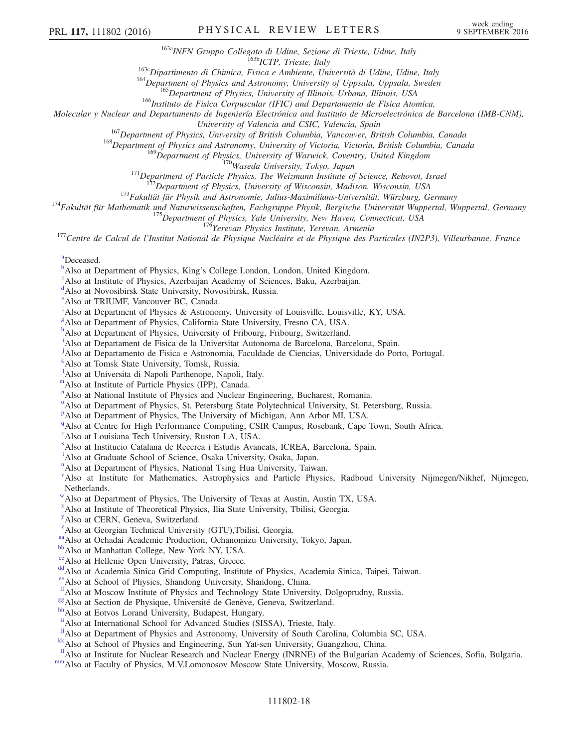<sup>163a</sup>INFN Gruppo Collegato di Udine, Sezione di Trieste, Udine, Italy

163b<sub>ICTP</sub>, Trieste, Italy

<sup>163c</sup>Dipartimento di Chimica, Fisica e Ambiente, Università di Udine, Udine, Italy

164 Department of Physics and Astronomy, University of Uppsala, Uppsala, Sweden

<sup>165</sup>Department of Physics, University of Illinois, Urbana, Illinois, USA

166 Instituto de Fisica Corpuscular (IFIC) and Departamento de Fisica Atomica,

<span id="page-18-6"></span><span id="page-18-5"></span><span id="page-18-4"></span><span id="page-18-3"></span><span id="page-18-2"></span><span id="page-18-1"></span><span id="page-18-0"></span>Molecular y Nuclear and Departamento de Ingeniería Electrónica and Instituto de Microelectrónica de Barcelona (IMB-CNM),

University of Valencia and CSIC, Valencia, Spain

<sup>167</sup>Department of Physics, University of British Columbia, Vancouver, British Columbia, Canada

168<br>Department of Physics and Astronomy, University of Victoria, Victoria, British Columbia, Canada

<sup>169</sup>Department of Physics, University of Warwick, Coventry, United Kingdom

<sup>170</sup>Waseda University, Tokyo, Japan

<sup>171</sup>Department of Particle Physics, The Weizmann Institute of Science, Rehovot, Israel

<sup>172</sup>Department of Physics, University of Wisconsin, Madison, Wisconsin, USA

<sup>173</sup>Fakultät für Physik und Astronomie, Julius-Maximilians-Universität, Würzburg, Germany

<sup>174</sup>Fakultät für Mathematik und Naturwissenschaften, Fachgruppe Physik, Bergische Universität Wuppertal, Wuppertal, Germany

<sup>175</sup>Department of Physics, Yale University, New Haven, Connecticut, USA

<sup>176</sup>Yerevan Physics Institute, Yerevan, Armenia

 $1^{177}$ Centre de Calcul de l'Institut National de Physique Nucléaire et de Physique des Particules (IN2P3), Villeurbanne, France

[a](#page-5-13)Deceased.

<sup>[b](#page-5-14)</sup>Also at Department of Physics, King's College London, London, United Kingdom.

<sup>[c](#page-5-15)</sup>Also at Institute of Physics, Azerbaijan Academy of Sciences, Baku, Azerbaijan.

- [d](#page-5-16)Also at Novosibirsk State University, Novosibirsk, Russia.
- <sup>[e](#page-5-17)</sup>Also at TRIUMF, Vancouver BC, Canada.
- $f$ Also at Department of Physics & Astronomy, University of Louisville, Louisville, KY, USA.
- <sup>[g](#page-5-19)</sup>Also at Department of Physics, California State University, Fresno CA, USA.
- [h](#page-5-20)Also at Department of Physics, University of Fribourg, Fribourg, Switzerland.
- [i](#page-6-0)Also at Departament de Fisica de la Universitat Autonoma de Barcelona, Barcelona, Spain.
- <sup>[j](#page-6-1)</sup>Also at Departamento de Fisica e Astronomia, Faculdade de Ciencias, Universidade do Porto, Portugal.
- [k](#page-6-2)Also at Tomsk State University, Tomsk, Russia.
- <sup>1</sup>A[l](#page-6-3)so at Universita di Napoli Parthenope, Napoli, Italy.
- [m](#page-6-4)Also at Institute of Particle Physics (IPP), Canada.
- <sup>[n](#page-7-0)</sup>Also at National Institute of Physics and Nuclear Engineering, Bucharest, Romania.
- <sup>[o](#page-7-1)</sup>Also at Department of Physics, St. Petersburg State Polytechnical University, St. Petersburg, Russia.
- <su[p](#page-7-2)>p</sup>Also at Department of Physics, The University of Michigan, Ann Arbor MI, USA.
- <sup>[q](#page-8-0)</sup>Also at Centre for High Performance Computing, CSIR Campus, Rosebank, Cape Town, South Africa.
- <sup>[r](#page-8-1)</sup>Also at Louisiana Tech University, Ruston LA, USA.
- [s](#page-8-2)Also at Institucio Catalana de Recerca i Estudis Avancats, ICREA, Barcelona, Spain.
- [t](#page-8-3)Also at Graduate School of Science, Osaka University, Osaka, Japan.
- <s[u](#page-8-4)p>u</sup>Also at Department of Physics, National Tsing Hua University, Taiwan.

<sup>[v](#page-8-5)</sup>Also at Institute for Mathematics, Astrophysics and Particle Physics, Radboud University Nijmegen/Nikhef, Nijmegen, Netherlands.

- [w](#page-8-6)Also at Department of Physics, The University of Texas at Austin, Austin TX, USA.
- [x](#page-8-7)Also at Institute of Theoretical Physics, Ilia State University, Tbilisi, Georgia.
- <sup>[y](#page-8-7)</sup>Also at CERN, Geneva, Switzerland.
- <sup>[z](#page-8-8)</sup>Also at Georgian Technical University (GTU), Tbilisi, Georgia.
- [aa](#page-9-0) Also at Ochadai Academic Production, Ochanomizu University, Tokyo, Japan.
- [bb](#page-9-0)<sub>Also</sub> at Manhattan College, New York NY, USA.
- <sup>[cc](#page-9-1)</sup>Also at Hellenic Open University, Patras, Greece.
- [dd](#page-9-2) Also at Academia Sinica Grid Computing, Institute of Physics, Academia Sinica, Taipei, Taiwan.
- [ee](#page-9-3)Also at School of Physics, Shandong University, Shandong, China.
- [ff](#page-10-0)Also at Moscow Institute of Physics and Technology State University, Dolgoprudny, Russia.
- <sup>[gg](#page-10-1)</sup>Also at Section de Physique, Université de Genève, Geneva, Switzerland.
- [hh](#page-10-2) Also at Eotvos Lorand University, Budapest, Hungary.
- [ii](#page-10-3)Also at International School for Advanced Studies (SISSA), Trieste, Italy.
- <sup>[jj](#page-11-0)</sup>Also at Department of Physics and Astronomy, University of South Carolina, Columbia SC, USA.
- [kk](#page-11-1) Also at School of Physics and Engineering, Sun Yat-sen University, Guangzhou, China.
- <sup>11</sup> Also at Institute for Nuclear Research and Nuclear Energy (INRNE) of the Bulgarian Academy of Sciences, Sofia, Bulgaria.
- [mm](#page-11-3)Also at Faculty of Physics, M.V.Lomonosov Moscow State University, Moscow, Russia.